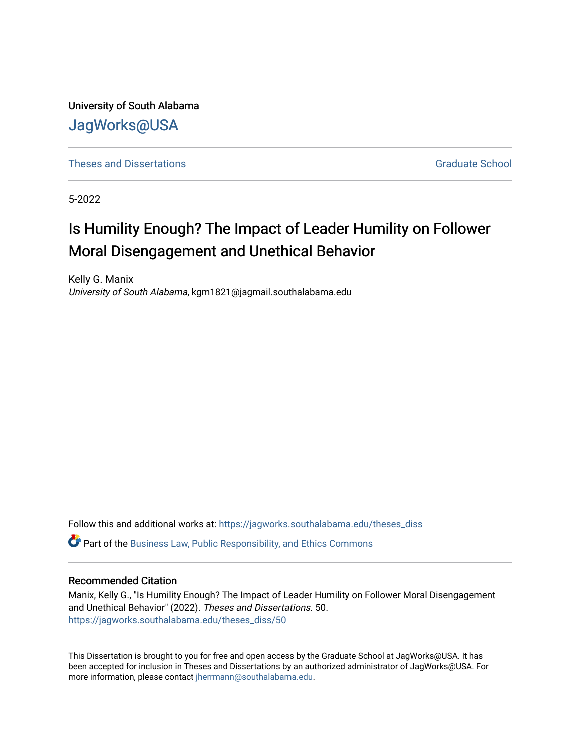University of South Alabama [JagWorks@USA](https://jagworks.southalabama.edu/) 

**[Theses and Dissertations](https://jagworks.southalabama.edu/theses_diss)** [Graduate School](https://jagworks.southalabama.edu/gradschool) **Contract of Contract Act 2016** Graduate School

5-2022

# Is Humility Enough? The Impact of Leader Humility on Follower Moral Disengagement and Unethical Behavior

Kelly G. Manix University of South Alabama, kgm1821@jagmail.southalabama.edu

Follow this and additional works at: [https://jagworks.southalabama.edu/theses\\_diss](https://jagworks.southalabama.edu/theses_diss?utm_source=jagworks.southalabama.edu%2Ftheses_diss%2F50&utm_medium=PDF&utm_campaign=PDFCoverPages) 

 $\bullet$  Part of the Business Law, Public Responsibility, and Ethics Commons

## Recommended Citation

Manix, Kelly G., "Is Humility Enough? The Impact of Leader Humility on Follower Moral Disengagement and Unethical Behavior" (2022). Theses and Dissertations. 50. [https://jagworks.southalabama.edu/theses\\_diss/50](https://jagworks.southalabama.edu/theses_diss/50?utm_source=jagworks.southalabama.edu%2Ftheses_diss%2F50&utm_medium=PDF&utm_campaign=PDFCoverPages) 

This Dissertation is brought to you for free and open access by the Graduate School at JagWorks@USA. It has been accepted for inclusion in Theses and Dissertations by an authorized administrator of JagWorks@USA. For more information, please contact [jherrmann@southalabama.edu.](mailto:jherrmann@southalabama.edu)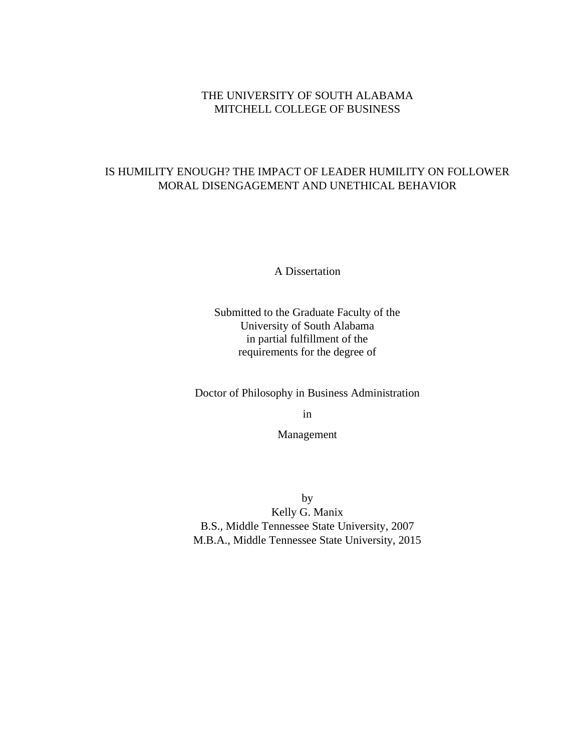## THE UNIVERSITY OF SOUTH ALABAMA MITCHELL COLLEGE OF BUSINESS

## IS HUMILITY ENOUGH? THE IMPACT OF LEADER HUMILITY ON FOLLOWER MORAL DISENGAGEMENT AND UNETHICAL BEHAVIOR

A Dissertation

Submitted to the Graduate Faculty of the University of South Alabama in partial fulfillment of the requirements for the degree of

Doctor of Philosophy in Business Administration

in

Management

by Kelly G. Manix B.S., Middle Tennessee State University, 2007 M.B.A., Middle Tennessee State University, 2015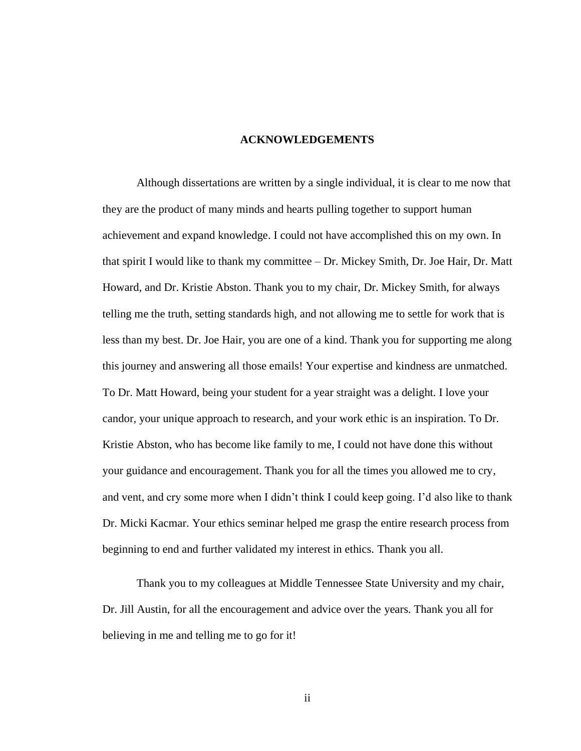### **ACKNOWLEDGEMENTS**

Although dissertations are written by a single individual, it is clear to me now that they are the product of many minds and hearts pulling together to support human achievement and expand knowledge. I could not have accomplished this on my own. In that spirit I would like to thank my committee – Dr. Mickey Smith, Dr. Joe Hair, Dr. Matt Howard, and Dr. Kristie Abston. Thank you to my chair, Dr. Mickey Smith, for always telling me the truth, setting standards high, and not allowing me to settle for work that is less than my best. Dr. Joe Hair, you are one of a kind. Thank you for supporting me along this journey and answering all those emails! Your expertise and kindness are unmatched. To Dr. Matt Howard, being your student for a year straight was a delight. I love your candor, your unique approach to research, and your work ethic is an inspiration. To Dr. Kristie Abston, who has become like family to me, I could not have done this without your guidance and encouragement. Thank you for all the times you allowed me to cry, and vent, and cry some more when I didn't think I could keep going. I'd also like to thank Dr. Micki Kacmar. Your ethics seminar helped me grasp the entire research process from beginning to end and further validated my interest in ethics. Thank you all.

Thank you to my colleagues at Middle Tennessee State University and my chair, Dr. Jill Austin, for all the encouragement and advice over the years. Thank you all for believing in me and telling me to go for it!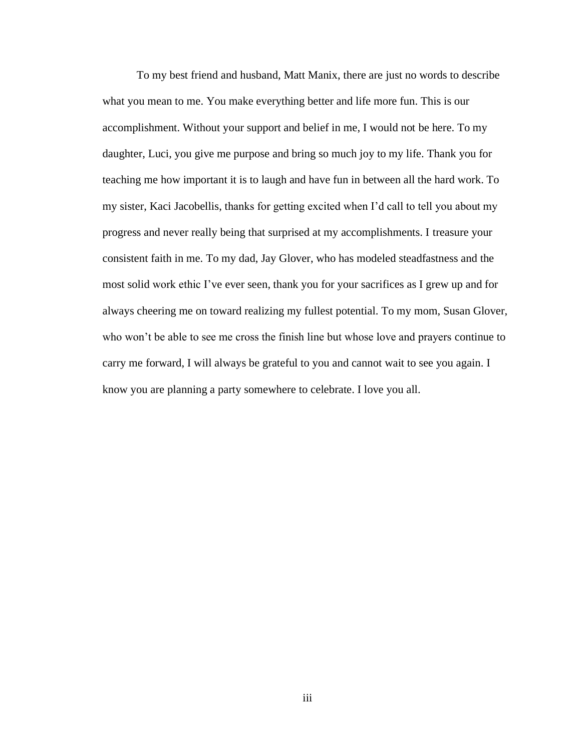To my best friend and husband, Matt Manix, there are just no words to describe what you mean to me. You make everything better and life more fun. This is our accomplishment. Without your support and belief in me, I would not be here. To my daughter, Luci, you give me purpose and bring so much joy to my life. Thank you for teaching me how important it is to laugh and have fun in between all the hard work. To my sister, Kaci Jacobellis, thanks for getting excited when I'd call to tell you about my progress and never really being that surprised at my accomplishments. I treasure your consistent faith in me. To my dad, Jay Glover, who has modeled steadfastness and the most solid work ethic I've ever seen, thank you for your sacrifices as I grew up and for always cheering me on toward realizing my fullest potential. To my mom, Susan Glover, who won't be able to see me cross the finish line but whose love and prayers continue to carry me forward, I will always be grateful to you and cannot wait to see you again. I know you are planning a party somewhere to celebrate. I love you all.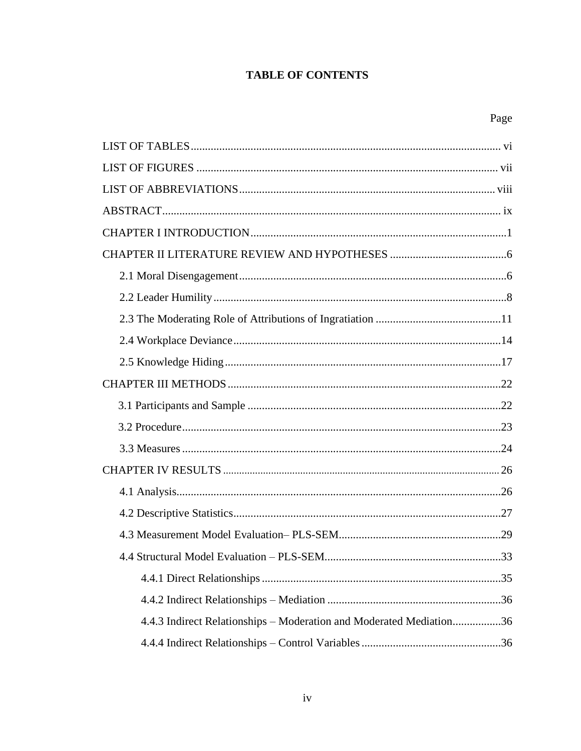## **TABLE OF CONTENTS**

| 4.4.3 Indirect Relationships - Moderation and Moderated Mediation36 |
|---------------------------------------------------------------------|
|                                                                     |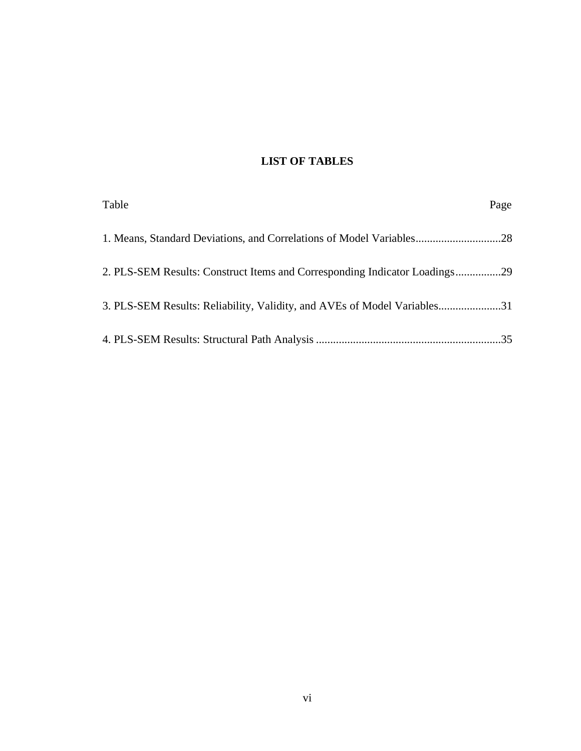## **LIST OF TABLES**

| Table                                                                    | Page |
|--------------------------------------------------------------------------|------|
| 1. Means, Standard Deviations, and Correlations of Model Variables28     |      |
| 2. PLS-SEM Results: Construct Items and Corresponding Indicator Loadings |      |
| 3. PLS-SEM Results: Reliability, Validity, and AVEs of Model Variables31 |      |
|                                                                          |      |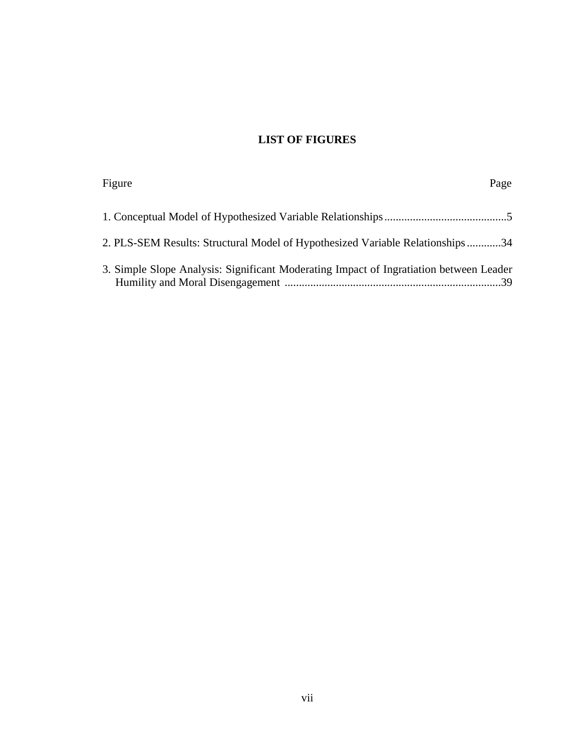## **LIST OF FIGURES**

| Figure                                                                                 | Page |
|----------------------------------------------------------------------------------------|------|
|                                                                                        |      |
| 2. PLS-SEM Results: Structural Model of Hypothesized Variable Relationships34          |      |
| 3. Simple Slope Analysis: Significant Moderating Impact of Ingratiation between Leader |      |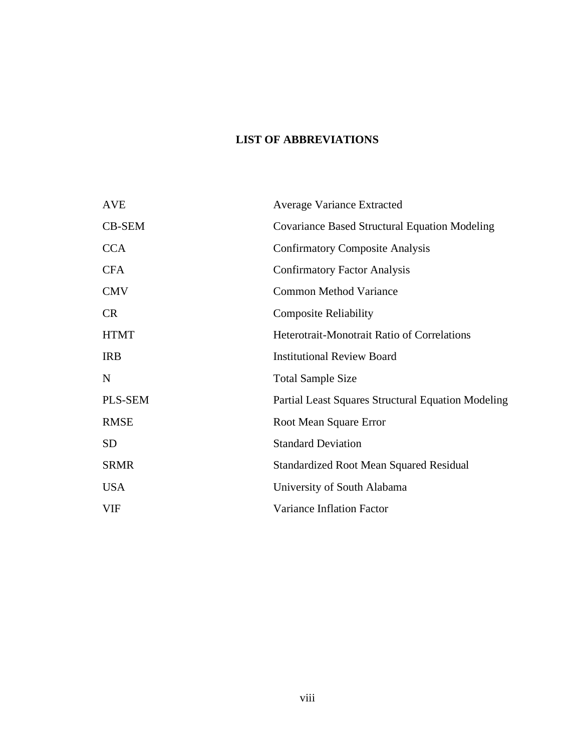## **LIST OF ABBREVIATIONS**

| <b>AVE</b>  | <b>Average Variance Extracted</b>                    |
|-------------|------------------------------------------------------|
| CB-SEM      | <b>Covariance Based Structural Equation Modeling</b> |
| <b>CCA</b>  | <b>Confirmatory Composite Analysis</b>               |
| <b>CFA</b>  | <b>Confirmatory Factor Analysis</b>                  |
| <b>CMV</b>  | <b>Common Method Variance</b>                        |
| <b>CR</b>   | <b>Composite Reliability</b>                         |
| <b>HTMT</b> | <b>Heterotrait-Monotrait Ratio of Correlations</b>   |
| <b>IRB</b>  | <b>Institutional Review Board</b>                    |
| N           | <b>Total Sample Size</b>                             |
| PLS-SEM     | Partial Least Squares Structural Equation Modeling   |
| <b>RMSE</b> | Root Mean Square Error                               |
| <b>SD</b>   | <b>Standard Deviation</b>                            |
| <b>SRMR</b> | <b>Standardized Root Mean Squared Residual</b>       |
| <b>USA</b>  | University of South Alabama                          |
| <b>VIF</b>  | <b>Variance Inflation Factor</b>                     |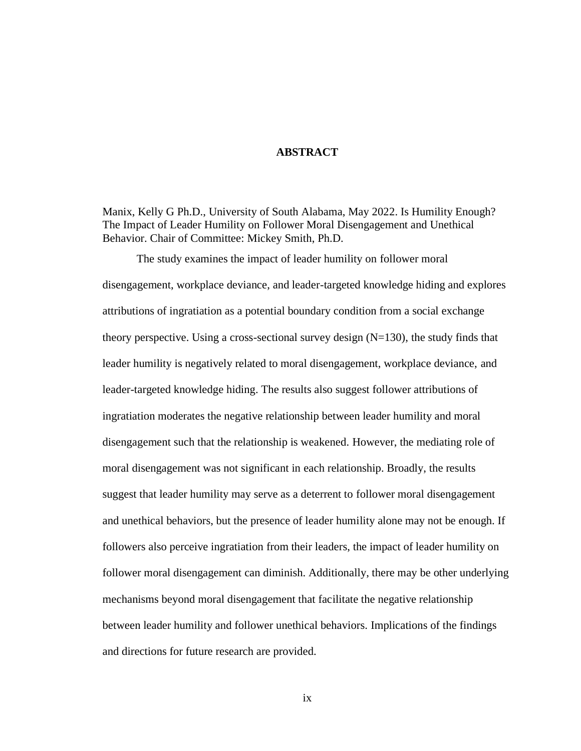## **ABSTRACT**

Manix, Kelly G Ph.D., University of South Alabama, May 2022. Is Humility Enough? The Impact of Leader Humility on Follower Moral Disengagement and Unethical Behavior. Chair of Committee: Mickey Smith, Ph.D.

The study examines the impact of leader humility on follower moral disengagement, workplace deviance, and leader-targeted knowledge hiding and explores attributions of ingratiation as a potential boundary condition from a social exchange theory perspective. Using a cross-sectional survey design  $(N=130)$ , the study finds that leader humility is negatively related to moral disengagement, workplace deviance, and leader-targeted knowledge hiding. The results also suggest follower attributions of ingratiation moderates the negative relationship between leader humility and moral disengagement such that the relationship is weakened. However, the mediating role of moral disengagement was not significant in each relationship. Broadly, the results suggest that leader humility may serve as a deterrent to follower moral disengagement and unethical behaviors, but the presence of leader humility alone may not be enough. If followers also perceive ingratiation from their leaders, the impact of leader humility on follower moral disengagement can diminish. Additionally, there may be other underlying mechanisms beyond moral disengagement that facilitate the negative relationship between leader humility and follower unethical behaviors. Implications of the findings and directions for future research are provided.

ix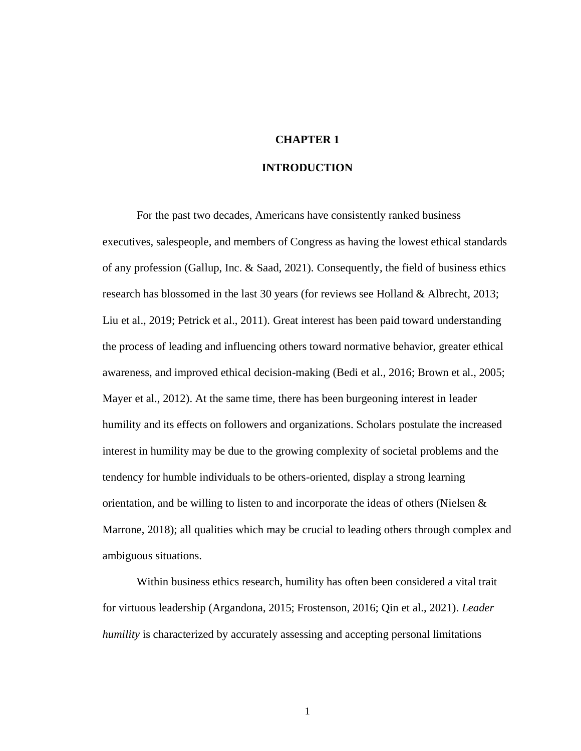## **CHAPTER 1**

### **INTRODUCTION**

For the past two decades, Americans have consistently ranked business executives, salespeople, and members of Congress as having the lowest ethical standards of any profession (Gallup, Inc. & Saad, 2021). Consequently, the field of business ethics research has blossomed in the last 30 years (for reviews see Holland & Albrecht, 2013; Liu et al., 2019; Petrick et al., 2011). Great interest has been paid toward understanding the process of leading and influencing others toward normative behavior, greater ethical awareness, and improved ethical decision-making (Bedi et al., 2016; Brown et al., 2005; Mayer et al., 2012). At the same time, there has been burgeoning interest in leader humility and its effects on followers and organizations. Scholars postulate the increased interest in humility may be due to the growing complexity of societal problems and the tendency for humble individuals to be others-oriented, display a strong learning orientation, and be willing to listen to and incorporate the ideas of others (Nielsen  $\&$ Marrone, 2018); all qualities which may be crucial to leading others through complex and ambiguous situations.

Within business ethics research, humility has often been considered a vital trait for virtuous leadership (Argandona, 2015; Frostenson, 2016; Qin et al., 2021). *Leader humility* is characterized by accurately assessing and accepting personal limitations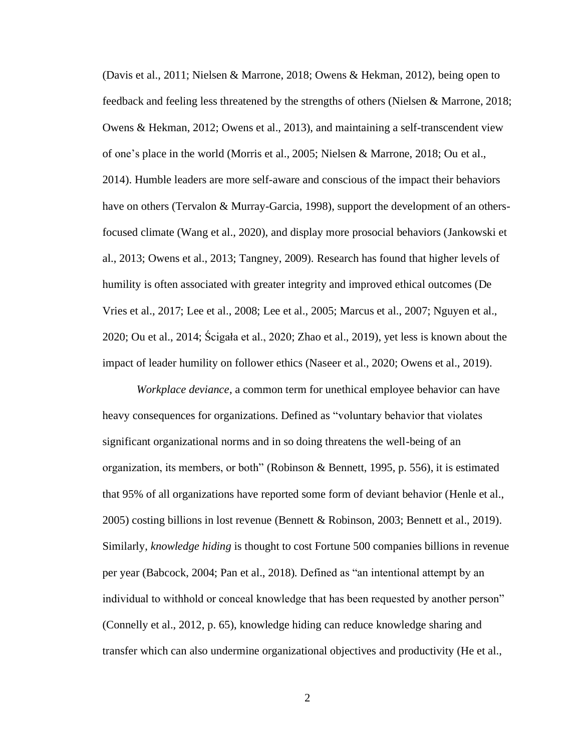(Davis et al., 2011; Nielsen & Marrone, 2018; Owens & Hekman, 2012), being open to feedback and feeling less threatened by the strengths of others (Nielsen & Marrone, 2018; Owens & Hekman, 2012; Owens et al., 2013), and maintaining a self-transcendent view of one's place in the world (Morris et al., 2005; Nielsen & Marrone, 2018; Ou et al., 2014). Humble leaders are more self-aware and conscious of the impact their behaviors have on others (Tervalon & Murray-Garcia, 1998), support the development of an othersfocused climate (Wang et al., 2020), and display more prosocial behaviors (Jankowski et al., 2013; Owens et al., 2013; Tangney, 2009). Research has found that higher levels of humility is often associated with greater integrity and improved ethical outcomes (De Vries et al., 2017; Lee et al., 2008; Lee et al., 2005; Marcus et al., 2007; Nguyen et al., 2020; Ou et al., 2014; Ścigała et al., 2020; Zhao et al., 2019), yet less is known about the impact of leader humility on follower ethics (Naseer et al., 2020; Owens et al., 2019).

*Workplace deviance*, a common term for unethical employee behavior can have heavy consequences for organizations. Defined as "voluntary behavior that violates significant organizational norms and in so doing threatens the well-being of an organization, its members, or both" (Robinson & Bennett, 1995, p. 556), it is estimated that 95% of all organizations have reported some form of deviant behavior (Henle et al., 2005) costing billions in lost revenue (Bennett & Robinson, 2003; Bennett et al., 2019). Similarly, *knowledge hiding* is thought to cost Fortune 500 companies billions in revenue per year (Babcock, 2004; Pan et al., 2018). Defined as "an intentional attempt by an individual to withhold or conceal knowledge that has been requested by another person" (Connelly et al., 2012, p. 65), knowledge hiding can reduce knowledge sharing and transfer which can also undermine organizational objectives and productivity (He et al.,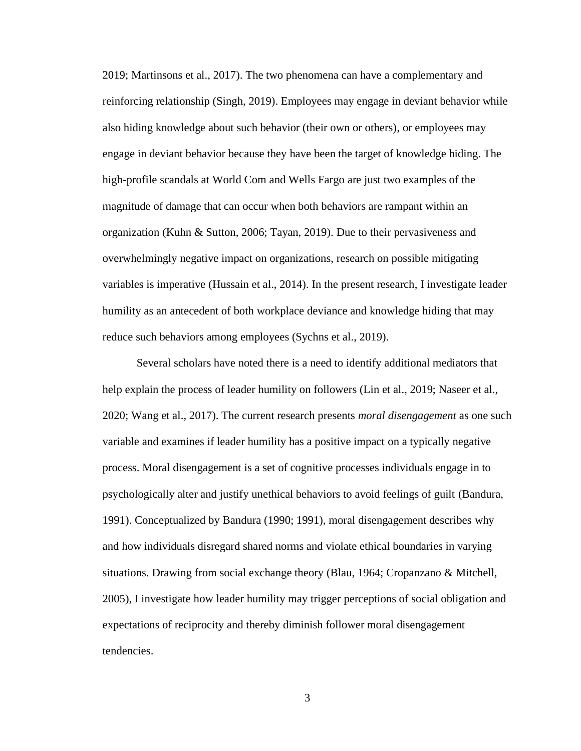2019; Martinsons et al., 2017). The two phenomena can have a complementary and reinforcing relationship (Singh, 2019). Employees may engage in deviant behavior while also hiding knowledge about such behavior (their own or others), or employees may engage in deviant behavior because they have been the target of knowledge hiding. The high-profile scandals at World Com and Wells Fargo are just two examples of the magnitude of damage that can occur when both behaviors are rampant within an organization (Kuhn & Sutton, 2006; Tayan, 2019). Due to their pervasiveness and overwhelmingly negative impact on organizations, research on possible mitigating variables is imperative (Hussain et al., 2014). In the present research, I investigate leader humility as an antecedent of both workplace deviance and knowledge hiding that may reduce such behaviors among employees (Sychns et al., 2019).

Several scholars have noted there is a need to identify additional mediators that help explain the process of leader humility on followers (Lin et al., 2019; Naseer et al., 2020; Wang et al., 2017). The current research presents *moral disengagement* as one such variable and examines if leader humility has a positive impact on a typically negative process. Moral disengagement is a set of cognitive processes individuals engage in to psychologically alter and justify unethical behaviors to avoid feelings of guilt (Bandura, 1991). Conceptualized by Bandura (1990; 1991), moral disengagement describes why and how individuals disregard shared norms and violate ethical boundaries in varying situations. Drawing from social exchange theory (Blau, 1964; Cropanzano & Mitchell, 2005), I investigate how leader humility may trigger perceptions of social obligation and expectations of reciprocity and thereby diminish follower moral disengagement tendencies.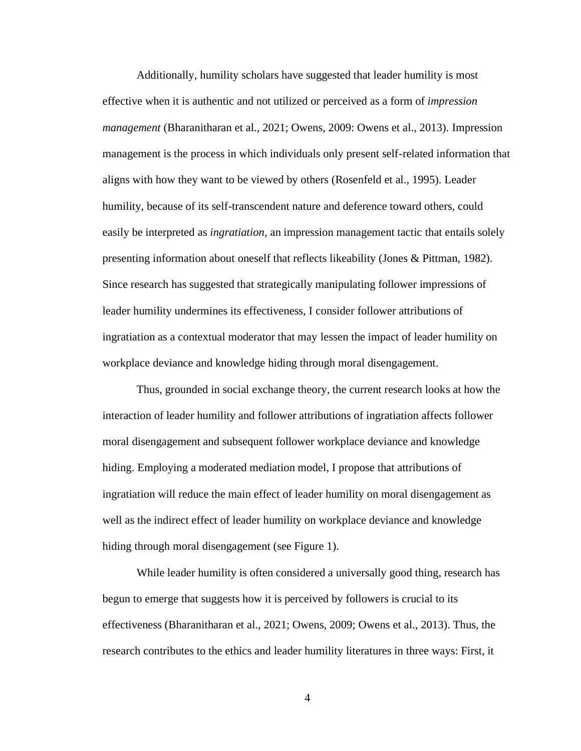Additionally, humility scholars have suggested that leader humility is most effective when it is authentic and not utilized or perceived as a form of *impression management* (Bharanitharan et al., 2021; Owens, 2009: Owens et al., 2013). Impression management is the process in which individuals only present self-related information that aligns with how they want to be viewed by others (Rosenfeld et al., 1995). Leader humility, because of its self-transcendent nature and deference toward others, could easily be interpreted as *ingratiation,* an impression management tactic that entails solely presenting information about oneself that reflects likeability (Jones & Pittman, 1982). Since research has suggested that strategically manipulating follower impressions of leader humility undermines its effectiveness, I consider follower attributions of ingratiation as a contextual moderator that may lessen the impact of leader humility on workplace deviance and knowledge hiding through moral disengagement.

Thus, grounded in social exchange theory, the current research looks at how the interaction of leader humility and follower attributions of ingratiation affects follower moral disengagement and subsequent follower workplace deviance and knowledge hiding. Employing a moderated mediation model, I propose that attributions of ingratiation will reduce the main effect of leader humility on moral disengagement as well as the indirect effect of leader humility on workplace deviance and knowledge hiding through moral disengagement (see Figure 1).

While leader humility is often considered a universally good thing, research has begun to emerge that suggests how it is perceived by followers is crucial to its effectiveness (Bharanitharan et al., 2021; Owens, 2009; Owens et al., 2013). Thus, the research contributes to the ethics and leader humility literatures in three ways: First, it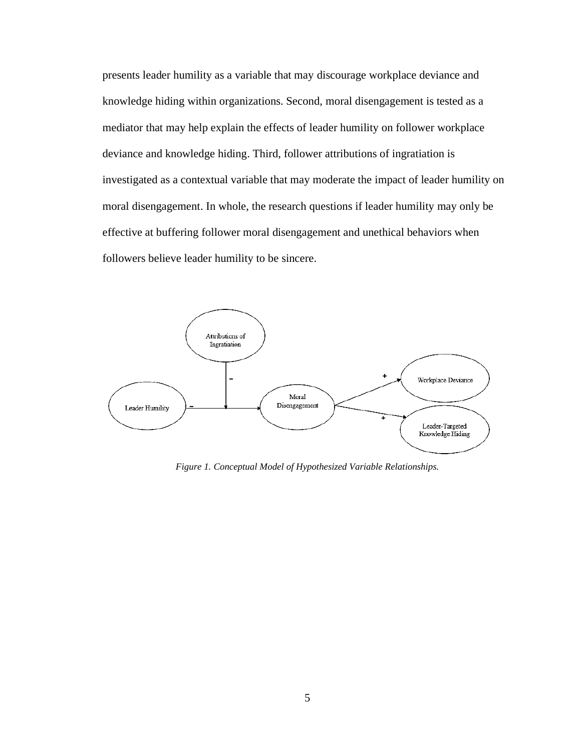presents leader humility as a variable that may discourage workplace deviance and knowledge hiding within organizations. Second, moral disengagement is tested as a mediator that may help explain the effects of leader humility on follower workplace deviance and knowledge hiding. Third, follower attributions of ingratiation is investigated as a contextual variable that may moderate the impact of leader humility on moral disengagement. In whole, the research questions if leader humility may only be effective at buffering follower moral disengagement and unethical behaviors when followers believe leader humility to be sincere.



*Figure 1. Conceptual Model of Hypothesized Variable Relationships.*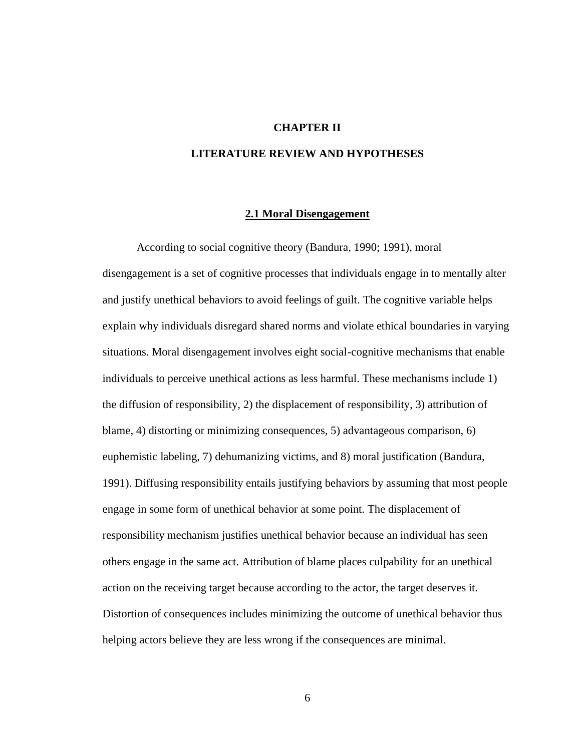## **CHAPTER II**

## **LITERATURE REVIEW AND HYPOTHESES**

## **2.1 Moral Disengagement**

According to social cognitive theory (Bandura, 1990; 1991), moral disengagement is a set of cognitive processes that individuals engage in to mentally alter and justify unethical behaviors to avoid feelings of guilt. The cognitive variable helps explain why individuals disregard shared norms and violate ethical boundaries in varying situations. Moral disengagement involves eight social-cognitive mechanisms that enable individuals to perceive unethical actions as less harmful. These mechanisms include 1) the diffusion of responsibility, 2) the displacement of responsibility, 3) attribution of blame, 4) distorting or minimizing consequences, 5) advantageous comparison, 6) euphemistic labeling, 7) dehumanizing victims, and 8) moral justification (Bandura, 1991). Diffusing responsibility entails justifying behaviors by assuming that most people engage in some form of unethical behavior at some point. The displacement of responsibility mechanism justifies unethical behavior because an individual has seen others engage in the same act. Attribution of blame places culpability for an unethical action on the receiving target because according to the actor, the target deserves it. Distortion of consequences includes minimizing the outcome of unethical behavior thus helping actors believe they are less wrong if the consequences are minimal.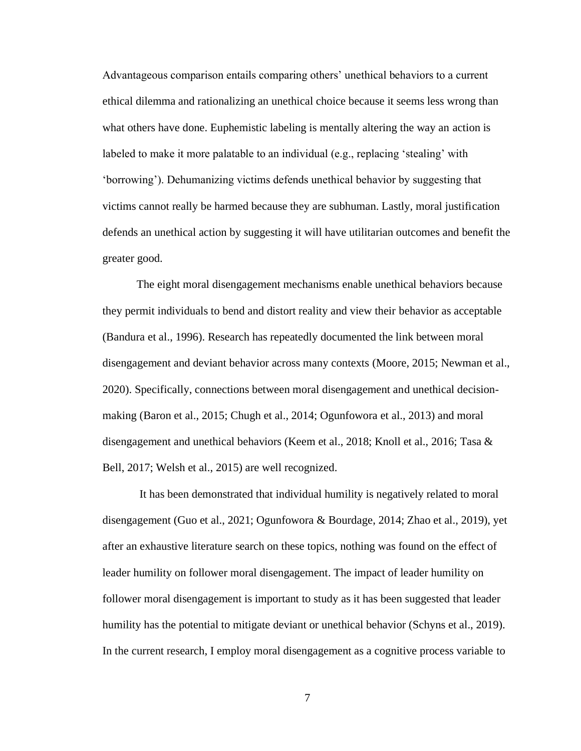Advantageous comparison entails comparing others' unethical behaviors to a current ethical dilemma and rationalizing an unethical choice because it seems less wrong than what others have done. Euphemistic labeling is mentally altering the way an action is labeled to make it more palatable to an individual (e.g., replacing 'stealing' with 'borrowing'). Dehumanizing victims defends unethical behavior by suggesting that victims cannot really be harmed because they are subhuman. Lastly, moral justification defends an unethical action by suggesting it will have utilitarian outcomes and benefit the greater good.

The eight moral disengagement mechanisms enable unethical behaviors because they permit individuals to bend and distort reality and view their behavior as acceptable (Bandura et al., 1996). Research has repeatedly documented the link between moral disengagement and deviant behavior across many contexts (Moore, 2015; Newman et al., 2020). Specifically, connections between moral disengagement and unethical decisionmaking (Baron et al., 2015; Chugh et al., 2014; Ogunfowora et al., 2013) and moral disengagement and unethical behaviors (Keem et al., 2018; Knoll et al., 2016; Tasa & Bell, 2017; Welsh et al., 2015) are well recognized.

It has been demonstrated that individual humility is negatively related to moral disengagement (Guo et al., 2021; Ogunfowora & Bourdage, 2014; Zhao et al., 2019), yet after an exhaustive literature search on these topics, nothing was found on the effect of leader humility on follower moral disengagement. The impact of leader humility on follower moral disengagement is important to study as it has been suggested that leader humility has the potential to mitigate deviant or unethical behavior (Schyns et al., 2019). In the current research, I employ moral disengagement as a cognitive process variable to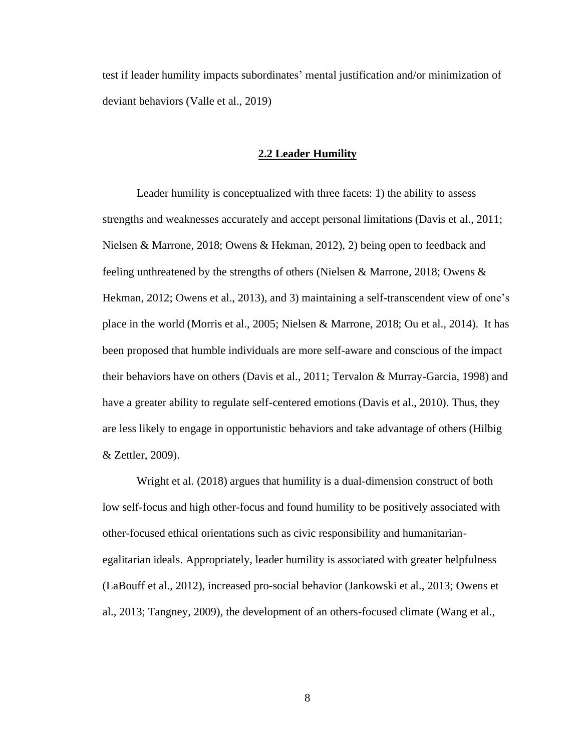test if leader humility impacts subordinates' mental justification and/or minimization of deviant behaviors (Valle et al., 2019)

## **2.2 Leader Humility**

Leader humility is conceptualized with three facets: 1) the ability to assess strengths and weaknesses accurately and accept personal limitations (Davis et al., 2011; Nielsen & Marrone, 2018; Owens & Hekman, 2012), 2) being open to feedback and feeling unthreatened by the strengths of others (Nielsen & Marrone, 2018; Owens & Hekman, 2012; Owens et al., 2013), and 3) maintaining a self-transcendent view of one's place in the world (Morris et al., 2005; Nielsen & Marrone, 2018; Ou et al., 2014). It has been proposed that humble individuals are more self-aware and conscious of the impact their behaviors have on others (Davis et al., 2011; Tervalon & Murray-Garcia, 1998) and have a greater ability to regulate self-centered emotions (Davis et al., 2010). Thus, they are less likely to engage in opportunistic behaviors and take advantage of others (Hilbig & Zettler, 2009).

Wright et al. (2018) argues that humility is a dual-dimension construct of both low self-focus and high other-focus and found humility to be positively associated with other-focused ethical orientations such as civic responsibility and humanitarianegalitarian ideals. Appropriately, leader humility is associated with greater helpfulness (LaBouff et al., 2012), increased pro-social behavior (Jankowski et al., 2013; Owens et al., 2013; Tangney, 2009), the development of an others-focused climate (Wang et al.,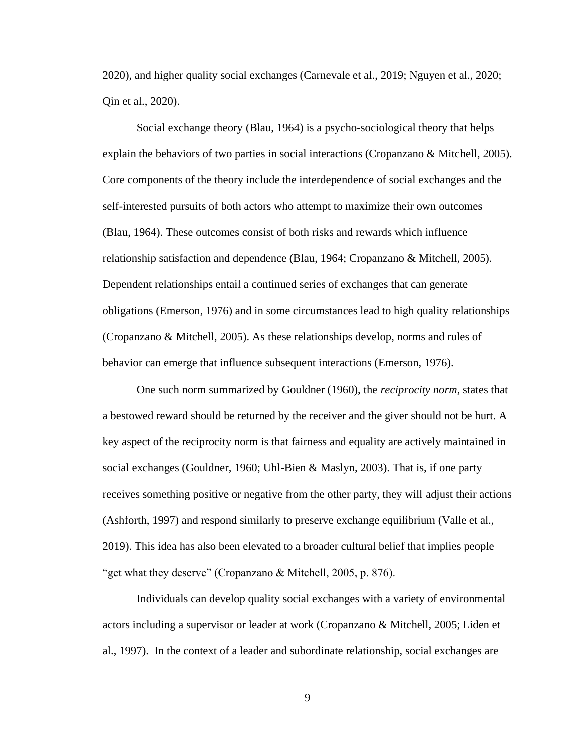2020), and higher quality social exchanges (Carnevale et al., 2019; Nguyen et al., 2020; Qin et al., 2020).

Social exchange theory (Blau, 1964) is a psycho-sociological theory that helps explain the behaviors of two parties in social interactions (Cropanzano & Mitchell, 2005). Core components of the theory include the interdependence of social exchanges and the self-interested pursuits of both actors who attempt to maximize their own outcomes (Blau, 1964). These outcomes consist of both risks and rewards which influence relationship satisfaction and dependence (Blau, 1964; Cropanzano & Mitchell, 2005). Dependent relationships entail a continued series of exchanges that can generate obligations (Emerson, 1976) and in some circumstances lead to high quality relationships (Cropanzano & Mitchell, 2005). As these relationships develop, norms and rules of behavior can emerge that influence subsequent interactions (Emerson, 1976).

One such norm summarized by Gouldner (1960), the *reciprocity norm*, states that a bestowed reward should be returned by the receiver and the giver should not be hurt. A key aspect of the reciprocity norm is that fairness and equality are actively maintained in social exchanges (Gouldner, 1960; Uhl-Bien & Maslyn, 2003). That is, if one party receives something positive or negative from the other party, they will adjust their actions (Ashforth, 1997) and respond similarly to preserve exchange equilibrium (Valle et al., 2019). This idea has also been elevated to a broader cultural belief that implies people "get what they deserve" (Cropanzano & Mitchell, 2005, p. 876).

Individuals can develop quality social exchanges with a variety of environmental actors including a supervisor or leader at work (Cropanzano & Mitchell, 2005; Liden et al., 1997). In the context of a leader and subordinate relationship, social exchanges are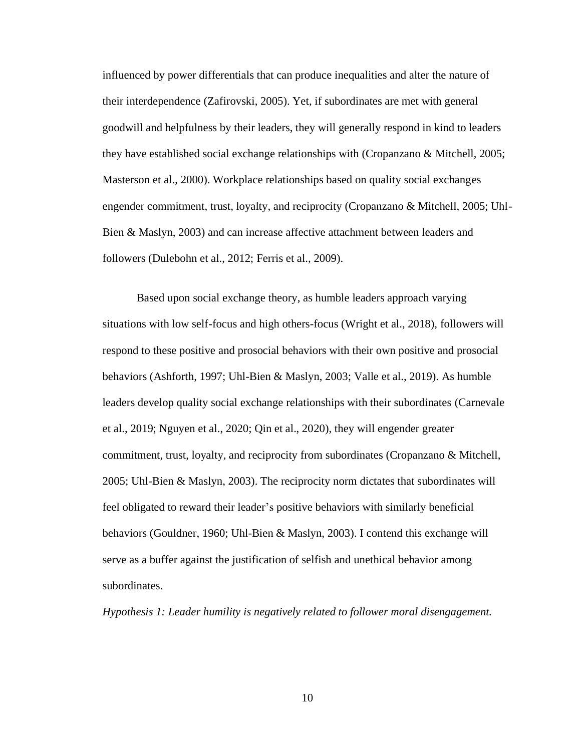influenced by power differentials that can produce inequalities and alter the nature of their interdependence (Zafirovski, 2005). Yet, if subordinates are met with general goodwill and helpfulness by their leaders, they will generally respond in kind to leaders they have established social exchange relationships with (Cropanzano & Mitchell, 2005; Masterson et al., 2000). Workplace relationships based on quality social exchanges engender commitment, trust, loyalty, and reciprocity (Cropanzano & Mitchell, 2005; Uhl-Bien & Maslyn, 2003) and can increase affective attachment between leaders and followers (Dulebohn et al., 2012; Ferris et al., 2009).

Based upon social exchange theory, as humble leaders approach varying situations with low self-focus and high others-focus (Wright et al., 2018), followers will respond to these positive and prosocial behaviors with their own positive and prosocial behaviors (Ashforth, 1997; Uhl-Bien & Maslyn, 2003; Valle et al., 2019). As humble leaders develop quality social exchange relationships with their subordinates (Carnevale et al., 2019; Nguyen et al., 2020; Qin et al., 2020), they will engender greater commitment, trust, loyalty, and reciprocity from subordinates (Cropanzano & Mitchell, 2005; Uhl-Bien & Maslyn, 2003). The reciprocity norm dictates that subordinates will feel obligated to reward their leader's positive behaviors with similarly beneficial behaviors (Gouldner, 1960; Uhl-Bien & Maslyn, 2003). I contend this exchange will serve as a buffer against the justification of selfish and unethical behavior among subordinates.

*Hypothesis 1: Leader humility is negatively related to follower moral disengagement.*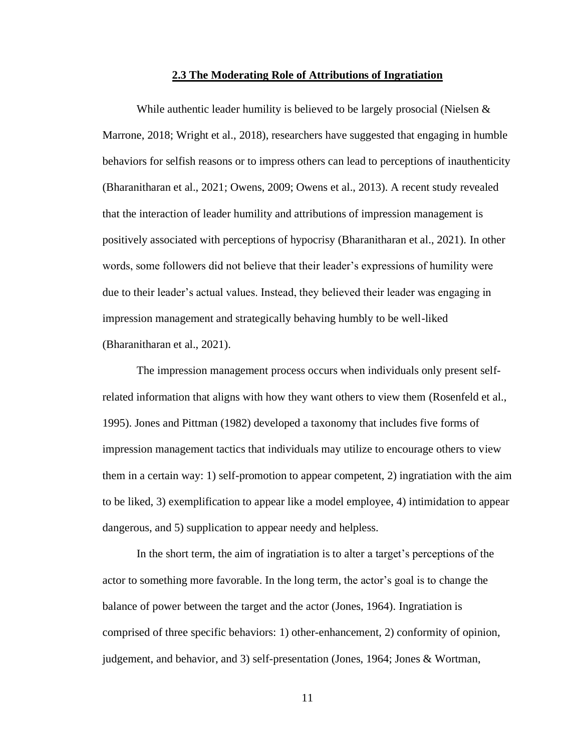#### **2.3 The Moderating Role of Attributions of Ingratiation**

While authentic leader humility is believed to be largely prosocial (Nielsen  $\&$ Marrone, 2018; Wright et al., 2018), researchers have suggested that engaging in humble behaviors for selfish reasons or to impress others can lead to perceptions of inauthenticity (Bharanitharan et al., 2021; Owens, 2009; Owens et al., 2013). A recent study revealed that the interaction of leader humility and attributions of impression management is positively associated with perceptions of hypocrisy (Bharanitharan et al., 2021). In other words, some followers did not believe that their leader's expressions of humility were due to their leader's actual values. Instead, they believed their leader was engaging in impression management and strategically behaving humbly to be well-liked (Bharanitharan et al., 2021).

The impression management process occurs when individuals only present selfrelated information that aligns with how they want others to view them (Rosenfeld et al., 1995). Jones and Pittman (1982) developed a taxonomy that includes five forms of impression management tactics that individuals may utilize to encourage others to view them in a certain way: 1) self-promotion to appear competent, 2) ingratiation with the aim to be liked, 3) exemplification to appear like a model employee, 4) intimidation to appear dangerous, and 5) supplication to appear needy and helpless.

In the short term, the aim of ingratiation is to alter a target's perceptions of the actor to something more favorable. In the long term, the actor's goal is to change the balance of power between the target and the actor (Jones, 1964). Ingratiation is comprised of three specific behaviors: 1) other-enhancement, 2) conformity of opinion, judgement, and behavior, and 3) self-presentation (Jones, 1964; Jones & Wortman,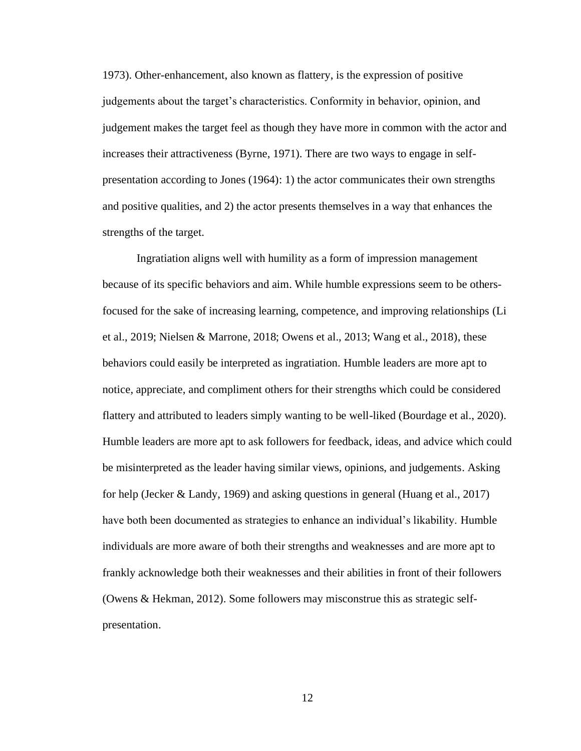1973). Other-enhancement, also known as flattery, is the expression of positive judgements about the target's characteristics. Conformity in behavior, opinion, and judgement makes the target feel as though they have more in common with the actor and increases their attractiveness (Byrne, 1971). There are two ways to engage in selfpresentation according to Jones (1964): 1) the actor communicates their own strengths and positive qualities, and 2) the actor presents themselves in a way that enhances the strengths of the target.

Ingratiation aligns well with humility as a form of impression management because of its specific behaviors and aim. While humble expressions seem to be othersfocused for the sake of increasing learning, competence, and improving relationships (Li et al., 2019; Nielsen & Marrone, 2018; Owens et al., 2013; Wang et al., 2018), these behaviors could easily be interpreted as ingratiation. Humble leaders are more apt to notice, appreciate, and compliment others for their strengths which could be considered flattery and attributed to leaders simply wanting to be well-liked (Bourdage et al., 2020). Humble leaders are more apt to ask followers for feedback, ideas, and advice which could be misinterpreted as the leader having similar views, opinions, and judgements. Asking for help (Jecker & Landy, 1969) and asking questions in general (Huang et al., 2017) have both been documented as strategies to enhance an individual's likability. Humble individuals are more aware of both their strengths and weaknesses and are more apt to frankly acknowledge both their weaknesses and their abilities in front of their followers (Owens & Hekman, 2012). Some followers may misconstrue this as strategic selfpresentation.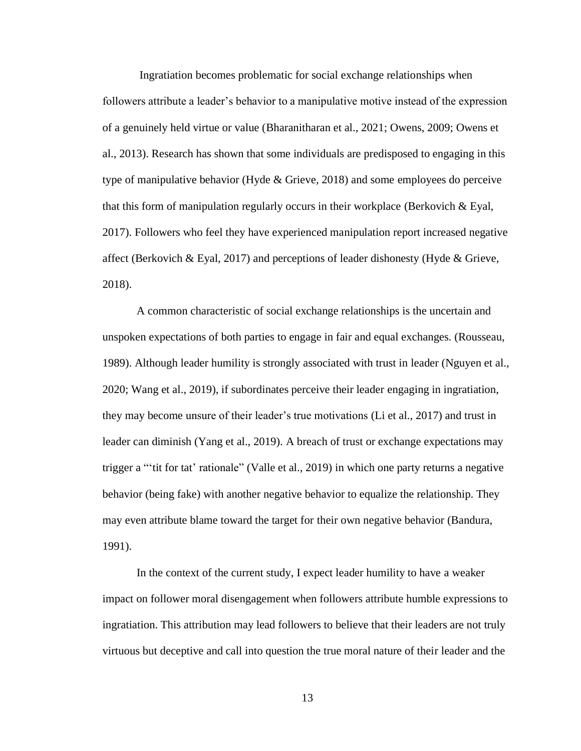Ingratiation becomes problematic for social exchange relationships when followers attribute a leader's behavior to a manipulative motive instead of the expression of a genuinely held virtue or value (Bharanitharan et al., 2021; Owens, 2009; Owens et al., 2013). Research has shown that some individuals are predisposed to engaging in this type of manipulative behavior (Hyde & Grieve, 2018) and some employees do perceive that this form of manipulation regularly occurs in their workplace (Berkovich & Eyal, 2017). Followers who feel they have experienced manipulation report increased negative affect (Berkovich & Eyal, 2017) and perceptions of leader dishonesty (Hyde & Grieve, 2018).

A common characteristic of social exchange relationships is the uncertain and unspoken expectations of both parties to engage in fair and equal exchanges. (Rousseau, 1989). Although leader humility is strongly associated with trust in leader (Nguyen et al., 2020; Wang et al., 2019), if subordinates perceive their leader engaging in ingratiation, they may become unsure of their leader's true motivations (Li et al., 2017) and trust in leader can diminish (Yang et al., 2019). A breach of trust or exchange expectations may trigger a "'tit for tat' rationale" (Valle et al., 2019) in which one party returns a negative behavior (being fake) with another negative behavior to equalize the relationship. They may even attribute blame toward the target for their own negative behavior (Bandura, 1991).

In the context of the current study, I expect leader humility to have a weaker impact on follower moral disengagement when followers attribute humble expressions to ingratiation. This attribution may lead followers to believe that their leaders are not truly virtuous but deceptive and call into question the true moral nature of their leader and the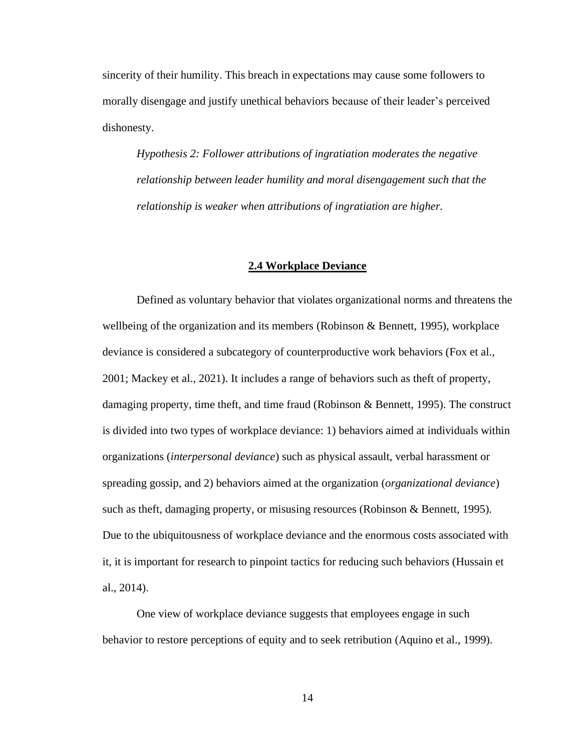sincerity of their humility. This breach in expectations may cause some followers to morally disengage and justify unethical behaviors because of their leader's perceived dishonesty.

*Hypothesis 2: Follower attributions of ingratiation moderates the negative relationship between leader humility and moral disengagement such that the relationship is weaker when attributions of ingratiation are higher.* 

## **2.4 Workplace Deviance**

Defined as voluntary behavior that violates organizational norms and threatens the wellbeing of the organization and its members (Robinson & Bennett, 1995), workplace deviance is considered a subcategory of counterproductive work behaviors (Fox et al., 2001; Mackey et al., 2021). It includes a range of behaviors such as theft of property, damaging property, time theft, and time fraud (Robinson & Bennett, 1995). The construct is divided into two types of workplace deviance: 1) behaviors aimed at individuals within organizations (*interpersonal deviance*) such as physical assault, verbal harassment or spreading gossip, and 2) behaviors aimed at the organization (*organizational deviance*) such as theft, damaging property, or misusing resources (Robinson & Bennett, 1995). Due to the ubiquitousness of workplace deviance and the enormous costs associated with it, it is important for research to pinpoint tactics for reducing such behaviors (Hussain et al., 2014).

One view of workplace deviance suggests that employees engage in such behavior to restore perceptions of equity and to seek retribution (Aquino et al., 1999).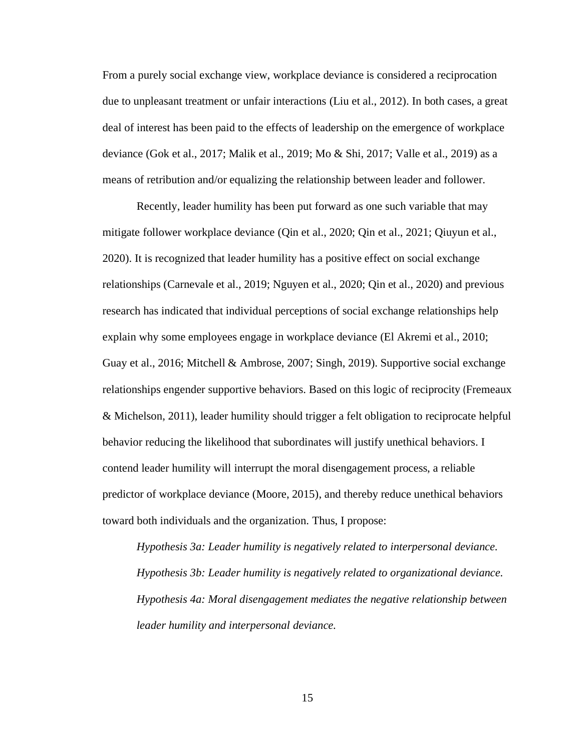From a purely social exchange view, workplace deviance is considered a reciprocation due to unpleasant treatment or unfair interactions (Liu et al., 2012). In both cases, a great deal of interest has been paid to the effects of leadership on the emergence of workplace deviance (Gok et al., 2017; Malik et al., 2019; Mo & Shi, 2017; Valle et al., 2019) as a means of retribution and/or equalizing the relationship between leader and follower.

Recently, leader humility has been put forward as one such variable that may mitigate follower workplace deviance (Qin et al., 2020; Qin et al., 2021; Qiuyun et al., 2020). It is recognized that leader humility has a positive effect on social exchange relationships (Carnevale et al., 2019; Nguyen et al., 2020; Qin et al., 2020) and previous research has indicated that individual perceptions of social exchange relationships help explain why some employees engage in workplace deviance (El Akremi et al., 2010; Guay et al., 2016; Mitchell & Ambrose, 2007; Singh, 2019). Supportive social exchange relationships engender supportive behaviors. Based on this logic of reciprocity (Fremeaux & Michelson, 2011), leader humility should trigger a felt obligation to reciprocate helpful behavior reducing the likelihood that subordinates will justify unethical behaviors. I contend leader humility will interrupt the moral disengagement process, a reliable predictor of workplace deviance (Moore, 2015), and thereby reduce unethical behaviors toward both individuals and the organization. Thus, I propose:

*Hypothesis 3a: Leader humility is negatively related to interpersonal deviance. Hypothesis 3b: Leader humility is negatively related to organizational deviance. Hypothesis 4a: Moral disengagement mediates the negative relationship between leader humility and interpersonal deviance.*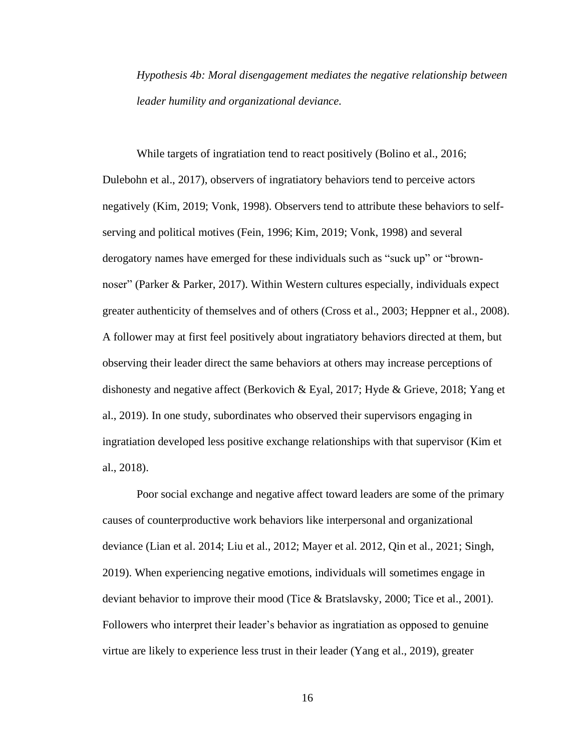*Hypothesis 4b: Moral disengagement mediates the negative relationship between leader humility and organizational deviance.*

While targets of ingratiation tend to react positively (Bolino et al., 2016; Dulebohn et al., 2017), observers of ingratiatory behaviors tend to perceive actors negatively (Kim, 2019; Vonk, 1998). Observers tend to attribute these behaviors to selfserving and political motives (Fein, 1996; Kim, 2019; Vonk, 1998) and several derogatory names have emerged for these individuals such as "suck up" or "brownnoser" (Parker & Parker, 2017). Within Western cultures especially, individuals expect greater authenticity of themselves and of others (Cross et al., 2003; Heppner et al., 2008). A follower may at first feel positively about ingratiatory behaviors directed at them, but observing their leader direct the same behaviors at others may increase perceptions of dishonesty and negative affect (Berkovich & Eyal, 2017; Hyde & Grieve, 2018; Yang et al., 2019). In one study, subordinates who observed their supervisors engaging in ingratiation developed less positive exchange relationships with that supervisor (Kim et al., 2018).

Poor social exchange and negative affect toward leaders are some of the primary causes of counterproductive work behaviors like interpersonal and organizational deviance (Lian et al. 2014; Liu et al., 2012; Mayer et al. 2012, Qin et al., 2021; Singh, 2019). When experiencing negative emotions, individuals will sometimes engage in deviant behavior to improve their mood (Tice & Bratslavsky, 2000; Tice et al., 2001). Followers who interpret their leader's behavior as ingratiation as opposed to genuine virtue are likely to experience less trust in their leader (Yang et al., 2019), greater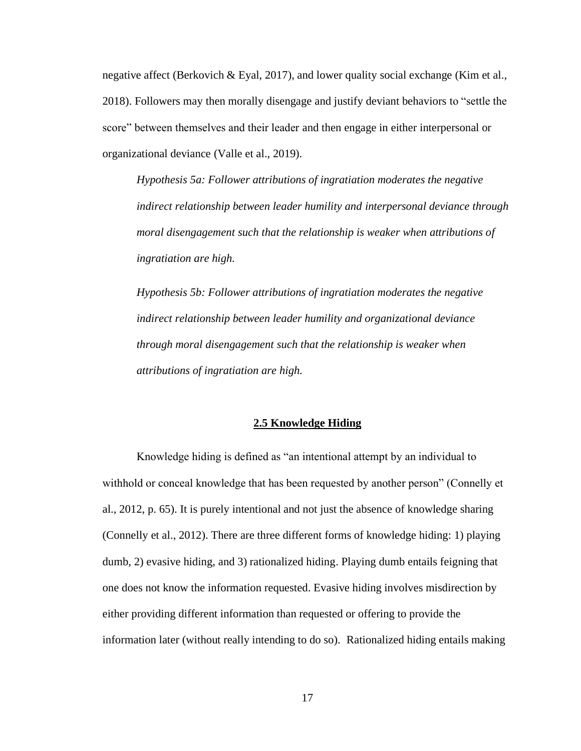negative affect (Berkovich & Eyal, 2017), and lower quality social exchange (Kim et al., 2018). Followers may then morally disengage and justify deviant behaviors to "settle the score" between themselves and their leader and then engage in either interpersonal or organizational deviance (Valle et al., 2019).

*Hypothesis 5a: Follower attributions of ingratiation moderates the negative indirect relationship between leader humility and interpersonal deviance through moral disengagement such that the relationship is weaker when attributions of ingratiation are high.*

*Hypothesis 5b: Follower attributions of ingratiation moderates the negative indirect relationship between leader humility and organizational deviance through moral disengagement such that the relationship is weaker when attributions of ingratiation are high.* 

## **2.5 Knowledge Hiding**

Knowledge hiding is defined as "an intentional attempt by an individual to withhold or conceal knowledge that has been requested by another person" (Connelly et al., 2012, p. 65). It is purely intentional and not just the absence of knowledge sharing (Connelly et al., 2012). There are three different forms of knowledge hiding: 1) playing dumb, 2) evasive hiding, and 3) rationalized hiding. Playing dumb entails feigning that one does not know the information requested. Evasive hiding involves misdirection by either providing different information than requested or offering to provide the information later (without really intending to do so). Rationalized hiding entails making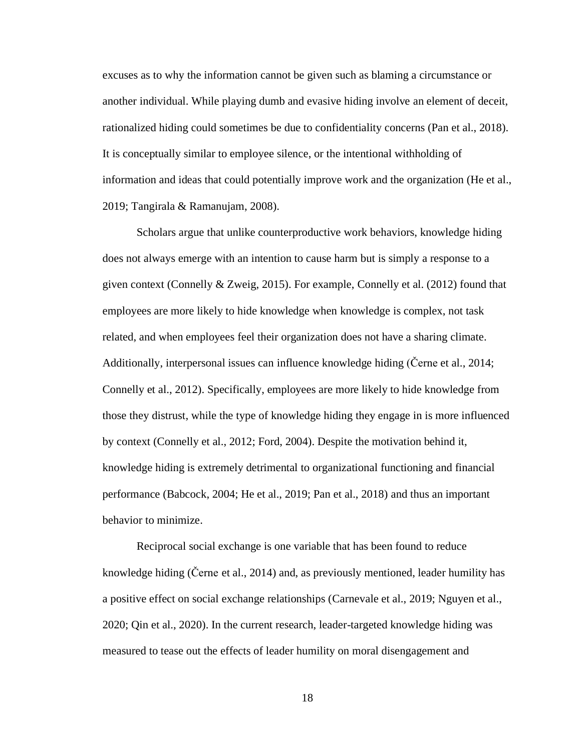excuses as to why the information cannot be given such as blaming a circumstance or another individual. While playing dumb and evasive hiding involve an element of deceit, rationalized hiding could sometimes be due to confidentiality concerns (Pan et al., 2018). It is conceptually similar to employee silence, or the intentional withholding of information and ideas that could potentially improve work and the organization (He et al., 2019; Tangirala & Ramanujam, 2008).

Scholars argue that unlike counterproductive work behaviors, knowledge hiding does not always emerge with an intention to cause harm but is simply a response to a given context (Connelly & Zweig, 2015). For example, Connelly et al. (2012) found that employees are more likely to hide knowledge when knowledge is complex, not task related, and when employees feel their organization does not have a sharing climate. Additionally, interpersonal issues can influence knowledge hiding (Černe et al., 2014; Connelly et al., 2012). Specifically, employees are more likely to hide knowledge from those they distrust, while the type of knowledge hiding they engage in is more influenced by context (Connelly et al., 2012; Ford, 2004). Despite the motivation behind it, knowledge hiding is extremely detrimental to organizational functioning and financial performance (Babcock, 2004; He et al., 2019; Pan et al., 2018) and thus an important behavior to minimize.

Reciprocal social exchange is one variable that has been found to reduce knowledge hiding (Černe et al., 2014) and, as previously mentioned, leader humility has a positive effect on social exchange relationships (Carnevale et al., 2019; Nguyen et al., 2020; Qin et al., 2020). In the current research, leader-targeted knowledge hiding was measured to tease out the effects of leader humility on moral disengagement and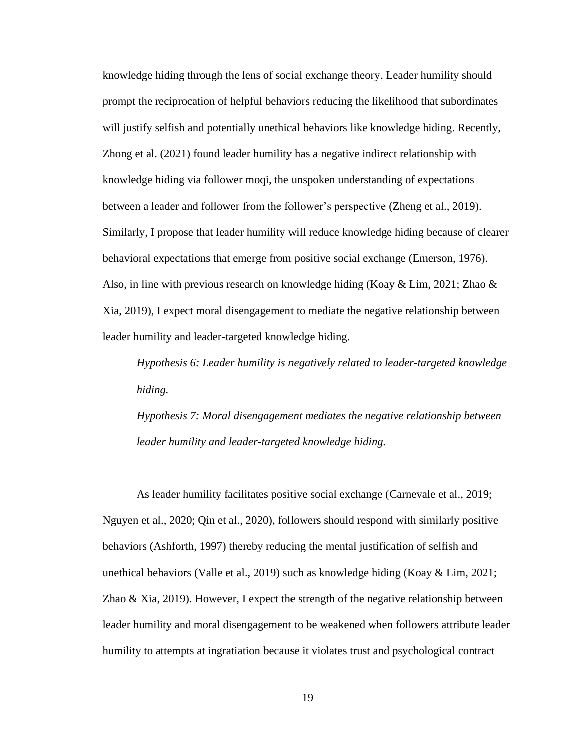knowledge hiding through the lens of social exchange theory. Leader humility should prompt the reciprocation of helpful behaviors reducing the likelihood that subordinates will justify selfish and potentially unethical behaviors like knowledge hiding. Recently, Zhong et al. (2021) found leader humility has a negative indirect relationship with knowledge hiding via follower moqi, the unspoken understanding of expectations between a leader and follower from the follower's perspective (Zheng et al., 2019). Similarly, I propose that leader humility will reduce knowledge hiding because of clearer behavioral expectations that emerge from positive social exchange (Emerson, 1976). Also, in line with previous research on knowledge hiding (Koay & Lim, 2021; Zhao & Xia, 2019), I expect moral disengagement to mediate the negative relationship between leader humility and leader-targeted knowledge hiding.

*Hypothesis 6: Leader humility is negatively related to leader-targeted knowledge hiding.* 

*Hypothesis 7: Moral disengagement mediates the negative relationship between leader humility and leader-targeted knowledge hiding.* 

As leader humility facilitates positive social exchange (Carnevale et al., 2019; Nguyen et al., 2020; Qin et al., 2020), followers should respond with similarly positive behaviors (Ashforth, 1997) thereby reducing the mental justification of selfish and unethical behaviors (Valle et al., 2019) such as knowledge hiding (Koay & Lim, 2021; Zhao & Xia, 2019). However, I expect the strength of the negative relationship between leader humility and moral disengagement to be weakened when followers attribute leader humility to attempts at ingratiation because it violates trust and psychological contract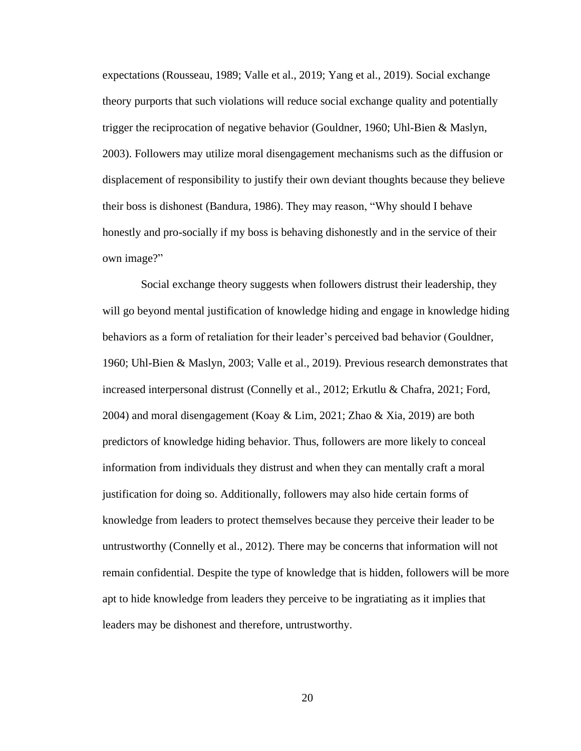expectations (Rousseau, 1989; Valle et al., 2019; Yang et al., 2019). Social exchange theory purports that such violations will reduce social exchange quality and potentially trigger the reciprocation of negative behavior (Gouldner, 1960; Uhl-Bien & Maslyn, 2003). Followers may utilize moral disengagement mechanisms such as the diffusion or displacement of responsibility to justify their own deviant thoughts because they believe their boss is dishonest (Bandura, 1986). They may reason, "Why should I behave honestly and pro-socially if my boss is behaving dishonestly and in the service of their own image?"

Social exchange theory suggests when followers distrust their leadership, they will go beyond mental justification of knowledge hiding and engage in knowledge hiding behaviors as a form of retaliation for their leader's perceived bad behavior (Gouldner, 1960; Uhl-Bien & Maslyn, 2003; Valle et al., 2019). Previous research demonstrates that increased interpersonal distrust (Connelly et al., 2012; Erkutlu & Chafra, 2021; Ford, 2004) and moral disengagement (Koay & Lim, 2021; Zhao & Xia, 2019) are both predictors of knowledge hiding behavior. Thus, followers are more likely to conceal information from individuals they distrust and when they can mentally craft a moral justification for doing so. Additionally, followers may also hide certain forms of knowledge from leaders to protect themselves because they perceive their leader to be untrustworthy (Connelly et al., 2012). There may be concerns that information will not remain confidential. Despite the type of knowledge that is hidden, followers will be more apt to hide knowledge from leaders they perceive to be ingratiating as it implies that leaders may be dishonest and therefore, untrustworthy.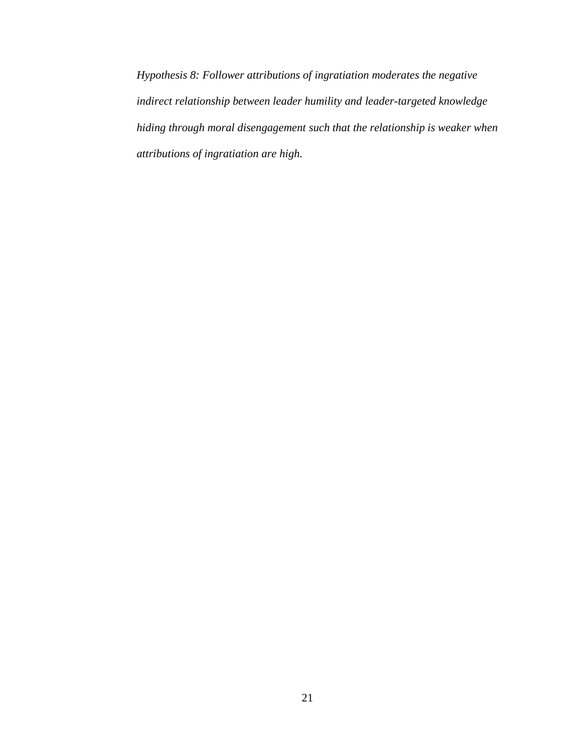*Hypothesis 8: Follower attributions of ingratiation moderates the negative indirect relationship between leader humility and leader-targeted knowledge hiding through moral disengagement such that the relationship is weaker when attributions of ingratiation are high.*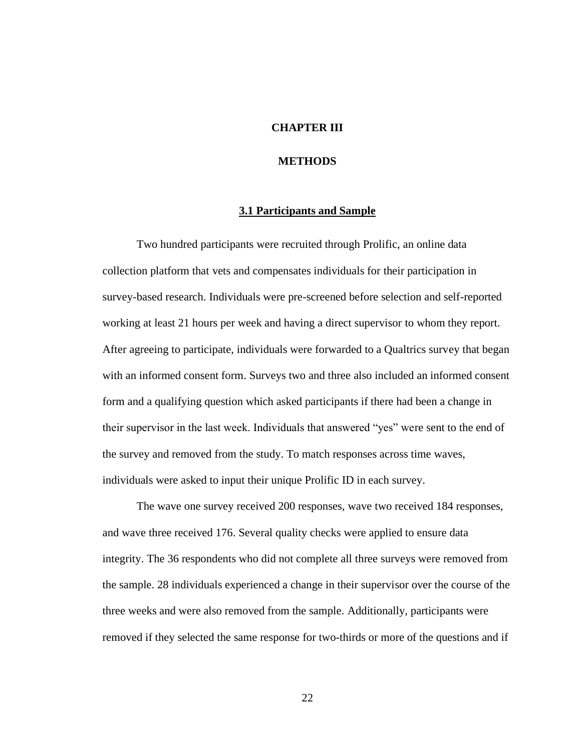## **CHAPTER III**

## **METHODS**

### **3.1 Participants and Sample**

Two hundred participants were recruited through Prolific, an online data collection platform that vets and compensates individuals for their participation in survey-based research. Individuals were pre-screened before selection and self-reported working at least 21 hours per week and having a direct supervisor to whom they report. After agreeing to participate, individuals were forwarded to a Qualtrics survey that began with an informed consent form. Surveys two and three also included an informed consent form and a qualifying question which asked participants if there had been a change in their supervisor in the last week. Individuals that answered "yes" were sent to the end of the survey and removed from the study. To match responses across time waves, individuals were asked to input their unique Prolific ID in each survey.

The wave one survey received 200 responses, wave two received 184 responses, and wave three received 176. Several quality checks were applied to ensure data integrity. The 36 respondents who did not complete all three surveys were removed from the sample. 28 individuals experienced a change in their supervisor over the course of the three weeks and were also removed from the sample. Additionally, participants were removed if they selected the same response for two-thirds or more of the questions and if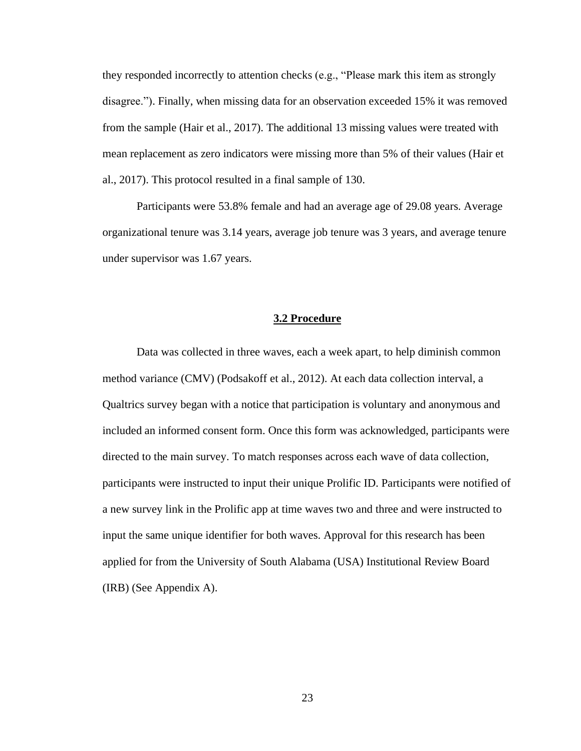they responded incorrectly to attention checks (e.g., "Please mark this item as strongly disagree."). Finally, when missing data for an observation exceeded 15% it was removed from the sample (Hair et al., 2017). The additional 13 missing values were treated with mean replacement as zero indicators were missing more than 5% of their values (Hair et al., 2017). This protocol resulted in a final sample of 130.

Participants were 53.8% female and had an average age of 29.08 years. Average organizational tenure was 3.14 years, average job tenure was 3 years, and average tenure under supervisor was 1.67 years.

## **3.2 Procedure**

Data was collected in three waves, each a week apart, to help diminish common method variance (CMV) (Podsakoff et al., 2012). At each data collection interval, a Qualtrics survey began with a notice that participation is voluntary and anonymous and included an informed consent form. Once this form was acknowledged, participants were directed to the main survey. To match responses across each wave of data collection, participants were instructed to input their unique Prolific ID. Participants were notified of a new survey link in the Prolific app at time waves two and three and were instructed to input the same unique identifier for both waves. Approval for this research has been applied for from the University of South Alabama (USA) Institutional Review Board (IRB) (See Appendix A).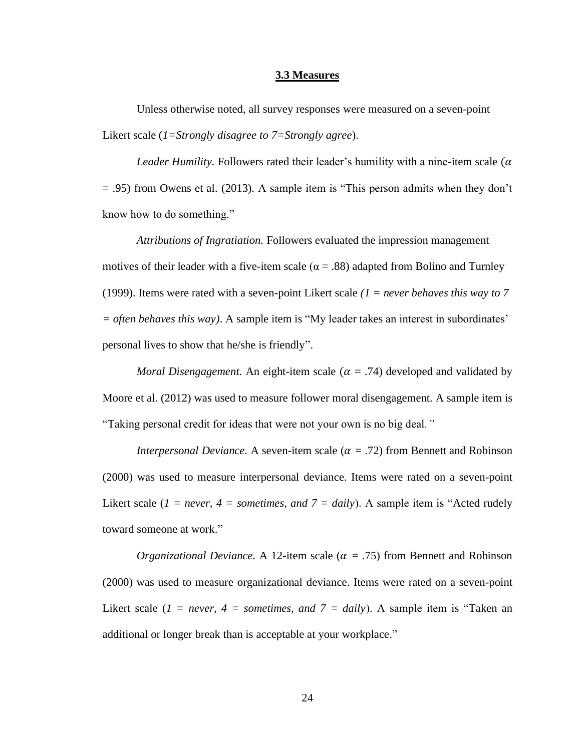#### **3.3 Measures**

Unless otherwise noted, all survey responses were measured on a seven-point Likert scale (*1=Strongly disagree to 7=Strongly agree*).

*Leader Humility.* Followers rated their leader's humility with a nine-item scale ( $\alpha$ )  $= .95$ ) from Owens et al. (2013). A sample item is "This person admits when they don't know how to do something."

*Attributions of Ingratiation.* Followers evaluated the impression management motives of their leader with a five-item scale ( $\alpha = .88$ ) adapted from Bolino and Turnley (1999). Items were rated with a seven-point Likert scale *(1 = never behaves this way to 7 = often behaves this way)*. A sample item is "My leader takes an interest in subordinates' personal lives to show that he/she is friendly".

*Moral Disengagement.* An eight-item scale ( $\alpha = .74$ ) developed and validated by Moore et al. (2012) was used to measure follower moral disengagement. A sample item is "Taking personal credit for ideas that were not your own is no big deal*."*

*Interpersonal Deviance.* A seven-item scale ( $\alpha$  = .72) from Bennett and Robinson (2000) was used to measure interpersonal deviance. Items were rated on a seven-point Likert scale ( $l = never$ ,  $4 = sometimes$ , and  $7 = daily$ ). A sample item is "Acted rudely" toward someone at work."

*Organizational Deviance.* A 12-item scale ( $\alpha$  = .75) from Bennett and Robinson (2000) was used to measure organizational deviance. Items were rated on a seven-point Likert scale  $(I = never, 4 = sometimes, and 7 = daily)$ . A sample item is "Taken an additional or longer break than is acceptable at your workplace."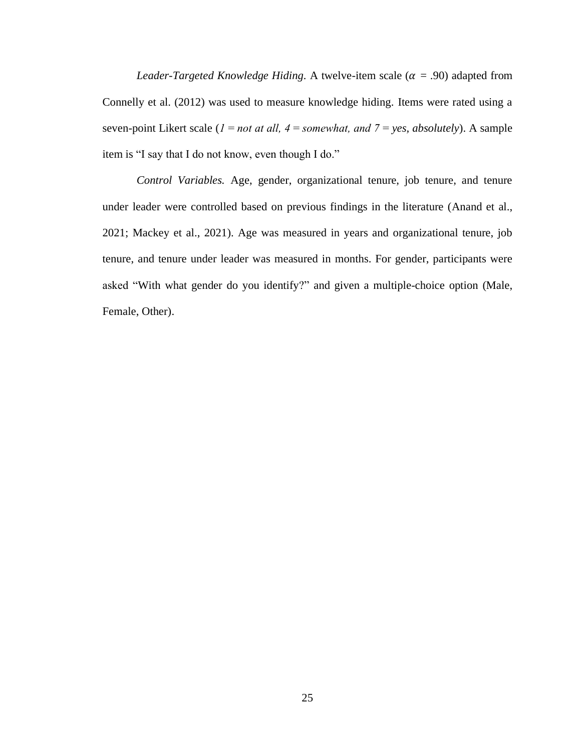*Leader-Targeted Knowledge Hiding.* A twelve-item scale ( $\alpha$  = .90) adapted from Connelly et al. (2012) was used to measure knowledge hiding. Items were rated using a seven-point Likert scale (*1 = not at all, 4 = somewhat, and 7 = yes, absolutely*). A sample item is "I say that I do not know, even though I do."

*Control Variables.* Age, gender, organizational tenure, job tenure, and tenure under leader were controlled based on previous findings in the literature (Anand et al., 2021; Mackey et al., 2021). Age was measured in years and organizational tenure, job tenure, and tenure under leader was measured in months. For gender, participants were asked "With what gender do you identify?" and given a multiple-choice option (Male, Female, Other).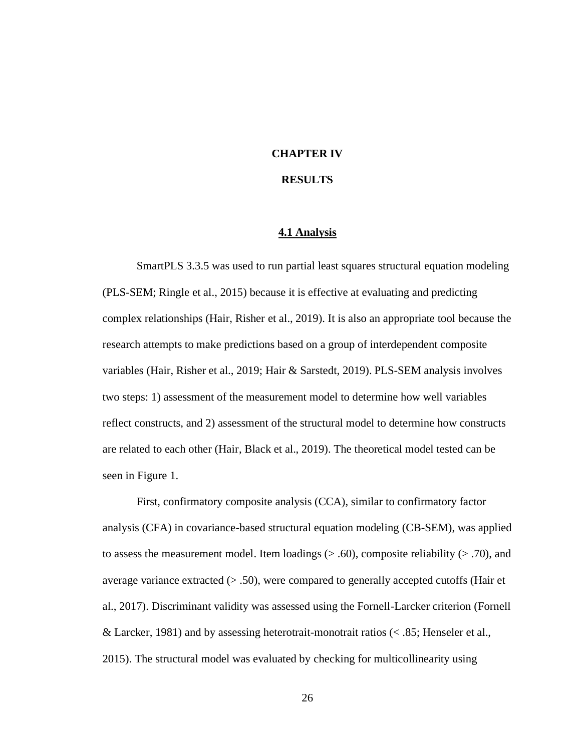## **CHAPTER IV**

## **RESULTS**

#### **4.1 Analysis**

SmartPLS 3.3.5 was used to run partial least squares structural equation modeling (PLS-SEM; Ringle et al., 2015) because it is effective at evaluating and predicting complex relationships (Hair, Risher et al., 2019). It is also an appropriate tool because the research attempts to make predictions based on a group of interdependent composite variables (Hair, Risher et al., 2019; Hair & Sarstedt, 2019). PLS-SEM analysis involves two steps: 1) assessment of the measurement model to determine how well variables reflect constructs, and 2) assessment of the structural model to determine how constructs are related to each other (Hair, Black et al., 2019). The theoretical model tested can be seen in Figure 1.

First, confirmatory composite analysis (CCA), similar to confirmatory factor analysis (CFA) in covariance-based structural equation modeling (CB-SEM), was applied to assess the measurement model. Item loadings  $(> .60)$ , composite reliability  $(> .70)$ , and average variance extracted  $(> 0.50)$ , were compared to generally accepted cutoffs (Hair et al., 2017). Discriminant validity was assessed using the Fornell-Larcker criterion (Fornell & Larcker, 1981) and by assessing heterotrait-monotrait ratios (< .85; Henseler et al., 2015). The structural model was evaluated by checking for multicollinearity using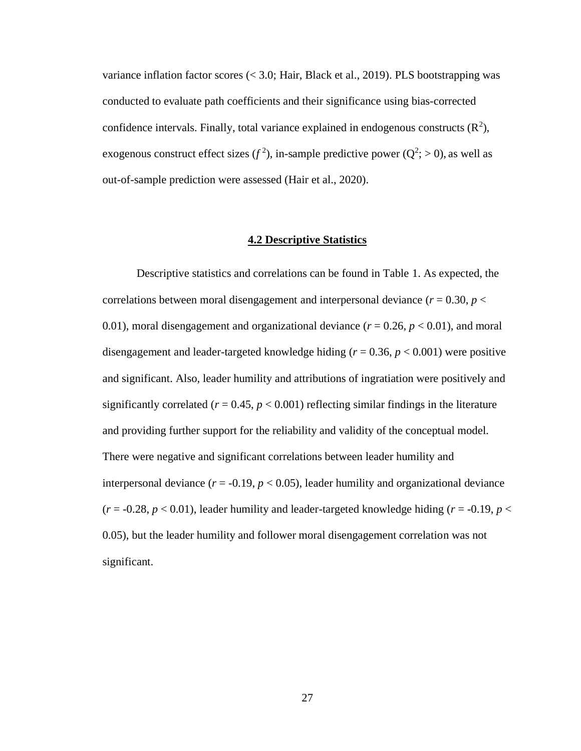variance inflation factor scores (< 3.0; Hair, Black et al., 2019). PLS bootstrapping was conducted to evaluate path coefficients and their significance using bias-corrected confidence intervals. Finally, total variance explained in endogenous constructs  $(R^2)$ , exogenous construct effect sizes  $(f^2)$ , in-sample predictive power  $(Q^2; > 0)$ , as well as out-of-sample prediction were assessed (Hair et al., 2020).

## **4.2 Descriptive Statistics**

Descriptive statistics and correlations can be found in Table 1. As expected, the correlations between moral disengagement and interpersonal deviance  $(r = 0.30, p <$ 0.01), moral disengagement and organizational deviance  $(r = 0.26, p < 0.01)$ , and moral disengagement and leader-targeted knowledge hiding ( $r = 0.36$ ,  $p < 0.001$ ) were positive and significant. Also, leader humility and attributions of ingratiation were positively and significantly correlated ( $r = 0.45$ ,  $p < 0.001$ ) reflecting similar findings in the literature and providing further support for the reliability and validity of the conceptual model. There were negative and significant correlations between leader humility and interpersonal deviance  $(r = -0.19, p < 0.05)$ , leader humility and organizational deviance  $(r = -0.28, p < 0.01)$ , leader humility and leader-targeted knowledge hiding  $(r = -0.19, p <$ 0.05), but the leader humility and follower moral disengagement correlation was not significant.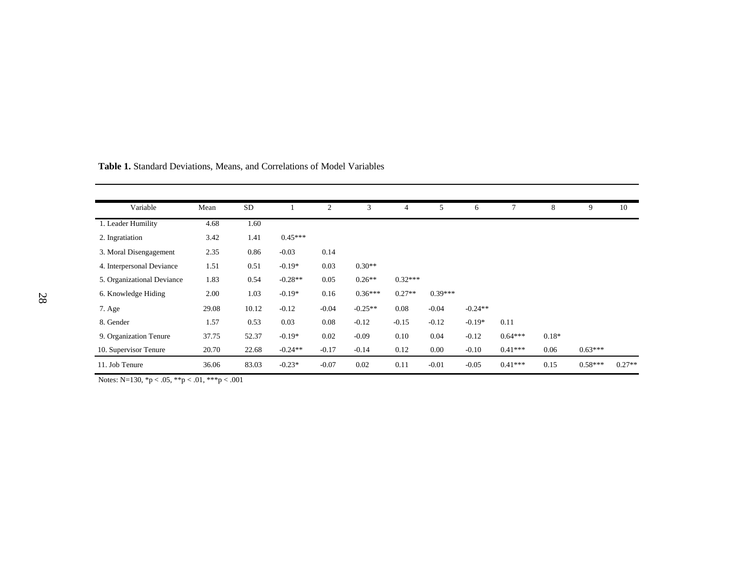| Variable                   | Mean  | <b>SD</b> |           | $\mathbf{2}$ | 3         | $\overline{4}$ | 5         | 6         | 7         | 8       | 9         | 10       |
|----------------------------|-------|-----------|-----------|--------------|-----------|----------------|-----------|-----------|-----------|---------|-----------|----------|
| 1. Leader Humility         | 4.68  | 1.60      |           |              |           |                |           |           |           |         |           |          |
| 2. Ingratiation            | 3.42  | 1.41      | $0.45***$ |              |           |                |           |           |           |         |           |          |
| 3. Moral Disengagement     | 2.35  | 0.86      | $-0.03$   | 0.14         |           |                |           |           |           |         |           |          |
| 4. Interpersonal Deviance  | 1.51  | 0.51      | $-0.19*$  | 0.03         | $0.30**$  |                |           |           |           |         |           |          |
| 5. Organizational Deviance | 1.83  | 0.54      | $-0.28**$ | 0.05         | $0.26**$  | $0.32***$      |           |           |           |         |           |          |
| 6. Knowledge Hiding        | 2.00  | 1.03      | $-0.19*$  | 0.16         | $0.36***$ | $0.27**$       | $0.39***$ |           |           |         |           |          |
| 7. Age                     | 29.08 | 10.12     | $-0.12$   | $-0.04$      | $-0.25**$ | 0.08           | $-0.04$   | $-0.24**$ |           |         |           |          |
| 8. Gender                  | 1.57  | 0.53      | 0.03      | 0.08         | $-0.12$   | $-0.15$        | $-0.12$   | $-0.19*$  | 0.11      |         |           |          |
| 9. Organization Tenure     | 37.75 | 52.37     | $-0.19*$  | 0.02         | $-0.09$   | 0.10           | 0.04      | $-0.12$   | $0.64***$ | $0.18*$ |           |          |
| 10. Supervisor Tenure      | 20.70 | 22.68     | $-0.24**$ | $-0.17$      | $-0.14$   | 0.12           | 0.00      | $-0.10$   | $0.41***$ | 0.06    | $0.63***$ |          |
| 11. Job Tenure             | 36.06 | 83.03     | $-0.23*$  | $-0.07$      | 0.02      | 0.11           | $-0.01$   | $-0.05$   | $0.41***$ | 0.15    | $0.58***$ | $0.27**$ |

**Table 1.** Standard Deviations, Means, and Correlations of Model Variables

Notes: N=130, \*p < .05, \*\*p < .01, \*\*\*p < .001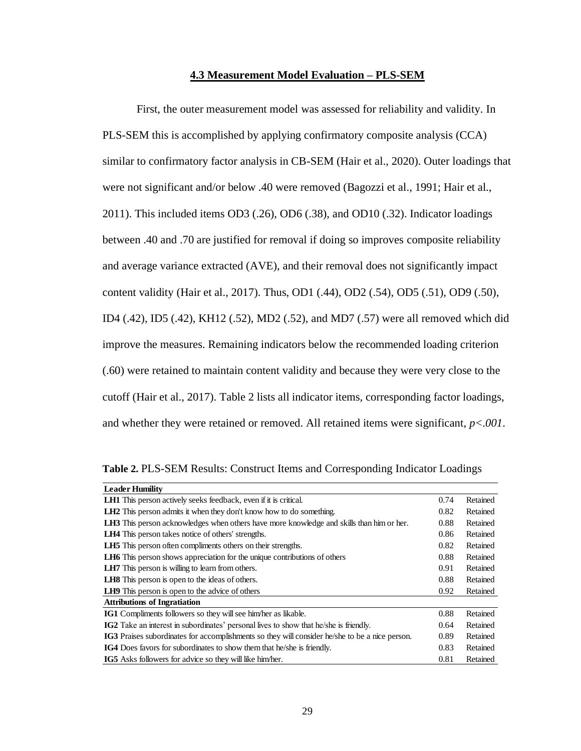### **4.3 Measurement Model Evaluation – PLS-SEM**

First, the outer measurement model was assessed for reliability and validity. In PLS-SEM this is accomplished by applying confirmatory composite analysis (CCA) similar to confirmatory factor analysis in CB-SEM (Hair et al., 2020). Outer loadings that were not significant and/or below .40 were removed (Bagozzi et al., 1991; Hair et al., 2011). This included items OD3 (.26), OD6 (.38), and OD10 (.32). Indicator loadings between .40 and .70 are justified for removal if doing so improves composite reliability and average variance extracted (AVE), and their removal does not significantly impact content validity (Hair et al., 2017). Thus, OD1 (.44), OD2 (.54), OD5 (.51), OD9 (.50), ID4 (.42), ID5 (.42), KH12 (.52), MD2 (.52), and MD7 (.57) were all removed which did improve the measures. Remaining indicators below the recommended loading criterion (.60) were retained to maintain content validity and because they were very close to the cutoff (Hair et al., 2017). Table 2 lists all indicator items, corresponding factor loadings, and whether they were retained or removed. All retained items were significant, *p<.001*.

| Table 2. PLS-SEM Results: Construct Items and Corresponding Indicator Loadings |
|--------------------------------------------------------------------------------|
|--------------------------------------------------------------------------------|

| <b>Leader Humility</b>                                                                          |      |          |  |
|-------------------------------------------------------------------------------------------------|------|----------|--|
| <b>LH1</b> This person actively seeks feedback, even if it is critical.                         | 0.74 | Retained |  |
| <b>LH2</b> This person admits it when they don't know how to do something.                      | 0.82 | Retained |  |
| <b>LH3</b> This person acknowledges when others have more knowledge and skills than him or her. | 0.88 | Retained |  |
| <b>LH4</b> This person takes notice of others' strengths.                                       | 0.86 | Retained |  |
| <b>LH5</b> This person often compliments others on their strengths.                             | 0.82 | Retained |  |
| LH6 This person shows appreciation for the unique contributions of others                       | 0.88 | Retained |  |
| <b>LH7</b> This person is willing to learn from others.                                         | 0.91 | Retained |  |
| <b>LH8</b> This person is open to the ideas of others.                                          | 0.88 | Retained |  |
| <b>LH9</b> This person is open to the advice of others                                          | 0.92 | Retained |  |
| <b>Attributions of Ingratiation</b>                                                             |      |          |  |
| <b>IG1</b> Compliments followers so they will see him/her as likable.                           | 0.88 | Retained |  |
| IG2 Take an interest in subordinates' personal lives to show that he/she is friendly.           | 0.64 | Retained |  |
| IG3 Praises subordinates for accomplishments so they will consider he/she to be a nice person.  | 0.89 | Retained |  |
| 0.83<br><b>IG4</b> Does favors for subordinates to show them that he/she is friendly.           |      |          |  |
| <b>IG5</b> Asks followers for advice so they will like him/her.                                 | 0.81 | Retained |  |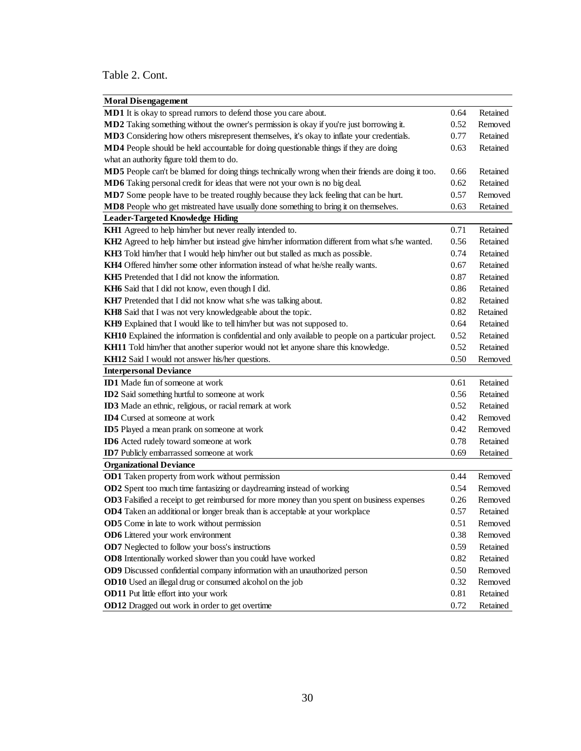Table 2. Cont.

| <b>Moral Disengagement</b>                                                                           |      |          |
|------------------------------------------------------------------------------------------------------|------|----------|
| MD1 It is okay to spread rumors to defend those you care about.                                      | 0.64 | Retained |
| MD2 Taking something without the owner's permission is okay if you're just borrowing it.             | 0.52 | Removed  |
| MD3 Considering how others misrepresent themselves, it's okay to inflate your credentials.           | 0.77 | Retained |
| MD4 People should be held accountable for doing questionable things if they are doing                | 0.63 | Retained |
| what an authority figure told them to do.                                                            |      |          |
| MD5 People can't be blamed for doing things technically wrong when their friends are doing it too.   | 0.66 | Retained |
| MD6 Taking personal credit for ideas that were not your own is no big deal.                          | 0.62 | Retained |
| MD7 Some people have to be treated roughly because they lack feeling that can be hurt.               | 0.57 | Removed  |
| MD8 People who get mistreated have usually done something to bring it on themselves.                 | 0.63 | Retained |
| <b>Leader-Targeted Knowledge Hiding</b>                                                              |      |          |
| KH1 Agreed to help him/her but never really intended to.                                             | 0.71 | Retained |
| KH2 Agreed to help him/her but instead give him/her information different from what s/he wanted.     | 0.56 | Retained |
| KH3 Told him/her that I would help him/her out but stalled as much as possible.                      | 0.74 | Retained |
| KH4 Offered him/her some other information instead of what he/she really wants.                      | 0.67 | Retained |
| <b>KH5</b> Pretended that I did not know the information.                                            | 0.87 | Retained |
| KH6 Said that I did not know, even though I did.                                                     | 0.86 | Retained |
| KH7 Pretended that I did not know what s/he was talking about.                                       | 0.82 | Retained |
| KH8 Said that I was not very knowledgeable about the topic.                                          | 0.82 | Retained |
| KH9 Explained that I would like to tell him/her but was not supposed to.                             | 0.64 | Retained |
| KH10 Explained the information is confidential and only available to people on a particular project. | 0.52 | Retained |
| KH11 Told him/her that another superior would not let anyone share this knowledge.                   | 0.52 | Retained |
| KH12 Said I would not answer his/her questions.                                                      | 0.50 | Removed  |
| <b>Interpersonal Deviance</b>                                                                        |      |          |
| <b>ID1</b> Made fun of someone at work                                                               | 0.61 | Retained |
| <b>ID2</b> Said something hurtful to someone at work                                                 | 0.56 | Retained |
| ID3 Made an ethnic, religious, or racial remark at work                                              | 0.52 | Retained |
| <b>ID4</b> Cursed at someone at work                                                                 | 0.42 | Removed  |
| <b>ID5</b> Played a mean prank on someone at work                                                    | 0.42 | Removed  |
| ID6 Acted rudely toward someone at work                                                              | 0.78 | Retained |
| <b>ID7</b> Publicly embarrassed someone at work                                                      | 0.69 | Retained |
| <b>Organizational Deviance</b>                                                                       |      |          |
| OD1 Taken property from work without permission                                                      | 0.44 | Removed  |
| OD2 Spent too much time fantasizing or daydreaming instead of working                                | 0.54 | Removed  |
| OD3 Falsified a receipt to get reimbursed for more money than you spent on business expenses         | 0.26 | Removed  |
| OD4 Taken an additional or longer break than is acceptable at your workplace                         | 0.57 | Retained |
| OD5 Come in late to work without permission                                                          | 0.51 | Removed  |
| <b>OD6</b> Littered your work environment                                                            | 0.38 | Removed  |
| <b>OD7</b> Neglected to follow your boss's instructions                                              | 0.59 | Retained |
| OD8 Intentionally worked slower than you could have worked                                           | 0.82 | Retained |
| OD9 Discussed confidential company information with an unauthorized person                           | 0.50 | Removed  |
| OD10 Used an illegal drug or consumed alcohol on the job                                             | 0.32 | Removed  |
| <b>OD11</b> Put little effort into your work                                                         | 0.81 | Retained |
| <b>OD12</b> Dragged out work in order to get overtime                                                | 0.72 | Retained |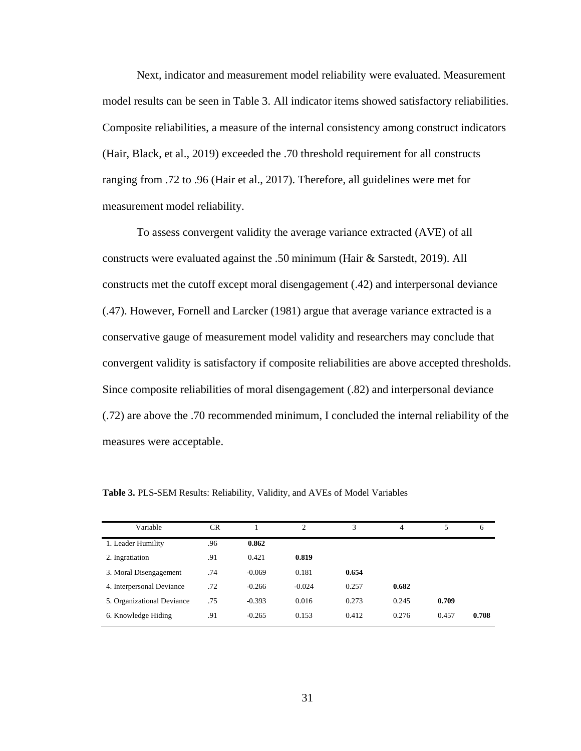Next, indicator and measurement model reliability were evaluated. Measurement model results can be seen in Table 3. All indicator items showed satisfactory reliabilities. Composite reliabilities, a measure of the internal consistency among construct indicators (Hair, Black, et al., 2019) exceeded the .70 threshold requirement for all constructs ranging from .72 to .96 (Hair et al., 2017). Therefore, all guidelines were met for measurement model reliability.

To assess convergent validity the average variance extracted (AVE) of all constructs were evaluated against the .50 minimum (Hair & Sarstedt, 2019). All constructs met the cutoff except moral disengagement (.42) and interpersonal deviance (.47). However, Fornell and Larcker (1981) argue that average variance extracted is a conservative gauge of measurement model validity and researchers may conclude that convergent validity is satisfactory if composite reliabilities are above accepted thresholds. Since composite reliabilities of moral disengagement (.82) and interpersonal deviance (.72) are above the .70 recommended minimum, I concluded the internal reliability of the measures were acceptable.

| Variable                   | CR  |          | 2        | 3     | 4     |       | 6     |
|----------------------------|-----|----------|----------|-------|-------|-------|-------|
| 1. Leader Humility         | .96 | 0.862    |          |       |       |       |       |
| 2. Ingratiation            | .91 | 0.421    | 0.819    |       |       |       |       |
| 3. Moral Disengagement     | .74 | $-0.069$ | 0.181    | 0.654 |       |       |       |
| 4. Interpersonal Deviance  | .72 | $-0.266$ | $-0.024$ | 0.257 | 0.682 |       |       |
| 5. Organizational Deviance | .75 | $-0.393$ | 0.016    | 0.273 | 0.245 | 0.709 |       |
| 6. Knowledge Hiding        | .91 | $-0.265$ | 0.153    | 0.412 | 0.276 | 0.457 | 0.708 |

**Table 3.** PLS-SEM Results: Reliability, Validity, and AVEs of Model Variables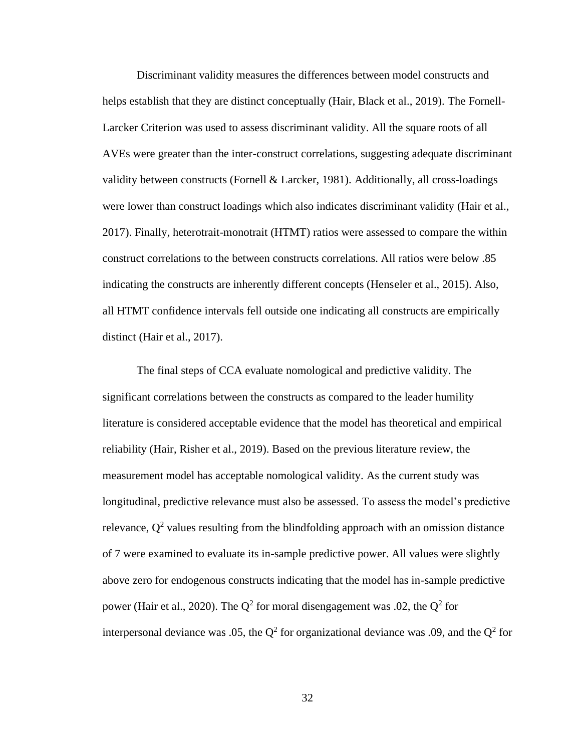Discriminant validity measures the differences between model constructs and helps establish that they are distinct conceptually (Hair, Black et al., 2019). The Fornell-Larcker Criterion was used to assess discriminant validity. All the square roots of all AVEs were greater than the inter-construct correlations, suggesting adequate discriminant validity between constructs (Fornell  $& Larcker, 1981$ ). Additionally, all cross-loadings were lower than construct loadings which also indicates discriminant validity (Hair et al., 2017). Finally, heterotrait-monotrait (HTMT) ratios were assessed to compare the within construct correlations to the between constructs correlations. All ratios were below .85 indicating the constructs are inherently different concepts (Henseler et al., 2015). Also, all HTMT confidence intervals fell outside one indicating all constructs are empirically distinct (Hair et al., 2017).

The final steps of CCA evaluate nomological and predictive validity. The significant correlations between the constructs as compared to the leader humility literature is considered acceptable evidence that the model has theoretical and empirical reliability (Hair, Risher et al., 2019). Based on the previous literature review, the measurement model has acceptable nomological validity. As the current study was longitudinal, predictive relevance must also be assessed. To assess the model's predictive relevance,  $Q^2$  values resulting from the blindfolding approach with an omission distance of 7 were examined to evaluate its in-sample predictive power. All values were slightly above zero for endogenous constructs indicating that the model has in-sample predictive power (Hair et al., 2020). The  $Q^2$  for moral disengagement was .02, the  $Q^2$  for interpersonal deviance was .05, the  $Q^2$  for organizational deviance was .09, and the  $Q^2$  for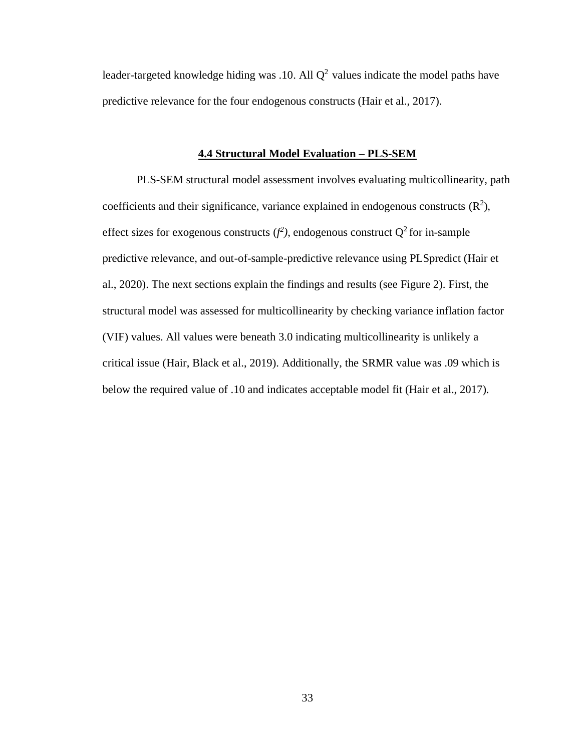leader-targeted knowledge hiding was .10. All  $Q^2$  values indicate the model paths have predictive relevance for the four endogenous constructs (Hair et al., 2017).

### **4.4 Structural Model Evaluation – PLS-SEM**

PLS-SEM structural model assessment involves evaluating multicollinearity, path coefficients and their significance, variance explained in endogenous constructs  $(R<sup>2</sup>)$ , effect sizes for exogenous constructs  $(f^2)$ , endogenous construct  $Q^2$  for in-sample predictive relevance, and out-of-sample-predictive relevance using PLSpredict (Hair et al., 2020). The next sections explain the findings and results (see Figure 2). First, the structural model was assessed for multicollinearity by checking variance inflation factor (VIF) values. All values were beneath 3.0 indicating multicollinearity is unlikely a critical issue (Hair, Black et al., 2019). Additionally, the SRMR value was .09 which is below the required value of .10 and indicates acceptable model fit (Hair et al., 2017).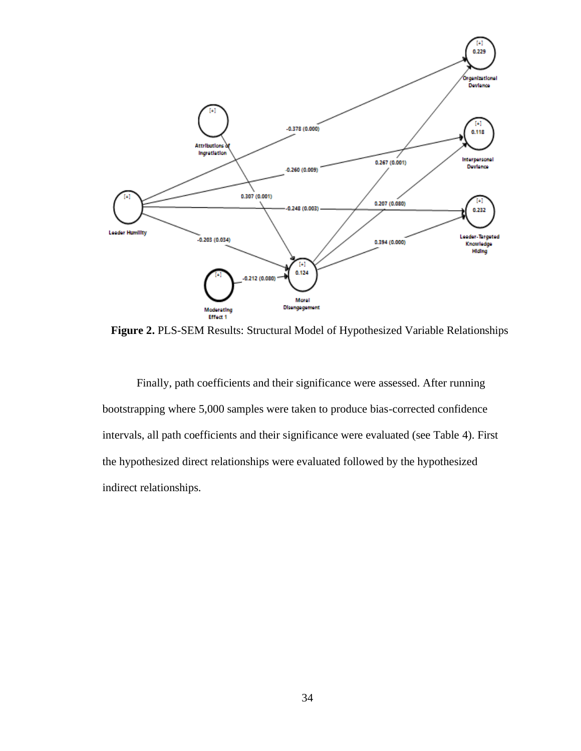

**Figure 2.** PLS-SEM Results: Structural Model of Hypothesized Variable Relationships

Finally, path coefficients and their significance were assessed. After running bootstrapping where 5,000 samples were taken to produce bias-corrected confidence intervals, all path coefficients and their significance were evaluated (see Table 4). First the hypothesized direct relationships were evaluated followed by the hypothesized indirect relationships.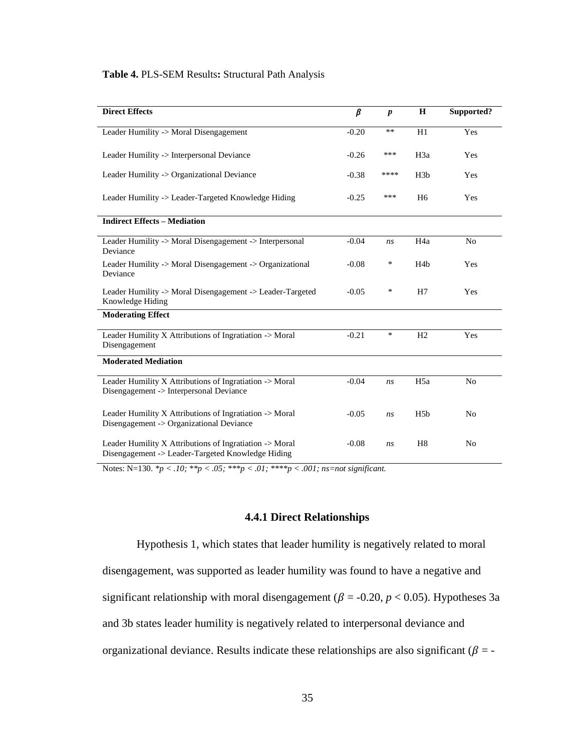### **Table 4.** PLS-SEM Results**:** Structural Path Analysis

|                                                           |         |                  | H                |                |
|-----------------------------------------------------------|---------|------------------|------------------|----------------|
| <b>Direct Effects</b>                                     | $\beta$ | $\boldsymbol{p}$ |                  | Supported?     |
| Leader Humility -> Moral Disengagement                    | $-0.20$ | $***$            | H1               | Yes            |
|                                                           |         |                  |                  |                |
| Leader Humility -> Interpersonal Deviance                 | $-0.26$ | ***              | H3a              | Yes            |
|                                                           |         |                  |                  |                |
| Leader Humility -> Organizational Deviance                | $-0.38$ | ****             | H3b              | Yes            |
|                                                           |         |                  |                  |                |
| Leader Humility -> Leader-Targeted Knowledge Hiding       | $-0.25$ | ***              | H <sub>6</sub>   | Yes            |
|                                                           |         |                  |                  |                |
| <b>Indirect Effects - Mediation</b>                       |         |                  |                  |                |
|                                                           |         |                  |                  |                |
| Leader Humility -> Moral Disengagement -> Interpersonal   | $-0.04$ | ns               | H <sub>4</sub> a | N <sub>0</sub> |
| Deviance                                                  |         |                  |                  |                |
| Leader Humility -> Moral Disengagement -> Organizational  | $-0.08$ | ∗                | H <sub>4</sub> b | Yes            |
| Deviance                                                  |         |                  |                  |                |
| Leader Humility -> Moral Disengagement -> Leader-Targeted | $-0.05$ | $\ast$           | H7               | Yes            |
| Knowledge Hiding                                          |         |                  |                  |                |
| <b>Moderating Effect</b>                                  |         |                  |                  |                |
|                                                           |         |                  |                  |                |
| Leader Humility X Attributions of Ingratiation -> Moral   | $-0.21$ | $\ast$           | H <sub>2</sub>   | Yes            |
| Disengagement                                             |         |                  |                  |                |
| <b>Moderated Mediation</b>                                |         |                  |                  |                |
|                                                           |         |                  |                  |                |
| Leader Humility X Attributions of Ingratiation -> Moral   | $-0.04$ | ns               | H <sub>5a</sub>  | N <sub>0</sub> |
| Disengagement -> Interpersonal Deviance                   |         |                  |                  |                |
|                                                           |         |                  |                  |                |
| Leader Humility X Attributions of Ingratiation -> Moral   | $-0.05$ | ns               | H <sub>5</sub> b | N <sub>0</sub> |
| Disengagement -> Organizational Deviance                  |         |                  |                  |                |
|                                                           |         |                  |                  |                |
| Leader Humility X Attributions of Ingratiation -> Moral   | $-0.08$ | ns               | H <sub>8</sub>   | N <sub>0</sub> |
| Disengagement -> Leader-Targeted Knowledge Hiding         |         |                  |                  |                |

Notes: N=130. *\*p < .10; \*\*p < .05; \*\*\*p < .01; \*\*\*\*p < .001; ns=not significant.* 

## **4.4.1 Direct Relationships**

Hypothesis 1, which states that leader humility is negatively related to moral disengagement, was supported as leader humility was found to have a negative and significant relationship with moral disengagement ( $\beta$  = -0.20,  $p$  < 0.05). Hypotheses 3a and 3b states leader humility is negatively related to interpersonal deviance and organizational deviance. Results indicate these relationships are also significant ( $\beta$  = -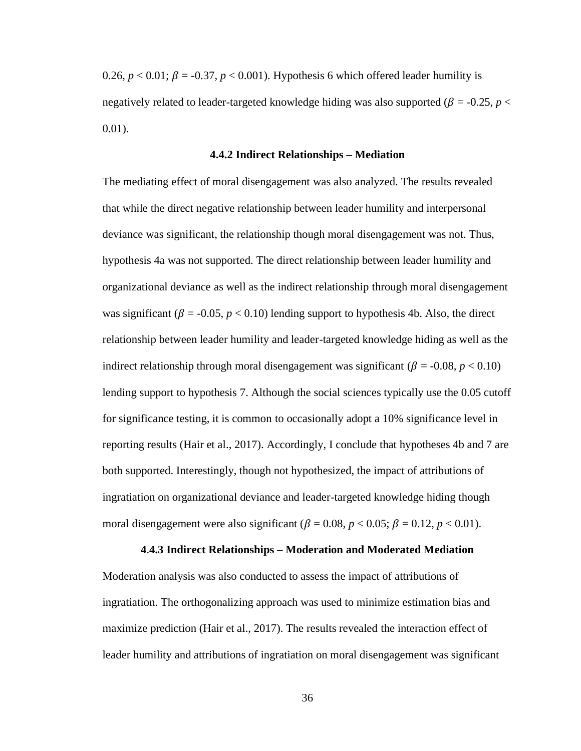0.26,  $p < 0.01$ ;  $\beta = -0.37$ ,  $p < 0.001$ ). Hypothesis 6 which offered leader humility is negatively related to leader-targeted knowledge hiding was also supported  $(\beta = -0.25, p <$ 0.01).

#### **4.4.2 Indirect Relationships – Mediation**

The mediating effect of moral disengagement was also analyzed. The results revealed that while the direct negative relationship between leader humility and interpersonal deviance was significant, the relationship though moral disengagement was not. Thus, hypothesis 4a was not supported. The direct relationship between leader humility and organizational deviance as well as the indirect relationship through moral disengagement was significant ( $\beta$  = -0.05,  $p$  < 0.10) lending support to hypothesis 4b. Also, the direct relationship between leader humility and leader-targeted knowledge hiding as well as the indirect relationship through moral disengagement was significant ( $\beta$  = -0.08,  $p$  < 0.10) lending support to hypothesis 7. Although the social sciences typically use the 0.05 cutoff for significance testing, it is common to occasionally adopt a 10% significance level in reporting results (Hair et al., 2017). Accordingly, I conclude that hypotheses 4b and 7 are both supported. Interestingly, though not hypothesized, the impact of attributions of ingratiation on organizational deviance and leader-targeted knowledge hiding though moral disengagement were also significant ( $\beta = 0.08$ ,  $p < 0.05$ ;  $\beta = 0.12$ ,  $p < 0.01$ ).

# **4**.**4.3 Indirect Relationships – Moderation and Moderated Mediation**

Moderation analysis was also conducted to assess the impact of attributions of ingratiation. The orthogonalizing approach was used to minimize estimation bias and maximize prediction (Hair et al., 2017). The results revealed the interaction effect of leader humility and attributions of ingratiation on moral disengagement was significant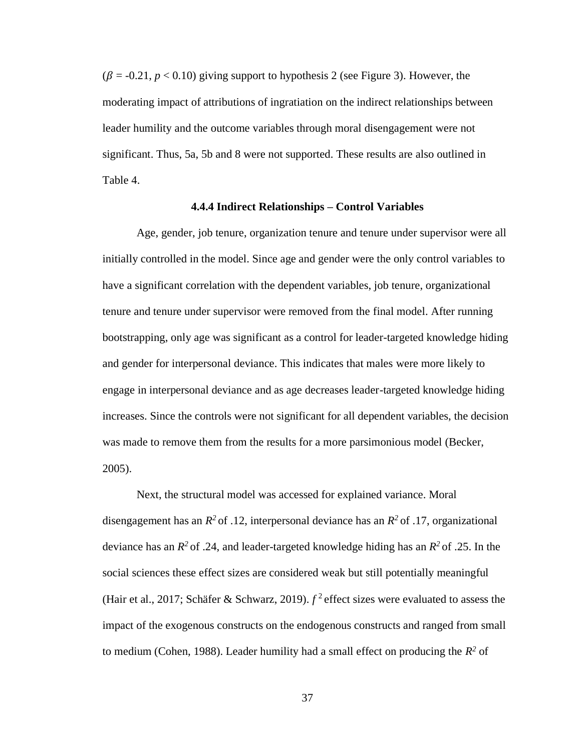$(\beta = -0.21, p < 0.10)$  giving support to hypothesis 2 (see Figure 3). However, the moderating impact of attributions of ingratiation on the indirect relationships between leader humility and the outcome variables through moral disengagement were not significant. Thus, 5a, 5b and 8 were not supported. These results are also outlined in Table 4.

### **4.4.4 Indirect Relationships – Control Variables**

Age, gender, job tenure, organization tenure and tenure under supervisor were all initially controlled in the model. Since age and gender were the only control variables to have a significant correlation with the dependent variables, job tenure, organizational tenure and tenure under supervisor were removed from the final model. After running bootstrapping, only age was significant as a control for leader-targeted knowledge hiding and gender for interpersonal deviance. This indicates that males were more likely to engage in interpersonal deviance and as age decreases leader-targeted knowledge hiding increases. Since the controls were not significant for all dependent variables, the decision was made to remove them from the results for a more parsimonious model (Becker, 2005).

Next, the structural model was accessed for explained variance. Moral disengagement has an *R <sup>2</sup>* of .12, interpersonal deviance has an *R <sup>2</sup>* of .17, organizational deviance has an *R <sup>2</sup>* of .24, and leader-targeted knowledge hiding has an *R <sup>2</sup>* of .25. In the social sciences these effect sizes are considered weak but still potentially meaningful (Hair et al., 2017; Schäfer & Schwarz, 2019).  $f^2$  effect sizes were evaluated to assess the impact of the exogenous constructs on the endogenous constructs and ranged from small to medium (Cohen, 1988). Leader humility had a small effect on producing the  $R^2$  of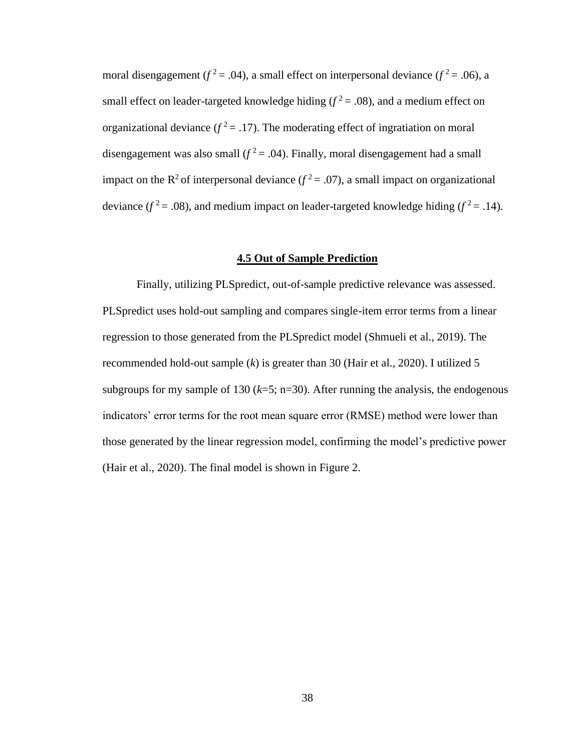moral disengagement ( $f^2 = .04$ ), a small effect on interpersonal deviance ( $f^2 = .06$ ), a small effect on leader-targeted knowledge hiding  $(f^2 = .08)$ , and a medium effect on organizational deviance  $(f^2 = .17)$ . The moderating effect of ingratiation on moral disengagement was also small  $(f^2 = .04)$ . Finally, moral disengagement had a small impact on the R<sup>2</sup> of interpersonal deviance  $(f^2 = .07)$ , a small impact on organizational deviance  $(f^2 = .08)$ , and medium impact on leader-targeted knowledge hiding  $(f^2 = .14)$ .

## **4.5 Out of Sample Prediction**

Finally, utilizing PLSpredict, out-of-sample predictive relevance was assessed. PLSpredict uses hold-out sampling and compares single-item error terms from a linear regression to those generated from the PLSpredict model (Shmueli et al., 2019). The recommended hold-out sample (*k*) is greater than 30 (Hair et al., 2020). I utilized 5 subgroups for my sample of 130  $(k=5; n=30)$ . After running the analysis, the endogenous indicators' error terms for the root mean square error (RMSE) method were lower than those generated by the linear regression model, confirming the model's predictive power (Hair et al., 2020). The final model is shown in Figure 2.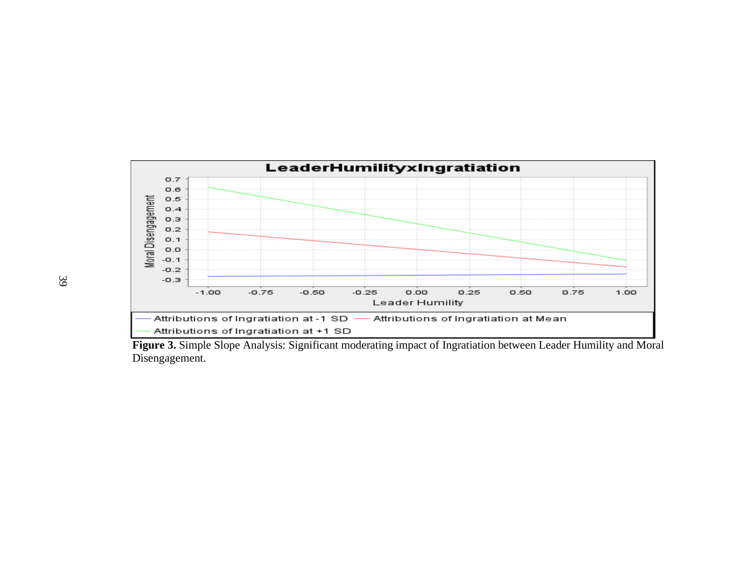

**Figure 3.** Simple Slope Analysis: Significant moderating impact of Ingratiation between Leader Humility and Moral Disengagement.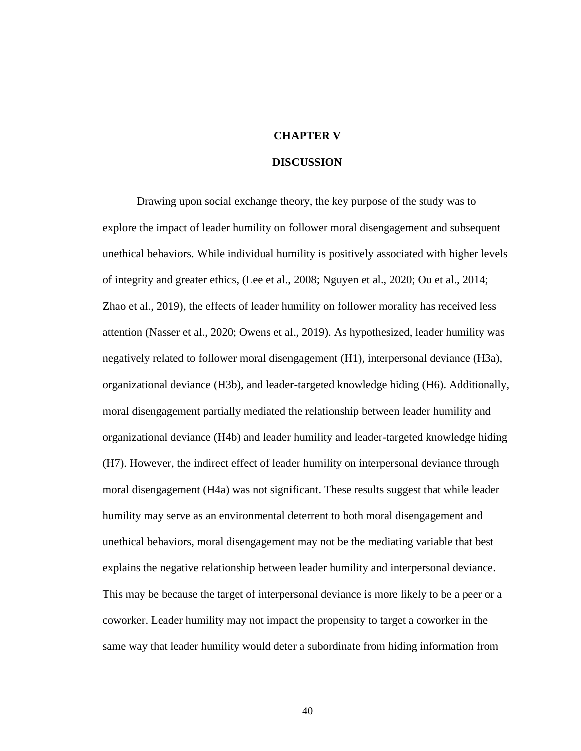# **CHAPTER V**

# **DISCUSSION**

Drawing upon social exchange theory, the key purpose of the study was to explore the impact of leader humility on follower moral disengagement and subsequent unethical behaviors. While individual humility is positively associated with higher levels of integrity and greater ethics, (Lee et al., 2008; Nguyen et al., 2020; Ou et al., 2014; Zhao et al., 2019), the effects of leader humility on follower morality has received less attention (Nasser et al., 2020; Owens et al., 2019). As hypothesized, leader humility was negatively related to follower moral disengagement (H1), interpersonal deviance (H3a), organizational deviance (H3b), and leader-targeted knowledge hiding (H6). Additionally, moral disengagement partially mediated the relationship between leader humility and organizational deviance (H4b) and leader humility and leader-targeted knowledge hiding (H7). However, the indirect effect of leader humility on interpersonal deviance through moral disengagement (H4a) was not significant. These results suggest that while leader humility may serve as an environmental deterrent to both moral disengagement and unethical behaviors, moral disengagement may not be the mediating variable that best explains the negative relationship between leader humility and interpersonal deviance. This may be because the target of interpersonal deviance is more likely to be a peer or a coworker. Leader humility may not impact the propensity to target a coworker in the same way that leader humility would deter a subordinate from hiding information from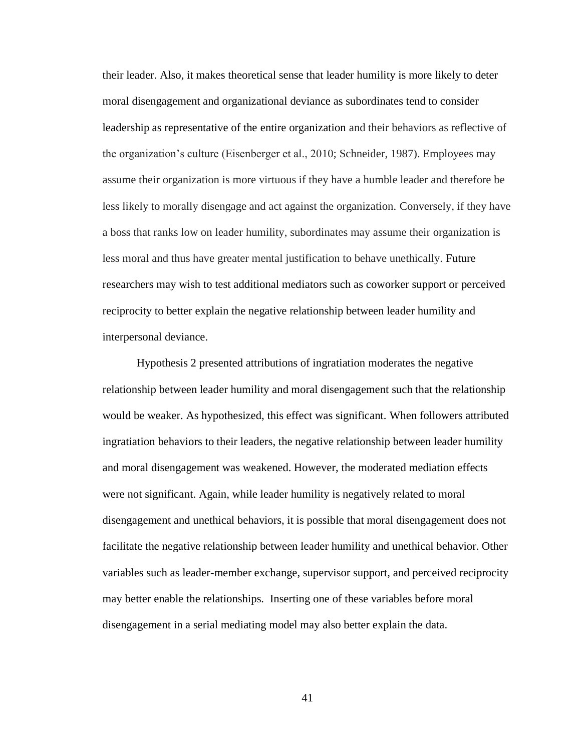their leader. Also, it makes theoretical sense that leader humility is more likely to deter moral disengagement and organizational deviance as subordinates tend to consider leadership as representative of the entire organization and their behaviors as reflective of the organization's culture (Eisenberger et al., 2010; Schneider, 1987). Employees may assume their organization is more virtuous if they have a humble leader and therefore be less likely to morally disengage and act against the organization. Conversely, if they have a boss that ranks low on leader humility, subordinates may assume their organization is less moral and thus have greater mental justification to behave unethically. Future researchers may wish to test additional mediators such as coworker support or perceived reciprocity to better explain the negative relationship between leader humility and interpersonal deviance.

Hypothesis 2 presented attributions of ingratiation moderates the negative relationship between leader humility and moral disengagement such that the relationship would be weaker. As hypothesized, this effect was significant. When followers attributed ingratiation behaviors to their leaders, the negative relationship between leader humility and moral disengagement was weakened. However, the moderated mediation effects were not significant. Again, while leader humility is negatively related to moral disengagement and unethical behaviors, it is possible that moral disengagement does not facilitate the negative relationship between leader humility and unethical behavior. Other variables such as leader-member exchange, supervisor support, and perceived reciprocity may better enable the relationships. Inserting one of these variables before moral disengagement in a serial mediating model may also better explain the data.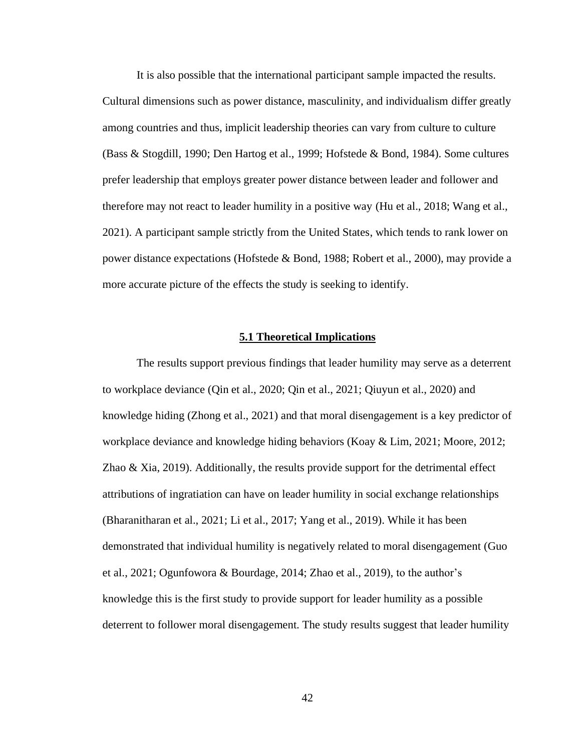It is also possible that the international participant sample impacted the results. Cultural dimensions such as power distance, masculinity, and individualism differ greatly among countries and thus, implicit leadership theories can vary from culture to culture (Bass & Stogdill, 1990; Den Hartog et al., 1999; Hofstede & Bond, 1984). Some cultures prefer leadership that employs greater power distance between leader and follower and therefore may not react to leader humility in a positive way (Hu et al., 2018; Wang et al., 2021). A participant sample strictly from the United States, which tends to rank lower on power distance expectations (Hofstede & Bond, 1988; Robert et al., 2000), may provide a more accurate picture of the effects the study is seeking to identify.

#### **5.1 Theoretical Implications**

The results support previous findings that leader humility may serve as a deterrent to workplace deviance (Qin et al., 2020; Qin et al., 2021; Qiuyun et al., 2020) and knowledge hiding (Zhong et al., 2021) and that moral disengagement is a key predictor of workplace deviance and knowledge hiding behaviors (Koay & Lim, 2021; Moore, 2012; Zhao  $\&$  Xia, 2019). Additionally, the results provide support for the detrimental effect attributions of ingratiation can have on leader humility in social exchange relationships (Bharanitharan et al., 2021; Li et al., 2017; Yang et al., 2019). While it has been demonstrated that individual humility is negatively related to moral disengagement (Guo et al., 2021; Ogunfowora & Bourdage, 2014; Zhao et al., 2019), to the author's knowledge this is the first study to provide support for leader humility as a possible deterrent to follower moral disengagement. The study results suggest that leader humility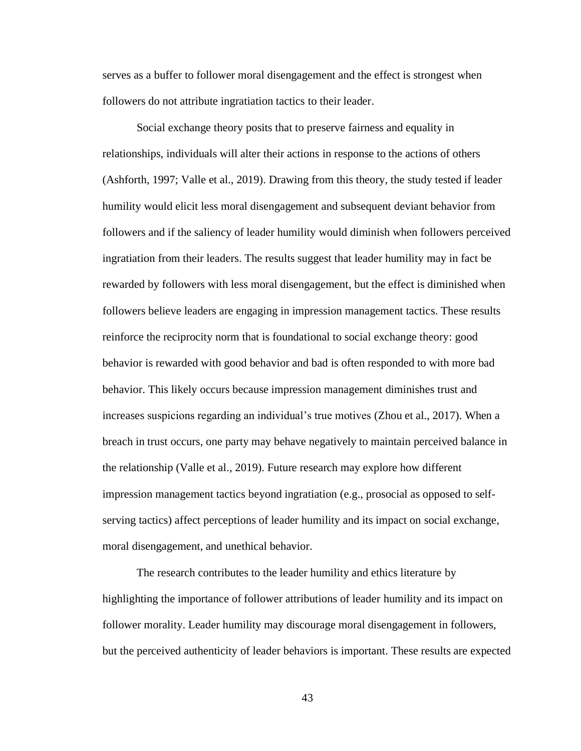serves as a buffer to follower moral disengagement and the effect is strongest when followers do not attribute ingratiation tactics to their leader.

Social exchange theory posits that to preserve fairness and equality in relationships, individuals will alter their actions in response to the actions of others (Ashforth, 1997; Valle et al., 2019). Drawing from this theory, the study tested if leader humility would elicit less moral disengagement and subsequent deviant behavior from followers and if the saliency of leader humility would diminish when followers perceived ingratiation from their leaders. The results suggest that leader humility may in fact be rewarded by followers with less moral disengagement, but the effect is diminished when followers believe leaders are engaging in impression management tactics. These results reinforce the reciprocity norm that is foundational to social exchange theory: good behavior is rewarded with good behavior and bad is often responded to with more bad behavior. This likely occurs because impression management diminishes trust and increases suspicions regarding an individual's true motives (Zhou et al., 2017). When a breach in trust occurs, one party may behave negatively to maintain perceived balance in the relationship (Valle et al., 2019). Future research may explore how different impression management tactics beyond ingratiation (e.g., prosocial as opposed to selfserving tactics) affect perceptions of leader humility and its impact on social exchange, moral disengagement, and unethical behavior.

The research contributes to the leader humility and ethics literature by highlighting the importance of follower attributions of leader humility and its impact on follower morality. Leader humility may discourage moral disengagement in followers, but the perceived authenticity of leader behaviors is important. These results are expected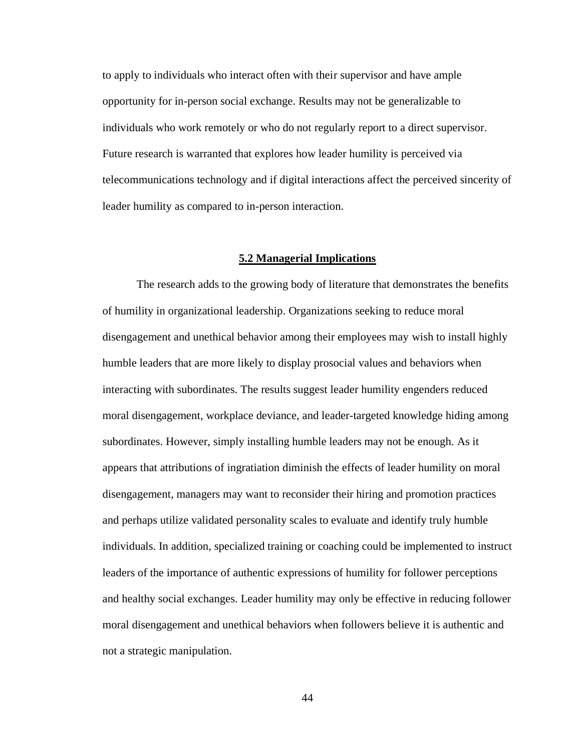to apply to individuals who interact often with their supervisor and have ample opportunity for in-person social exchange. Results may not be generalizable to individuals who work remotely or who do not regularly report to a direct supervisor. Future research is warranted that explores how leader humility is perceived via telecommunications technology and if digital interactions affect the perceived sincerity of leader humility as compared to in-person interaction.

### **5.2 Managerial Implications**

The research adds to the growing body of literature that demonstrates the benefits of humility in organizational leadership. Organizations seeking to reduce moral disengagement and unethical behavior among their employees may wish to install highly humble leaders that are more likely to display prosocial values and behaviors when interacting with subordinates. The results suggest leader humility engenders reduced moral disengagement, workplace deviance, and leader-targeted knowledge hiding among subordinates. However, simply installing humble leaders may not be enough. As it appears that attributions of ingratiation diminish the effects of leader humility on moral disengagement, managers may want to reconsider their hiring and promotion practices and perhaps utilize validated personality scales to evaluate and identify truly humble individuals. In addition, specialized training or coaching could be implemented to instruct leaders of the importance of authentic expressions of humility for follower perceptions and healthy social exchanges. Leader humility may only be effective in reducing follower moral disengagement and unethical behaviors when followers believe it is authentic and not a strategic manipulation.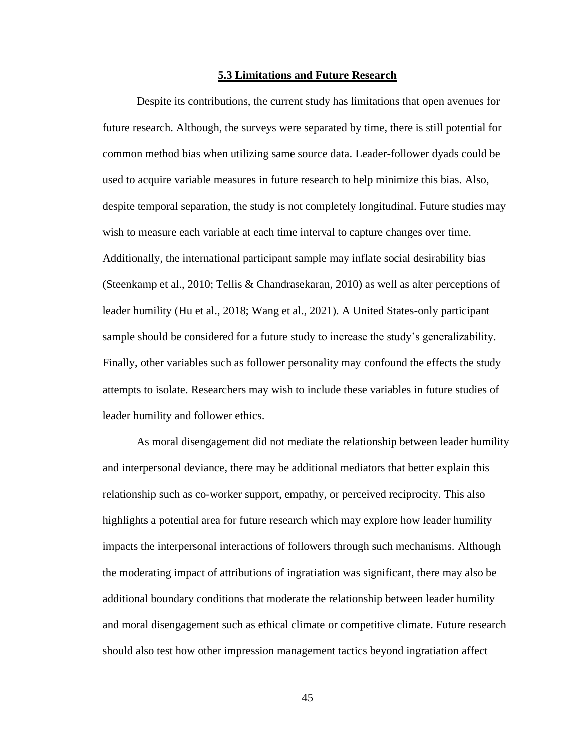### **5.3 Limitations and Future Research**

Despite its contributions, the current study has limitations that open avenues for future research. Although, the surveys were separated by time, there is still potential for common method bias when utilizing same source data. Leader-follower dyads could be used to acquire variable measures in future research to help minimize this bias. Also, despite temporal separation, the study is not completely longitudinal. Future studies may wish to measure each variable at each time interval to capture changes over time. Additionally, the international participant sample may inflate social desirability bias (Steenkamp et al., 2010; Tellis & Chandrasekaran, 2010) as well as alter perceptions of leader humility (Hu et al., 2018; Wang et al., 2021). A United States-only participant sample should be considered for a future study to increase the study's generalizability. Finally, other variables such as follower personality may confound the effects the study attempts to isolate. Researchers may wish to include these variables in future studies of leader humility and follower ethics.

As moral disengagement did not mediate the relationship between leader humility and interpersonal deviance, there may be additional mediators that better explain this relationship such as co-worker support, empathy, or perceived reciprocity. This also highlights a potential area for future research which may explore how leader humility impacts the interpersonal interactions of followers through such mechanisms. Although the moderating impact of attributions of ingratiation was significant, there may also be additional boundary conditions that moderate the relationship between leader humility and moral disengagement such as ethical climate or competitive climate. Future research should also test how other impression management tactics beyond ingratiation affect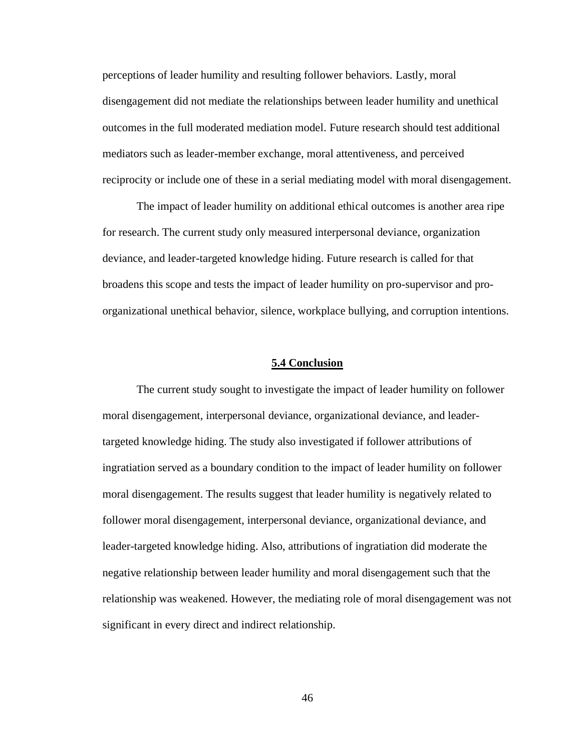perceptions of leader humility and resulting follower behaviors. Lastly, moral disengagement did not mediate the relationships between leader humility and unethical outcomes in the full moderated mediation model. Future research should test additional mediators such as leader-member exchange, moral attentiveness, and perceived reciprocity or include one of these in a serial mediating model with moral disengagement.

The impact of leader humility on additional ethical outcomes is another area ripe for research. The current study only measured interpersonal deviance, organization deviance, and leader-targeted knowledge hiding. Future research is called for that broadens this scope and tests the impact of leader humility on pro-supervisor and proorganizational unethical behavior, silence, workplace bullying, and corruption intentions.

#### **5.4 Conclusion**

The current study sought to investigate the impact of leader humility on follower moral disengagement, interpersonal deviance, organizational deviance, and leadertargeted knowledge hiding. The study also investigated if follower attributions of ingratiation served as a boundary condition to the impact of leader humility on follower moral disengagement. The results suggest that leader humility is negatively related to follower moral disengagement, interpersonal deviance, organizational deviance, and leader-targeted knowledge hiding. Also, attributions of ingratiation did moderate the negative relationship between leader humility and moral disengagement such that the relationship was weakened. However, the mediating role of moral disengagement was not significant in every direct and indirect relationship.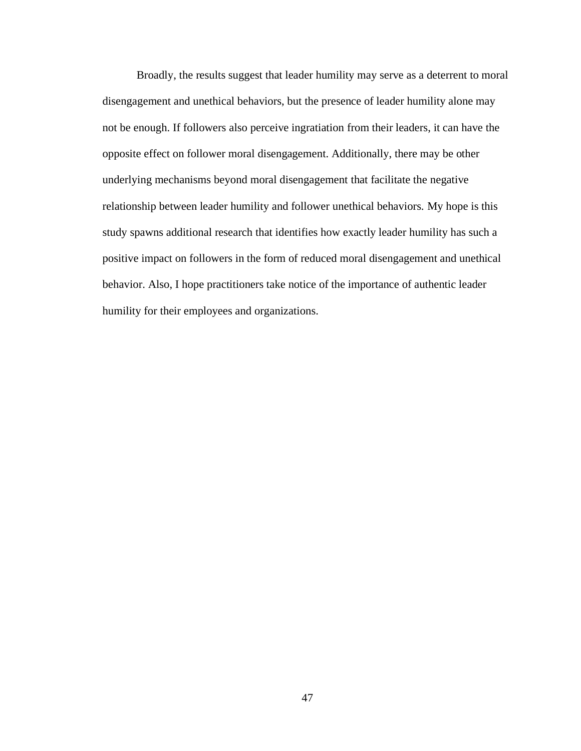Broadly, the results suggest that leader humility may serve as a deterrent to moral disengagement and unethical behaviors, but the presence of leader humility alone may not be enough. If followers also perceive ingratiation from their leaders, it can have the opposite effect on follower moral disengagement. Additionally, there may be other underlying mechanisms beyond moral disengagement that facilitate the negative relationship between leader humility and follower unethical behaviors. My hope is this study spawns additional research that identifies how exactly leader humility has such a positive impact on followers in the form of reduced moral disengagement and unethical behavior. Also, I hope practitioners take notice of the importance of authentic leader humility for their employees and organizations.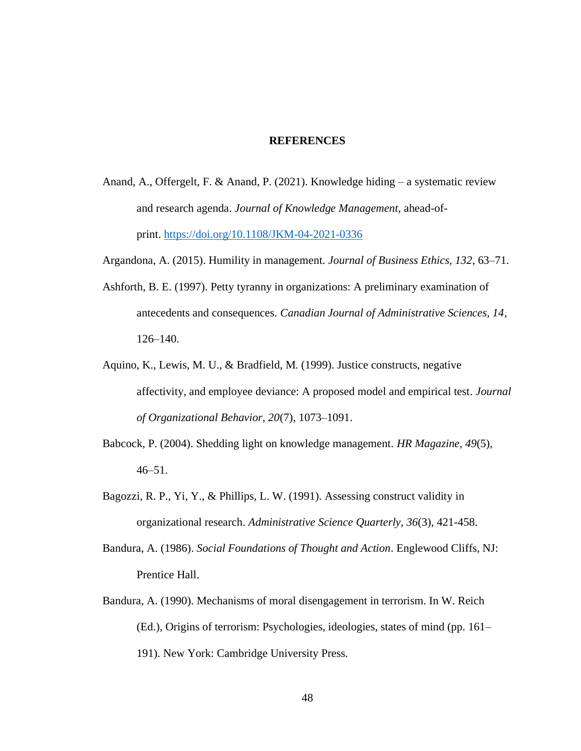## **REFERENCES**

- Anand, A., Offergelt, F. & Anand, P. (2021). Knowledge hiding a systematic review and research agenda. *Journal of Knowledge Management,* ahead-ofprint. <https://doi.org/10.1108/JKM-04-2021-0336>
- Argandona, A. (2015). Humility in management. *Journal of Business Ethics, 132*, 63–71.
- Ashforth, B. E. (1997). Petty tyranny in organizations: A preliminary examination of antecedents and consequences. *Canadian Journal of Administrative Sciences, 14*, 126–140.
- Aquino, K., Lewis, M. U., & Bradfield, M. (1999). Justice constructs, negative affectivity, and employee deviance: A proposed model and empirical test*. Journal of Organizational Behavior, 20*(7), 1073–1091.
- Babcock, P. (2004). Shedding light on knowledge management. *HR Magazine, 49*(5), 46–51.
- Bagozzi, R. P., Yi, Y., & Phillips, L. W. (1991). Assessing construct validity in organizational research. *Administrative Science Quarterly*, *36*(3), 421-458.
- Bandura, A. (1986). *Social Foundations of Thought and Action*. Englewood Cliffs, NJ: Prentice Hall.
- Bandura, A. (1990). Mechanisms of moral disengagement in terrorism. In W. Reich (Ed.), Origins of terrorism: Psychologies, ideologies, states of mind (pp. 161– 191). New York: Cambridge University Press.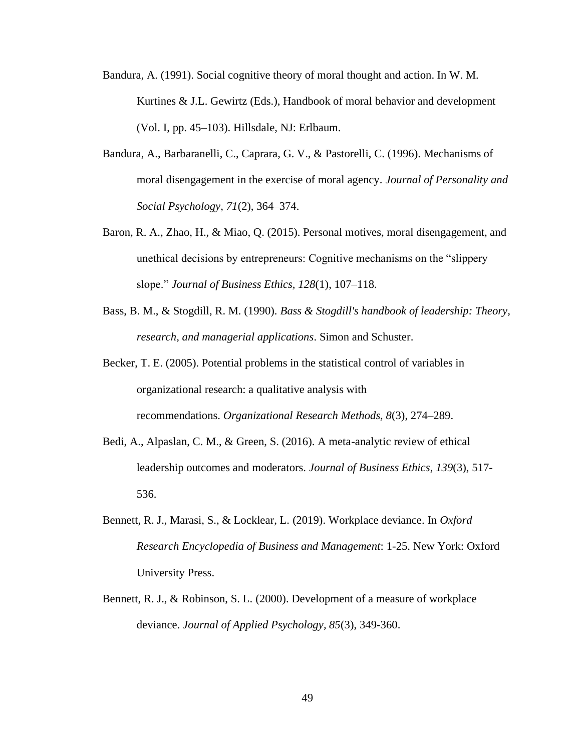- Bandura, A. (1991). Social cognitive theory of moral thought and action. In W. M. Kurtines & J.L. Gewirtz (Eds.), Handbook of moral behavior and development (Vol. I, pp. 45–103). Hillsdale, NJ: Erlbaum.
- Bandura, A., Barbaranelli, C., Caprara, G. V., & Pastorelli, C. (1996). Mechanisms of moral disengagement in the exercise of moral agency. *Journal of Personality and Social Psychology, 71*(2), 364–374.
- Baron, R. A., Zhao, H., & Miao, Q. (2015). Personal motives, moral disengagement, and unethical decisions by entrepreneurs: Cognitive mechanisms on the "slippery slope." *Journal of Business Ethics, 128*(1), 107–118.
- Bass, B. M., & Stogdill, R. M. (1990). *Bass & Stogdill's handbook of leadership: Theory, research, and managerial applications*. Simon and Schuster.

Becker, T. E. (2005). Potential problems in the statistical control of variables in organizational research: a qualitative analysis with recommendations. *Organizational Research Methods, 8*(3), 274–289.

- Bedi, A., Alpaslan, C. M., & Green, S. (2016). A meta-analytic review of ethical leadership outcomes and moderators. *Journal of Business Ethics*, *139*(3), 517- 536.
- Bennett, R. J., Marasi, S., & Locklear, L. (2019). Workplace deviance. In *Oxford Research Encyclopedia of Business and Management*: 1-25. New York: Oxford University Press.
- Bennett, R. J., & Robinson, S. L. (2000). Development of a measure of workplace deviance. *Journal of Applied Psychology, 85*(3), 349-360.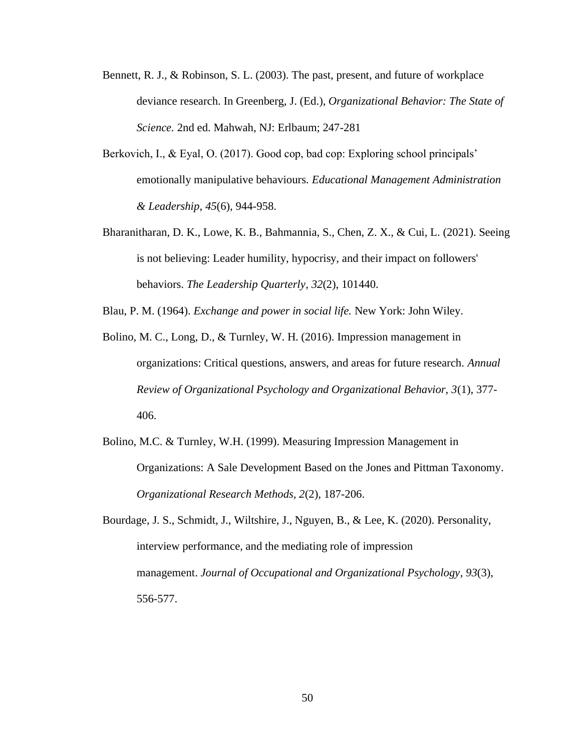- Bennett, R. J., & Robinson, S. L. (2003). The past, present, and future of workplace deviance research. In Greenberg, J. (Ed.), *Organizational Behavior: The State of Science.* 2nd ed. Mahwah, NJ: Erlbaum; 247-281
- Berkovich, I., & Eyal, O. (2017). Good cop, bad cop: Exploring school principals' emotionally manipulative behaviours. *Educational Management Administration & Leadership*, *45*(6), 944-958.
- Bharanitharan, D. K., Lowe, K. B., Bahmannia, S., Chen, Z. X., & Cui, L. (2021). Seeing is not believing: Leader humility, hypocrisy, and their impact on followers' behaviors. *The Leadership Quarterly*, *32*(2), 101440.

Blau, P. M. (1964). *Exchange and power in social life.* New York: John Wiley.

- Bolino, M. C., Long, D., & Turnley, W. H. (2016). Impression management in organizations: Critical questions, answers, and areas for future research. *Annual Review of Organizational Psychology and Organizational Behavior, 3*(1), 377- 406.
- Bolino, M.C. & Turnley, W.H. (1999). Measuring Impression Management in Organizations: A Sale Development Based on the Jones and Pittman Taxonomy. *Organizational Research Methods, 2*(2), 187-206.
- Bourdage, J. S., Schmidt, J., Wiltshire, J., Nguyen, B., & Lee, K. (2020). Personality, interview performance, and the mediating role of impression management. *Journal of Occupational and Organizational Psychology*, *93*(3), 556-577.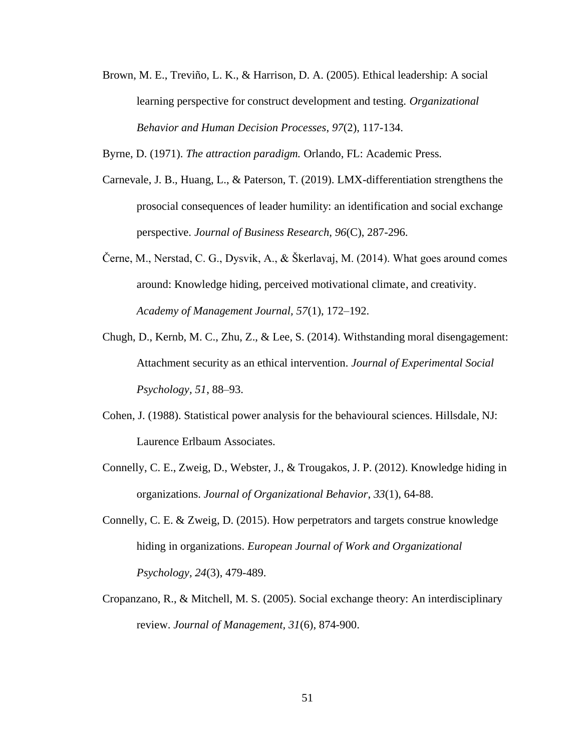Brown, M. E., Treviño, L. K., & Harrison, D. A. (2005). Ethical leadership: A social learning perspective for construct development and testing. *Organizational Behavior and Human Decision Processes*, *97*(2), 117-134.

Byrne, D. (1971). *The attraction paradigm.* Orlando, FL: Academic Press.

- Carnevale, J. B., Huang, L., & Paterson, T. (2019). LMX-differentiation strengthens the prosocial consequences of leader humility: an identification and social exchange perspective. *Journal of Business Research*, *96*(C), 287-296.
- Černe, M., Nerstad, C. G., Dysvik, A., & Škerlavaj, M. (2014). What goes around comes around: Knowledge hiding, perceived motivational climate, and creativity. *Academy of Management Journal, 57*(1), 172–192.
- Chugh, D., Kernb, M. C., Zhu, Z., & Lee, S. (2014). Withstanding moral disengagement: Attachment security as an ethical intervention*. Journal of Experimental Social Psychology, 51*, 88–93.
- Cohen, J. (1988). Statistical power analysis for the behavioural sciences. Hillsdale, NJ: Laurence Erlbaum Associates.
- Connelly, C. E., Zweig, D., Webster, J., & Trougakos, J. P. (2012). Knowledge hiding in organizations. *Journal of Organizational Behavior*, *33*(1), 64-88.
- Connelly, C. E. & Zweig, D. (2015). How perpetrators and targets construe knowledge hiding in organizations. *European Journal of Work and Organizational Psychology, 24*(3), 479-489.
- Cropanzano, R., & Mitchell, M. S. (2005). Social exchange theory: An interdisciplinary review. *Journal of Management, 31*(6), 874-900.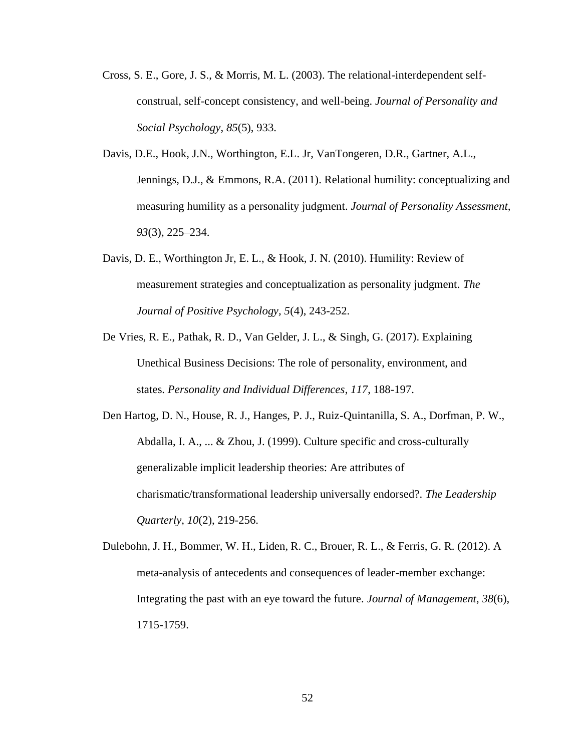- Cross, S. E., Gore, J. S., & Morris, M. L. (2003). The relational-interdependent selfconstrual, self-concept consistency, and well-being. *Journal of Personality and Social Psychology*, *85*(5), 933.
- Davis, D.E., Hook, J.N., Worthington, E.L. Jr, VanTongeren, D.R., Gartner, A.L., Jennings, D.J., & Emmons, R.A. (2011). Relational humility: conceptualizing and measuring humility as a personality judgment. *Journal of Personality Assessment, 93*(3), 225–234.
- Davis, D. E., Worthington Jr, E. L., & Hook, J. N. (2010). Humility: Review of measurement strategies and conceptualization as personality judgment. *The Journal of Positive Psychology, 5*(4), 243-252.
- De Vries, R. E., Pathak, R. D., Van Gelder, J. L., & Singh, G. (2017). Explaining Unethical Business Decisions: The role of personality, environment, and states. *Personality and Individual Differences*, *117*, 188-197.
- Den Hartog, D. N., House, R. J., Hanges, P. J., Ruiz-Quintanilla, S. A., Dorfman, P. W., Abdalla, I. A., ... & Zhou, J. (1999). Culture specific and cross-culturally generalizable implicit leadership theories: Are attributes of charismatic/transformational leadership universally endorsed?. *The Leadership Quarterly, 10*(2), 219-256.
- Dulebohn, J. H., Bommer, W. H., Liden, R. C., Brouer, R. L., & Ferris, G. R. (2012). A meta-analysis of antecedents and consequences of leader-member exchange: Integrating the past with an eye toward the future. *Journal of Management*, *38*(6), 1715-1759.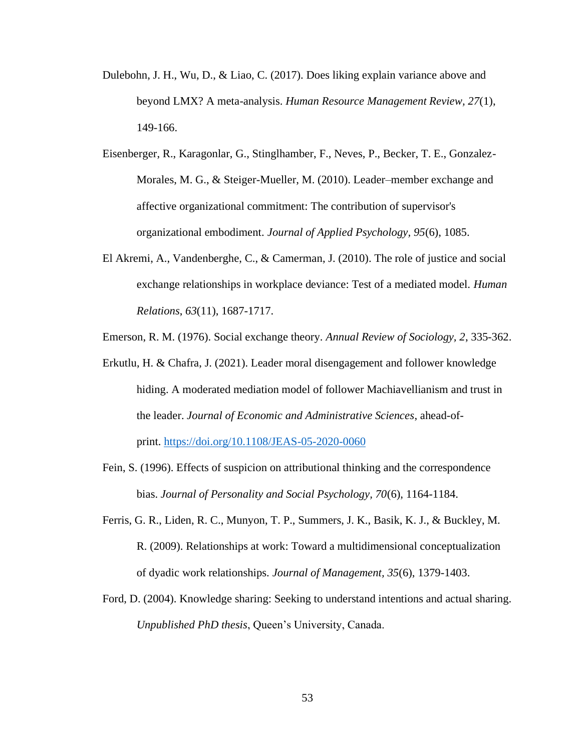- Dulebohn, J. H., Wu, D., & Liao, C. (2017). Does liking explain variance above and beyond LMX? A meta-analysis. *Human Resource Management Review, 27*(1), 149-166.
- Eisenberger, R., Karagonlar, G., Stinglhamber, F., Neves, P., Becker, T. E., Gonzalez-Morales, M. G., & Steiger-Mueller, M. (2010). Leader–member exchange and affective organizational commitment: The contribution of supervisor's organizational embodiment. *Journal of Applied Psychology, 95*(6), 1085.
- El Akremi, A., Vandenberghe, C., & Camerman, J. (2010). The role of justice and social exchange relationships in workplace deviance: Test of a mediated model. *Human Relations*, *63*(11), 1687-1717.

Emerson, R. M. (1976). Social exchange theory. *Annual Review of Sociology, 2*, 335-362.

- Erkutlu, H. & Chafra, J. (2021). Leader moral disengagement and follower knowledge hiding. A moderated mediation model of follower Machiavellianism and trust in the leader. *Journal of Economic and Administrative Sciences*, ahead-ofprint. <https://doi.org/10.1108/JEAS-05-2020-0060>
- Fein, S. (1996). Effects of suspicion on attributional thinking and the correspondence bias. *Journal of Personality and Social Psychology, 70*(6), 1164-1184.
- Ferris, G. R., Liden, R. C., Munyon, T. P., Summers, J. K., Basik, K. J., & Buckley, M. R. (2009). Relationships at work: Toward a multidimensional conceptualization of dyadic work relationships. *Journal of Management, 35*(6), 1379-1403.
- Ford, D. (2004). Knowledge sharing: Seeking to understand intentions and actual sharing. *Unpublished PhD thesis*, Queen's University, Canada.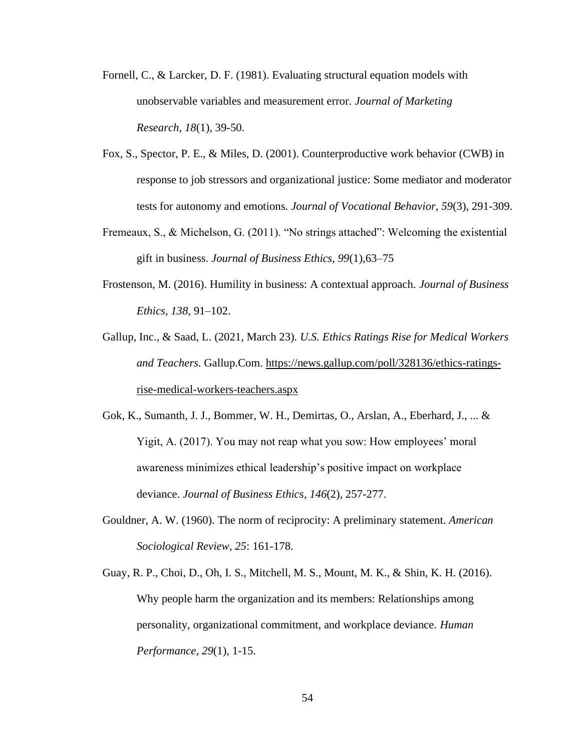- Fornell, C., & Larcker, D. F. (1981). Evaluating structural equation models with unobservable variables and measurement error. *Journal of Marketing Research*, *18*(1), 39-50.
- Fox, S., Spector, P. E., & Miles, D. (2001). Counterproductive work behavior (CWB) in response to job stressors and organizational justice: Some mediator and moderator tests for autonomy and emotions. *Journal of Vocational Behavior*, *59*(3), 291-309.
- Fremeaux, S., & Michelson, G. (2011). "No strings attached": Welcoming the existential gift in business. *Journal of Business Ethics, 99*(1),63–75
- Frostenson, M. (2016). Humility in business: A contextual approach. *Journal of Business Ethics, 138*, 91–102.
- Gallup, Inc., & Saad, L. (2021, March 23). *U.S. Ethics Ratings Rise for Medical Workers and Teachers*. Gallup.Com. [https://news.gallup.com/poll/328136/ethics-ratings](https://news.gallup.com/poll/328136/ethics-ratings-rise-medical-workers-teachers.aspx)[rise-medical-workers-teachers.aspx](https://news.gallup.com/poll/328136/ethics-ratings-rise-medical-workers-teachers.aspx)
- Gok, K., Sumanth, J. J., Bommer, W. H., Demirtas, O., Arslan, A., Eberhard, J., ... & Yigit, A. (2017). You may not reap what you sow: How employees' moral awareness minimizes ethical leadership's positive impact on workplace deviance. *Journal of Business Ethics*, *146*(2), 257-277.
- Gouldner, A. W. (1960). The norm of reciprocity: A preliminary statement. *American Sociological Review, 25*: 161-178.
- Guay, R. P., Choi, D., Oh, I. S., Mitchell, M. S., Mount, M. K., & Shin, K. H. (2016). Why people harm the organization and its members: Relationships among personality, organizational commitment, and workplace deviance. *Human Performance*, *29*(1), 1-15.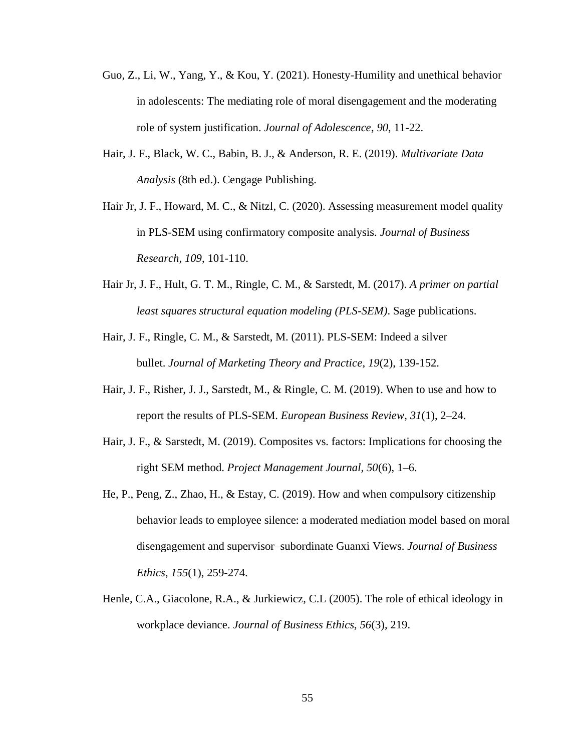- Guo, Z., Li, W., Yang, Y., & Kou, Y. (2021). Honesty-Humility and unethical behavior in adolescents: The mediating role of moral disengagement and the moderating role of system justification. *Journal of Adolescence*, *90*, 11-22.
- Hair, J. F., Black, W. C., Babin, B. J., & Anderson, R. E. (2019). *Multivariate Data Analysis* (8th ed.). Cengage Publishing.
- Hair Jr, J. F., Howard, M. C., & Nitzl, C. (2020). Assessing measurement model quality in PLS-SEM using confirmatory composite analysis. *Journal of Business Research, 109*, 101-110.
- Hair Jr, J. F., Hult, G. T. M., Ringle, C. M., & Sarstedt, M. (2017). *A primer on partial least squares structural equation modeling (PLS-SEM)*. Sage publications.
- Hair, J. F., Ringle, C. M., & Sarstedt, M. (2011). PLS-SEM: Indeed a silver bullet. *Journal of Marketing Theory and Practice*, *19*(2), 139-152.
- Hair, J. F., Risher, J. J., Sarstedt, M., & Ringle, C. M. (2019). When to use and how to report the results of PLS-SEM. *European Business Review*, *31*(1), 2–24.
- Hair, J. F., & Sarstedt, M. (2019). Composites vs. factors: Implications for choosing the right SEM method. *Project Management Journal, 50*(6), 1–6.
- He, P., Peng, Z., Zhao, H., & Estay, C. (2019). How and when compulsory citizenship behavior leads to employee silence: a moderated mediation model based on moral disengagement and supervisor–subordinate Guanxi Views. *Journal of Business Ethics*, *155*(1), 259-274.
- Henle, C.A., Giacolone, R.A., & Jurkiewicz, C.L (2005). The role of ethical ideology in workplace deviance. *Journal of Business Ethics, 56*(3), 219.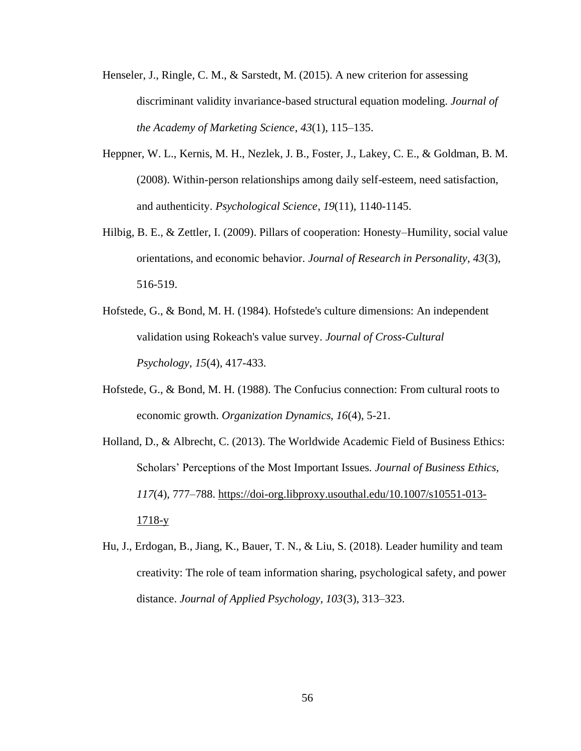- Henseler, J., Ringle, C. M., & Sarstedt, M. (2015). A new criterion for assessing discriminant validity invariance-based structural equation modeling. *Journal of the Academy of Marketing Science*, *43*(1), 115–135.
- Heppner, W. L., Kernis, M. H., Nezlek, J. B., Foster, J., Lakey, C. E., & Goldman, B. M. (2008). Within-person relationships among daily self-esteem, need satisfaction, and authenticity. *Psychological Science*, *19*(11), 1140-1145.
- Hilbig, B. E., & Zettler, I. (2009). Pillars of cooperation: Honesty–Humility, social value orientations, and economic behavior. *Journal of Research in Personality, 43*(3), 516-519.
- Hofstede, G., & Bond, M. H. (1984). Hofstede's culture dimensions: An independent validation using Rokeach's value survey. *Journal of Cross-Cultural Psychology*, *15*(4), 417-433.
- Hofstede, G., & Bond, M. H. (1988). The Confucius connection: From cultural roots to economic growth. *Organization Dynamics, 16*(4), 5-21.
- Holland, D., & Albrecht, C. (2013). The Worldwide Academic Field of Business Ethics: Scholars' Perceptions of the Most Important Issues*. Journal of Business Ethics, 117*(4), 777–788. [https://doi-org.libproxy.usouthal.edu/10.1007/s10551-013-](https://doi-org.libproxy.usouthal.edu/10.1007/s10551-013-1718-y)  $1718-y$
- Hu, J., Erdogan, B., Jiang, K., Bauer, T. N., & Liu, S. (2018). Leader humility and team creativity: The role of team information sharing, psychological safety, and power distance. *Journal of Applied Psychology, 103*(3), 313–323.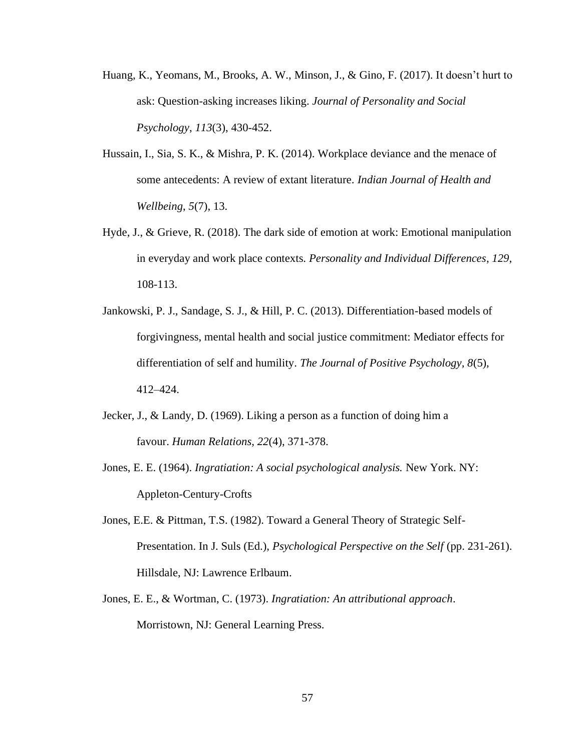- Huang, K., Yeomans, M., Brooks, A. W., Minson, J., & Gino, F. (2017). It doesn't hurt to ask: Question-asking increases liking. *Journal of Personality and Social Psychology*, *113*(3), 430-452.
- Hussain, I., Sia, S. K., & Mishra, P. K. (2014). Workplace deviance and the menace of some antecedents: A review of extant literature. *Indian Journal of Health and Wellbeing*, *5*(7), 13.
- Hyde, J., & Grieve, R. (2018). The dark side of emotion at work: Emotional manipulation in everyday and work place contexts. *Personality and Individual Differences*, *129*, 108-113.
- Jankowski, P. J., Sandage, S. J., & Hill, P. C. (2013). Differentiation-based models of forgivingness, mental health and social justice commitment: Mediator effects for differentiation of self and humility. *The Journal of Positive Psychology, 8*(5), 412–424.
- Jecker, J., & Landy, D. (1969). Liking a person as a function of doing him a favour. *Human Relations*, *22*(4), 371-378.
- Jones, E. E. (1964). *Ingratiation: A social psychological analysis.* New York. NY: Appleton-Century-Crofts
- Jones, E.E. & Pittman, T.S. (1982). Toward a General Theory of Strategic Self-Presentation. In J. Suls (Ed.), *Psychological Perspective on the Self* (pp. 231-261). Hillsdale, NJ: Lawrence Erlbaum.
- Jones, E. E., & Wortman, C. (1973). *Ingratiation: An attributional approach*. Morristown, NJ: General Learning Press.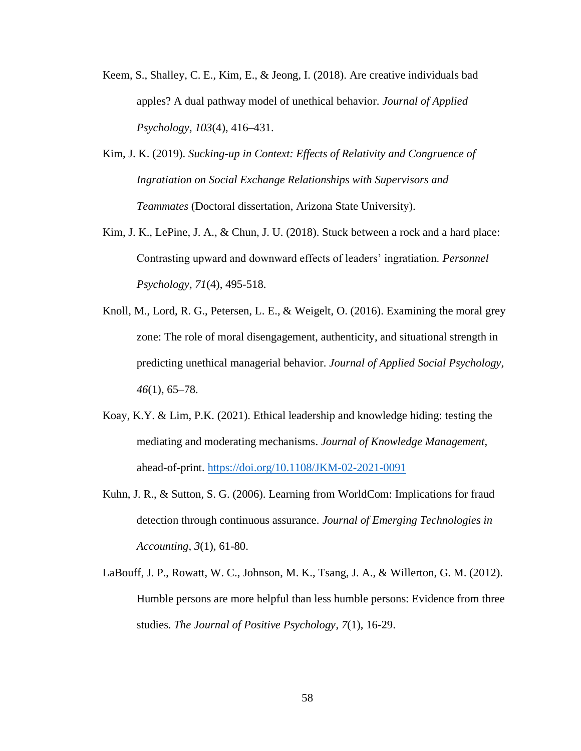- Keem, S., Shalley, C. E., Kim, E., & Jeong, I. (2018). Are creative individuals bad apples? A dual pathway model of unethical behavior. *Journal of Applied Psychology, 103*(4), 416–431.
- Kim, J. K. (2019). *Sucking-up in Context: Effects of Relativity and Congruence of Ingratiation on Social Exchange Relationships with Supervisors and Teammates* (Doctoral dissertation, Arizona State University).
- Kim, J. K., LePine, J. A., & Chun, J. U. (2018). Stuck between a rock and a hard place: Contrasting upward and downward effects of leaders' ingratiation. *Personnel Psychology, 71*(4), 495-518.
- Knoll, M., Lord, R. G., Petersen, L. E., & Weigelt, O. (2016). Examining the moral grey zone: The role of moral disengagement, authenticity, and situational strength in predicting unethical managerial behavior. *Journal of Applied Social Psychology, 46*(1), 65–78.
- Koay, K.Y. & Lim, P.K. (2021). Ethical leadership and knowledge hiding: testing the mediating and moderating mechanisms. *Journal of Knowledge Management*, ahead-of-print. <https://doi.org/10.1108/JKM-02-2021-0091>
- Kuhn, J. R., & Sutton, S. G. (2006). Learning from WorldCom: Implications for fraud detection through continuous assurance. *Journal of Emerging Technologies in Accounting*, *3*(1), 61-80.
- LaBouff, J. P., Rowatt, W. C., Johnson, M. K., Tsang, J. A., & Willerton, G. M. (2012). Humble persons are more helpful than less humble persons: Evidence from three studies. *The Journal of Positive Psychology*, *7*(1), 16-29.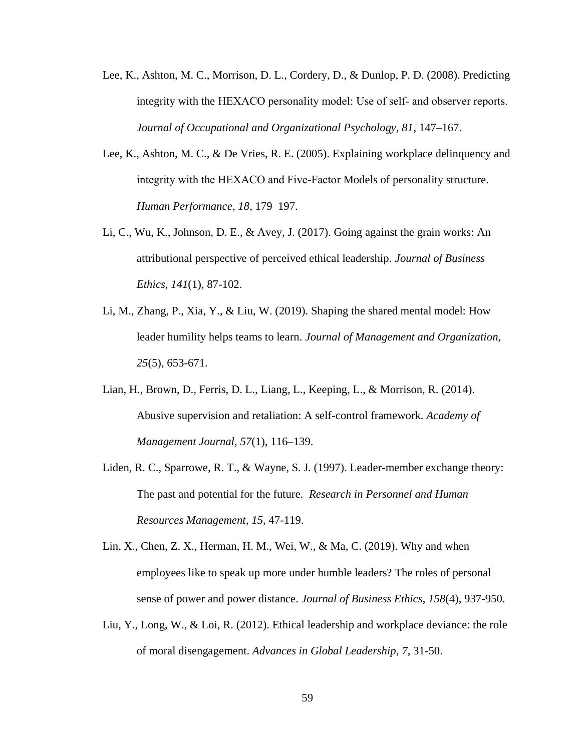- Lee, K., Ashton, M. C., Morrison, D. L., Cordery, D., & Dunlop, P. D. (2008). Predicting integrity with the HEXACO personality model: Use of self‐ and observer reports. *Journal of Occupational and Organizational Psychology, 81*, 147–167.
- Lee, K., Ashton, M. C., & De Vries, R. E. (2005). Explaining workplace delinquency and integrity with the HEXACO and Five‐Factor Models of personality structure. *Human Performance, 18*, 179–197.
- Li, C., Wu, K., Johnson, D. E., & Avey, J. (2017). Going against the grain works: An attributional perspective of perceived ethical leadership. *Journal of Business Ethics, 141*(1), 87-102.
- Li, M., Zhang, P., Xia, Y., & Liu, W. (2019). Shaping the shared mental model: How leader humility helps teams to learn. *Journal of Management and Organization, 25*(5), 653-671.
- Lian, H., Brown, D., Ferris, D. L., Liang, L., Keeping, L., & Morrison, R. (2014). Abusive supervision and retaliation: A self-control framework. *Academy of Management Journal, 57*(1), 116–139.
- Liden, R. C., Sparrowe, R. T., & Wayne, S. J. (1997). Leader-member exchange theory: The past and potential for the future. *Research in Personnel and Human Resources Management*, *15*, 47-119.
- Lin, X., Chen, Z. X., Herman, H. M., Wei, W., & Ma, C. (2019). Why and when employees like to speak up more under humble leaders? The roles of personal sense of power and power distance. *Journal of Business Ethics*, *158*(4), 937-950.
- Liu, Y., Long, W., & Loi, R. (2012). Ethical leadership and workplace deviance: the role of moral disengagement. *Advances in Global Leadership*, *7*, 31-50.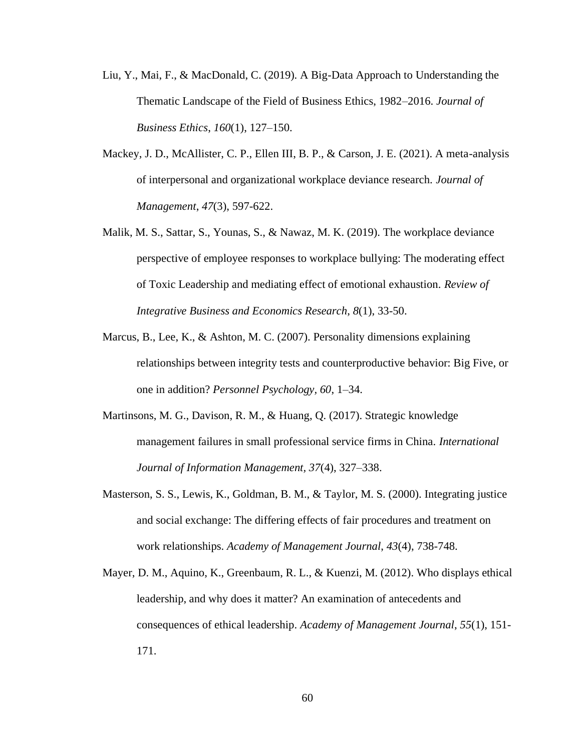- Liu, Y., Mai, F., & MacDonald, C. (2019). A Big-Data Approach to Understanding the Thematic Landscape of the Field of Business Ethics, 1982–2016. *Journal of Business Ethics*, *160*(1), 127–150.
- Mackey, J. D., McAllister, C. P., Ellen III, B. P., & Carson, J. E. (2021). A meta-analysis of interpersonal and organizational workplace deviance research. *Journal of Management*, *47*(3), 597-622.
- Malik, M. S., Sattar, S., Younas, S., & Nawaz, M. K. (2019). The workplace deviance perspective of employee responses to workplace bullying: The moderating effect of Toxic Leadership and mediating effect of emotional exhaustion. *Review of Integrative Business and Economics Research*, *8*(1), 33-50.
- Marcus, B., Lee, K., & Ashton, M. C. (2007). Personality dimensions explaining relationships between integrity tests and counterproductive behavior: Big Five, or one in addition? *Personnel Psychology, 60*, 1–34.
- Martinsons, M. G., Davison, R. M., & Huang, Q. (2017). Strategic knowledge management failures in small professional service firms in China. *International Journal of Information Management, 37*(4), 327–338.
- Masterson, S. S., Lewis, K., Goldman, B. M., & Taylor, M. S. (2000). Integrating justice and social exchange: The differing effects of fair procedures and treatment on work relationships. *Academy of Management Journal*, *43*(4), 738-748.
- Mayer, D. M., Aquino, K., Greenbaum, R. L., & Kuenzi, M. (2012). Who displays ethical leadership, and why does it matter? An examination of antecedents and consequences of ethical leadership. *Academy of Management Journal*, *55*(1), 151- 171.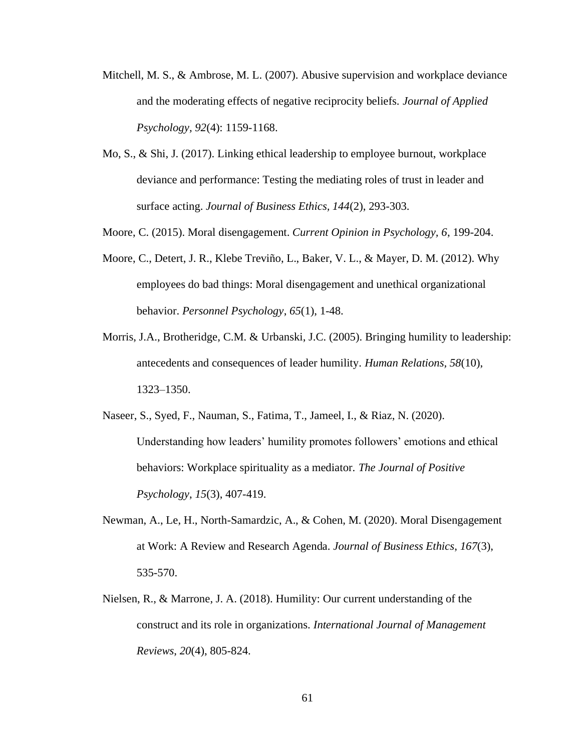- Mitchell, M. S., & Ambrose, M. L. (2007). Abusive supervision and workplace deviance and the moderating effects of negative reciprocity beliefs. *Journal of Applied Psychology, 92*(4): 1159-1168.
- Mo, S., & Shi, J. (2017). Linking ethical leadership to employee burnout, workplace deviance and performance: Testing the mediating roles of trust in leader and surface acting. *Journal of Business Ethics, 144*(2), 293-303.
- Moore, C. (2015). Moral disengagement. *Current Opinion in Psychology, 6*, 199-204.
- Moore, C., Detert, J. R., Klebe Treviño, L., Baker, V. L., & Mayer, D. M. (2012). Why employees do bad things: Moral disengagement and unethical organizational behavior. *Personnel Psychology*, *65*(1), 1-48.
- Morris, J.A., Brotheridge, C.M. & Urbanski, J.C. (2005). Bringing humility to leadership: antecedents and consequences of leader humility. *Human Relations, 58*(10), 1323–1350.
- Naseer, S., Syed, F., Nauman, S., Fatima, T., Jameel, I., & Riaz, N. (2020). Understanding how leaders' humility promotes followers' emotions and ethical behaviors: Workplace spirituality as a mediator. *The Journal of Positive Psychology*, *15*(3), 407-419.
- Newman, A., Le, H., North-Samardzic, A., & Cohen, M. (2020). Moral Disengagement at Work: A Review and Research Agenda. *Journal of Business Ethics*, *167*(3), 535-570.
- Nielsen, R., & Marrone, J. A. (2018). Humility: Our current understanding of the construct and its role in organizations. *International Journal of Management Reviews*, *20*(4), 805-824.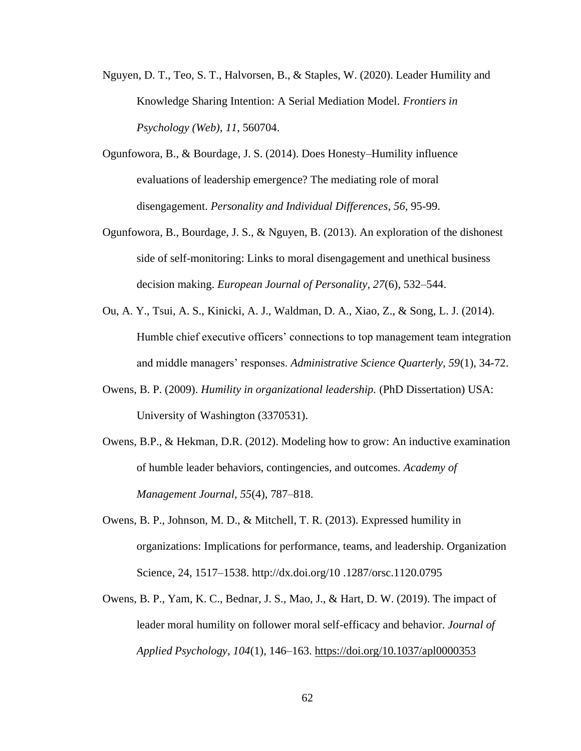- Nguyen, D. T., Teo, S. T., Halvorsen, B., & Staples, W. (2020). Leader Humility and Knowledge Sharing Intention: A Serial Mediation Model. *Frontiers in Psychology (Web)*, *11*, 560704.
- Ogunfowora, B., & Bourdage, J. S. (2014). Does Honesty–Humility influence evaluations of leadership emergence? The mediating role of moral disengagement. *Personality and Individual Differences*, *56,* 95-99.
- Ogunfowora, B., Bourdage, J. S., & Nguyen, B. (2013). An exploration of the dishonest side of self-monitoring: Links to moral disengagement and unethical business decision making. *European Journal of Personality, 27*(6), 532–544.
- Ou, A. Y., Tsui, A. S., Kinicki, A. J., Waldman, D. A., Xiao, Z., & Song, L. J. (2014). Humble chief executive officers' connections to top management team integration and middle managers' responses. *Administrative Science Quarterly, 59*(1), 34-72.
- Owens, B. P. (2009). *Humility in organizational leadership.* (PhD Dissertation) USA: University of Washington (3370531).
- Owens, B.P., & Hekman, D.R. (2012). Modeling how to grow: An inductive examination of humble leader behaviors, contingencies, and outcomes. *Academy of Management Journal, 55*(4), 787–818.
- Owens, B. P., Johnson, M. D., & Mitchell, T. R. (2013). Expressed humility in organizations: Implications for performance, teams, and leadership. Organization Science, 24, 1517–1538. http://dx.doi.org/10 .1287/orsc.1120.0795
- Owens, B. P., Yam, K. C., Bednar, J. S., Mao, J., & Hart, D. W. (2019). The impact of leader moral humility on follower moral self-efficacy and behavior. *Journal of Applied Psychology, 104*(1), 146–163. [https://doi.org/10.1037/apl0000353](https://psycnet.apa.org/doi/10.1037/apl0000353)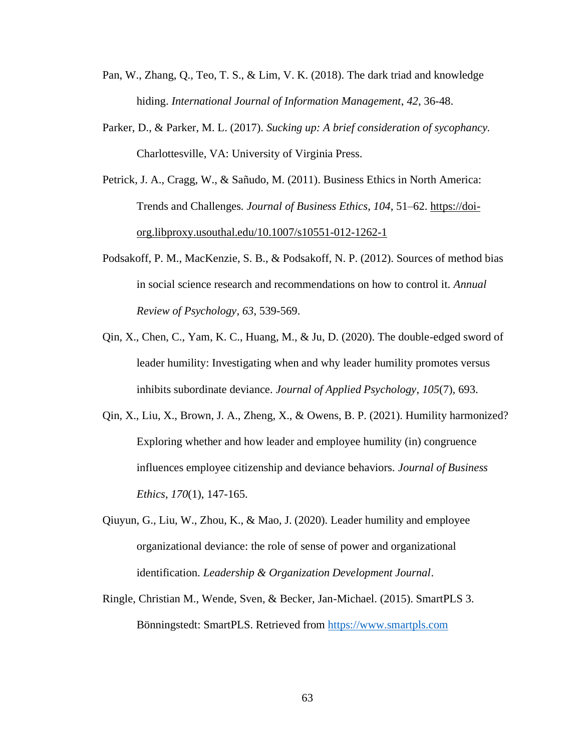- Pan, W., Zhang, Q., Teo, T. S., & Lim, V. K. (2018). The dark triad and knowledge hiding. *International Journal of Information Management*, *42*, 36-48.
- Parker, D., & Parker, M. L. (2017). *Sucking up: A brief consideration of sycophancy.* Charlottesville, VA: University of Virginia Press.
- Petrick, J. A., Cragg, W., & Sañudo, M. (2011). Business Ethics in North America: Trends and Challenges. *Journal of Business Ethics*, *104*, 51–62. [https://doi](https://doi-org.libproxy.usouthal.edu/10.1007/s10551-012-1262-1)[org.libproxy.usouthal.edu/10.1007/s10551-012-1262-1](https://doi-org.libproxy.usouthal.edu/10.1007/s10551-012-1262-1)
- Podsakoff, P. M., MacKenzie, S. B., & Podsakoff, N. P. (2012). Sources of method bias in social science research and recommendations on how to control it. *Annual Review of Psychology*, *63*, 539-569.
- Qin, X., Chen, C., Yam, K. C., Huang, M., & Ju, D. (2020). The double-edged sword of leader humility: Investigating when and why leader humility promotes versus inhibits subordinate deviance. *Journal of Applied Psychology*, *105*(7), 693.
- Qin, X., Liu, X., Brown, J. A., Zheng, X., & Owens, B. P. (2021). Humility harmonized? Exploring whether and how leader and employee humility (in) congruence influences employee citizenship and deviance behaviors. *Journal of Business Ethics*, *170*(1), 147-165.
- Qiuyun, G., Liu, W., Zhou, K., & Mao, J. (2020). Leader humility and employee organizational deviance: the role of sense of power and organizational identification. *Leadership & Organization Development Journal*.
- Ringle, Christian M., Wende, Sven, & Becker, Jan-Michael. (2015). SmartPLS 3. Bönningstedt: SmartPLS. Retrieved from [https://www.smartpls.com](https://www.smartpls.com/)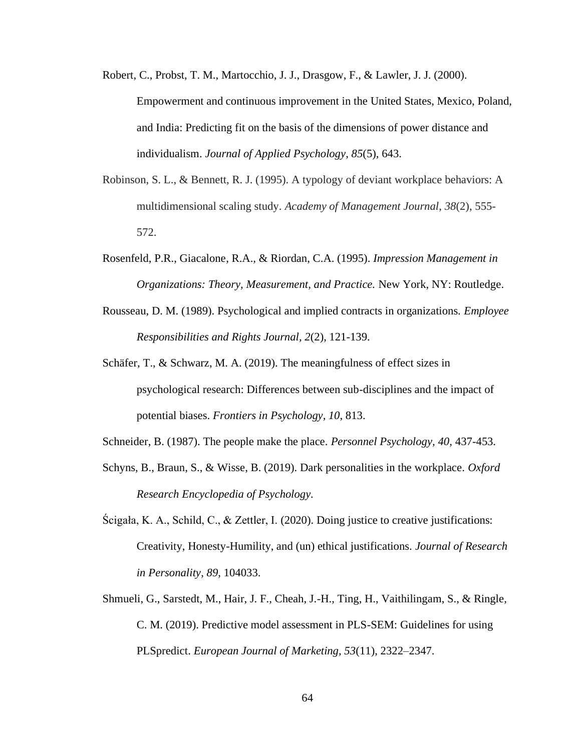- Robert, C., Probst, T. M., Martocchio, J. J., Drasgow, F., & Lawler, J. J. (2000). Empowerment and continuous improvement in the United States, Mexico, Poland, and India: Predicting fit on the basis of the dimensions of power distance and individualism. *Journal of Applied Psychology*, *85*(5), 643.
- Robinson, S. L., & Bennett, R. J. (1995). A typology of deviant workplace behaviors: A multidimensional scaling study. *Academy of Management Journal*, *38*(2), 555- 572.
- Rosenfeld, P.R., Giacalone, R.A., & Riordan, C.A. (1995). *Impression Management in Organizations: Theory, Measurement, and Practice.* New York, NY: Routledge.
- Rousseau, D. M. (1989). Psychological and implied contracts in organizations. *Employee Responsibilities and Rights Journal, 2*(2), 121-139.
- Schäfer, T., & Schwarz, M. A. (2019). The meaningfulness of effect sizes in psychological research: Differences between sub-disciplines and the impact of potential biases. *Frontiers in Psychology, 10*, 813.
- Schneider, B. (1987). The people make the place. *Personnel Psychology, 40,* 437-453.
- Schyns, B., Braun, S., & Wisse, B. (2019). Dark personalities in the workplace. *Oxford Research Encyclopedia of Psychology.*
- Ścigała, K. A., Schild, C., & Zettler, I. (2020). Doing justice to creative justifications: Creativity, Honesty-Humility, and (un) ethical justifications. *Journal of Research in Personality*, *89*, 104033.
- Shmueli, G., Sarstedt, M., Hair, J. F., Cheah, J.-H., Ting, H., Vaithilingam, S., & Ringle, C. M. (2019). Predictive model assessment in PLS-SEM: Guidelines for using PLSpredict. *European Journal of Marketing, 53*(11), 2322–2347.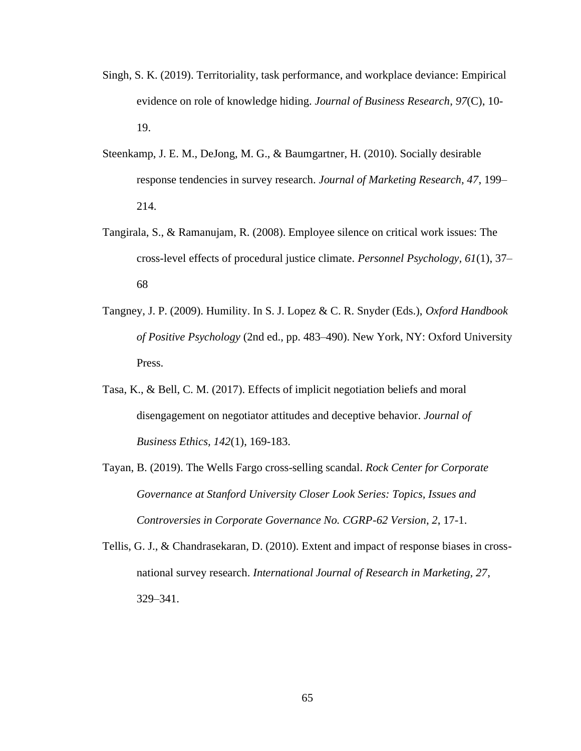- Singh, S. K. (2019). Territoriality, task performance, and workplace deviance: Empirical evidence on role of knowledge hiding. *Journal of Business Research*, *97*(C), 10- 19.
- Steenkamp, J. E. M., DeJong, M. G., & Baumgartner, H. (2010). Socially desirable response tendencies in survey research. *Journal of Marketing Research, 47*, 199– 214.
- Tangirala, S., & Ramanujam, R. (2008). Employee silence on critical work issues: The cross-level effects of procedural justice climate. *Personnel Psychology, 61*(1), 37– 68
- Tangney, J. P. (2009). Humility. In S. J. Lopez & C. R. Snyder (Eds.), *Oxford Handbook of Positive Psychology* (2nd ed., pp. 483–490). New York, NY: Oxford University Press.
- Tasa, K., & Bell, C. M. (2017). Effects of implicit negotiation beliefs and moral disengagement on negotiator attitudes and deceptive behavior. *Journal of Business Ethics, 142*(1), 169-183.
- Tayan, B. (2019). The Wells Fargo cross-selling scandal. *Rock Center for Corporate Governance at Stanford University Closer Look Series: Topics, Issues and Controversies in Corporate Governance No. CGRP-62 Version*, *2*, 17-1.
- Tellis, G. J., & Chandrasekaran, D. (2010). Extent and impact of response biases in crossnational survey research. *International Journal of Research in Marketing, 27*, 329–341.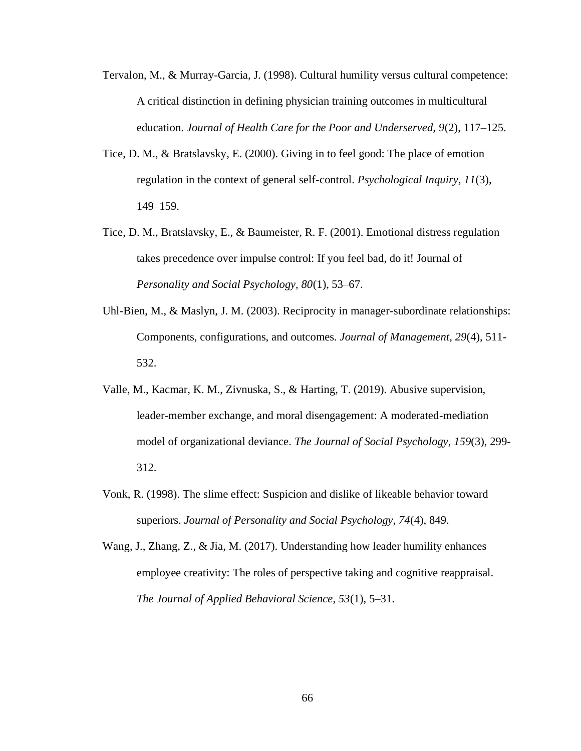- Tervalon, M., & Murray-Garcia, J. (1998). Cultural humility versus cultural competence: A critical distinction in defining physician training outcomes in multicultural education. *Journal of Health Care for the Poor and Underserved, 9*(2), 117–125.
- Tice, D. M., & Bratslavsky, E. (2000). Giving in to feel good: The place of emotion regulation in the context of general self-control. *Psychological Inquiry, 11*(3), 149–159.
- Tice, D. M., Bratslavsky, E., & Baumeister, R. F. (2001). Emotional distress regulation takes precedence over impulse control: If you feel bad, do it! Journal of *Personality and Social Psychology, 80*(1), 53–67.
- Uhl-Bien, M., & Maslyn, J. M. (2003). Reciprocity in manager-subordinate relationships: Components, configurations, and outcomes. *Journal of Management, 29*(4), 511- 532.
- Valle, M., Kacmar, K. M., Zivnuska, S., & Harting, T. (2019). Abusive supervision, leader-member exchange, and moral disengagement: A moderated-mediation model of organizational deviance. *The Journal of Social Psychology*, *159*(3), 299- 312.
- Vonk, R. (1998). The slime effect: Suspicion and dislike of likeable behavior toward superiors. *Journal of Personality and Social Psychology, 74*(4), 849.
- Wang, J., Zhang, Z., & Jia, M. (2017). Understanding how leader humility enhances employee creativity: The roles of perspective taking and cognitive reappraisal. *The Journal of Applied Behavioral Science, 53*(1), 5–31.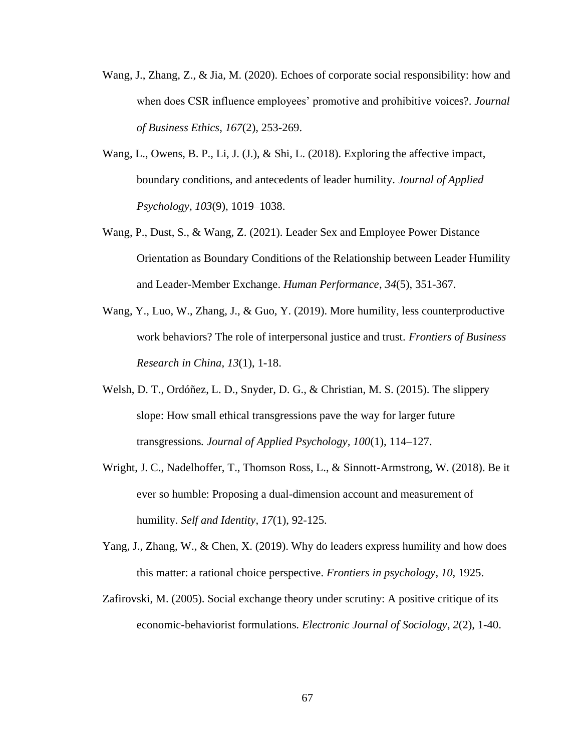- Wang, J., Zhang, Z., & Jia, M. (2020). Echoes of corporate social responsibility: how and when does CSR influence employees' promotive and prohibitive voices?. *Journal of Business Ethics*, *167*(2), 253-269.
- Wang, L., Owens, B. P., Li, J. (J.), & Shi, L. (2018). Exploring the affective impact, boundary conditions, and antecedents of leader humility. *Journal of Applied Psychology, 103*(9), 1019–1038.
- Wang, P., Dust, S., & Wang, Z. (2021). Leader Sex and Employee Power Distance Orientation as Boundary Conditions of the Relationship between Leader Humility and Leader-Member Exchange. *Human Performance*, *34*(5), 351-367.
- Wang, Y., Luo, W., Zhang, J., & Guo, Y. (2019). More humility, less counterproductive work behaviors? The role of interpersonal justice and trust. *Frontiers of Business Research in China*, *13*(1), 1-18.
- Welsh, D. T., Ordóñez, L. D., Snyder, D. G., & Christian, M. S. (2015). The slippery slope: How small ethical transgressions pave the way for larger future transgressions*. Journal of Applied Psychology, 100*(1), 114–127.
- Wright, J. C., Nadelhoffer, T., Thomson Ross, L., & Sinnott-Armstrong, W. (2018). Be it ever so humble: Proposing a dual-dimension account and measurement of humility. *Self and Identity*, *17*(1), 92-125.
- Yang, J., Zhang, W., & Chen, X. (2019). Why do leaders express humility and how does this matter: a rational choice perspective. *Frontiers in psychology*, *10*, 1925.
- Zafirovski, M. (2005). Social exchange theory under scrutiny: A positive critique of its economic-behaviorist formulations. *Electronic Journal of Sociology*, *2*(2), 1-40.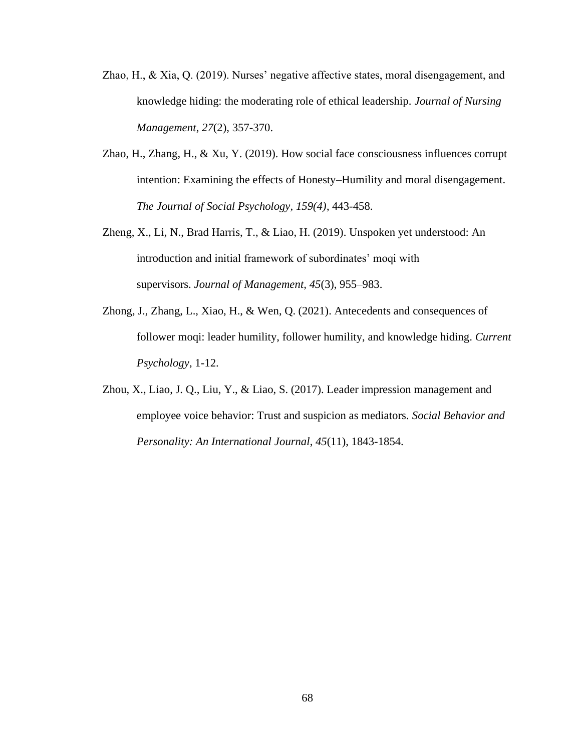- Zhao, H., & Xia, Q. (2019). Nurses' negative affective states, moral disengagement, and knowledge hiding: the moderating role of ethical leadership. *Journal of Nursing Management*, *27*(2), 357-370.
- Zhao, H., Zhang, H., & Xu, Y. (2019). How social face consciousness influences corrupt intention: Examining the effects of Honesty–Humility and moral disengagement. *The Journal of Social Psychology, 159(4)*, 443-458.
- Zheng, X., Li, N., Brad Harris, T., & Liao, H. (2019). Unspoken yet understood: An introduction and initial framework of subordinates' moqi with supervisors. *Journal of Management, 45*(3), 955–983.
- Zhong, J., Zhang, L., Xiao, H., & Wen, Q. (2021). Antecedents and consequences of follower moqi: leader humility, follower humility, and knowledge hiding. *Current Psychology*, 1-12.
- Zhou, X., Liao, J. Q., Liu, Y., & Liao, S. (2017). Leader impression management and employee voice behavior: Trust and suspicion as mediators. *Social Behavior and Personality: An International Journal*, *45*(11), 1843-1854.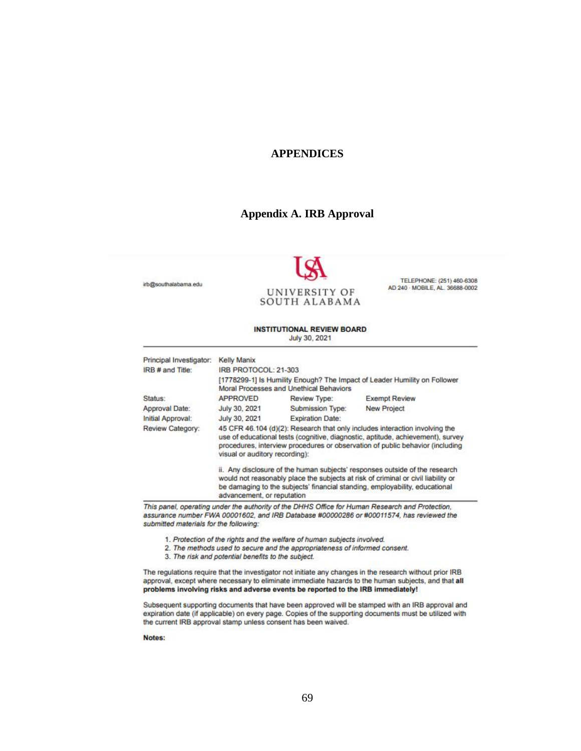#### **APPENDICES**

#### **Appendix A. IRB Approval**



TELEPHONE: (251) 460-6308 AD 240 - MOBILE, AL. 36688-0002

#### **INSTITUTIONAL REVIEW BOARD**

July 30, 2021

| Principal Investigator: | Kelly Manix                                                                                                                                                                                                                                                                       |                         |                      |
|-------------------------|-----------------------------------------------------------------------------------------------------------------------------------------------------------------------------------------------------------------------------------------------------------------------------------|-------------------------|----------------------|
| IRB # and Title:        | IRB PROTOCOL: 21-303                                                                                                                                                                                                                                                              |                         |                      |
|                         | [1778299-1] Is Humility Enough? The Impact of Leader Humility on Follower<br>Moral Processes and Unethical Behaviors                                                                                                                                                              |                         |                      |
| Status:                 | <b>APPROVED</b>                                                                                                                                                                                                                                                                   | Review Type:            | <b>Exempt Review</b> |
| Approval Date:          | July 30, 2021                                                                                                                                                                                                                                                                     | Submission Type:        | New Project          |
| Initial Approval:       | July 30, 2021                                                                                                                                                                                                                                                                     | <b>Expiration Date:</b> |                      |
| Review Category:        | 45 CFR 46.104 (d)(2): Research that only includes interaction involving the<br>use of educational tests (cognitive, diagnostic, aptitude, achievement), survey<br>procedures, interview procedures or observation of public behavior (including<br>visual or auditory recording): |                         |                      |
|                         | ii. Any disclosure of the human subjects' responses outside of the research<br>would not reasonably place the subjects at risk of criminal or civil liability or<br>be damaging to the subjects' financial standing, employability, educational<br>advancement, or reputation     |                         |                      |

This panel, operating under the authority of the DHHS Office for Human Research and Protection, assurance number FWA 00001602, and IRB Database #00000286 or #00011574, has reviewed the submitted materials for the following:

- 1. Protection of the rights and the welfare of human subjects involved.
- 2. The methods used to secure and the appropriateness of informed consent.
- 3. The risk and potential benefits to the subject.

The regulations require that the investigator not initiate any changes in the research without prior IRB approval, except where necessary to eliminate immediate hazards to the human subjects, and that all problems involving risks and adverse events be reported to the IRB immediately!

Subsequent supporting documents that have been approved will be stamped with an IRB approval and expiration date (if applicable) on every page. Copies of the supporting documents must be utilized with the current IRB approval stamp unless consent has been waived.

Notes:

irb@southalabama.edu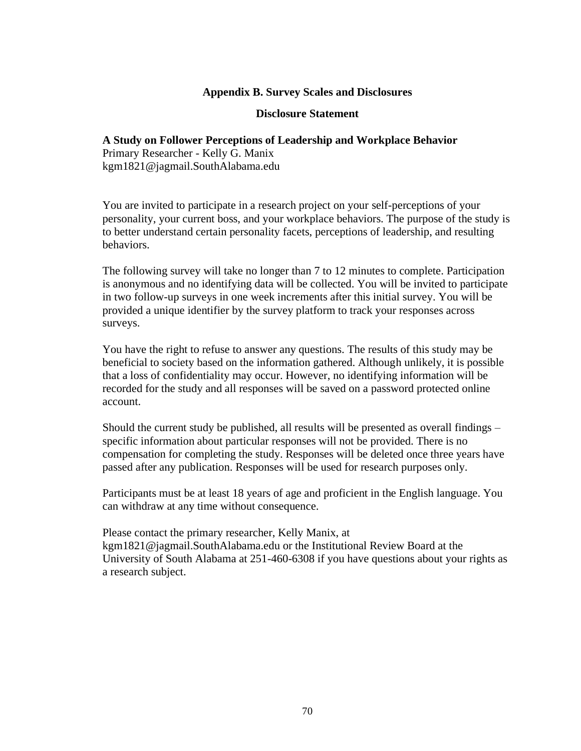#### **Appendix B. Survey Scales and Disclosures**

#### **Disclosure Statement**

**A Study on Follower Perceptions of Leadership and Workplace Behavior**

Primary Researcher - Kelly G. Manix kgm1821@jagmail.SouthAlabama.edu

You are invited to participate in a research project on your self-perceptions of your personality, your current boss, and your workplace behaviors. The purpose of the study is to better understand certain personality facets, perceptions of leadership, and resulting behaviors.

The following survey will take no longer than 7 to 12 minutes to complete. Participation is anonymous and no identifying data will be collected. You will be invited to participate in two follow-up surveys in one week increments after this initial survey. You will be provided a unique identifier by the survey platform to track your responses across surveys.

You have the right to refuse to answer any questions. The results of this study may be beneficial to society based on the information gathered. Although unlikely, it is possible that a loss of confidentiality may occur. However, no identifying information will be recorded for the study and all responses will be saved on a password protected online account.

Should the current study be published, all results will be presented as overall findings – specific information about particular responses will not be provided. There is no compensation for completing the study. Responses will be deleted once three years have passed after any publication. Responses will be used for research purposes only.

Participants must be at least 18 years of age and proficient in the English language. You can withdraw at any time without consequence.

Please contact the primary researcher, Kelly Manix, at kgm1821@jagmail.SouthAlabama.edu or the Institutional Review Board at the University of South Alabama at 251-460-6308 if you have questions about your rights as a research subject.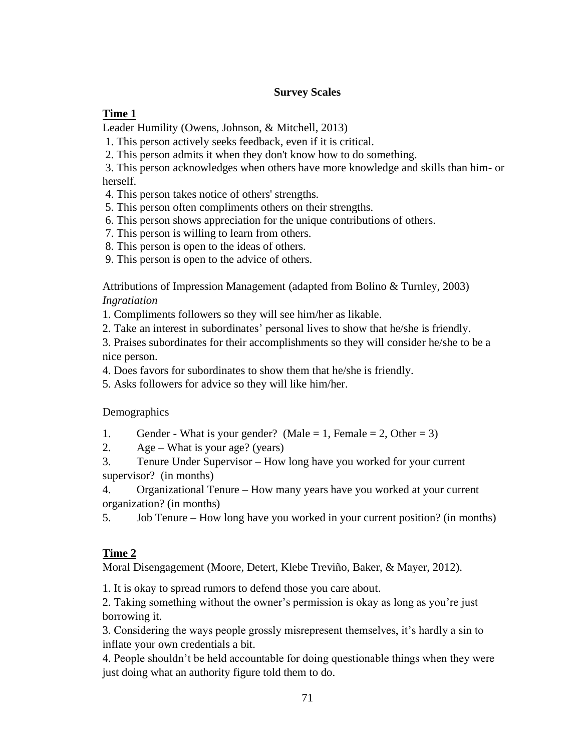### **Survey Scales**

### **Time 1**

Leader Humility (Owens, Johnson, & Mitchell, 2013)

1. This person actively seeks feedback, even if it is critical.

2. This person admits it when they don't know how to do something.

3. This person acknowledges when others have more knowledge and skills than him- or herself.

4. This person takes notice of others' strengths.

5. This person often compliments others on their strengths.

6. This person shows appreciation for the unique contributions of others.

7. This person is willing to learn from others.

8. This person is open to the ideas of others.

9. This person is open to the advice of others.

Attributions of Impression Management (adapted from Bolino & Turnley, 2003) *Ingratiation*

1. Compliments followers so they will see him/her as likable.

2. Take an interest in subordinates' personal lives to show that he/she is friendly.

3. Praises subordinates for their accomplishments so they will consider he/she to be a nice person.

4. Does favors for subordinates to show them that he/she is friendly.

5. Asks followers for advice so they will like him/her.

**Demographics** 

1. Gender - What is your gender? (Male = 1, Female = 2, Other = 3)

2. Age – What is your age? (years)

3. Tenure Under Supervisor – How long have you worked for your current supervisor? (in months)

4. Organizational Tenure – How many years have you worked at your current organization? (in months)

5. Job Tenure – How long have you worked in your current position? (in months)

## **Time 2**

Moral Disengagement (Moore, Detert, Klebe Treviño, Baker, & Mayer, 2012).

1. It is okay to spread rumors to defend those you care about.

2. Taking something without the owner's permission is okay as long as you're just borrowing it.

3. Considering the ways people grossly misrepresent themselves, it's hardly a sin to inflate your own credentials a bit.

4. People shouldn't be held accountable for doing questionable things when they were just doing what an authority figure told them to do.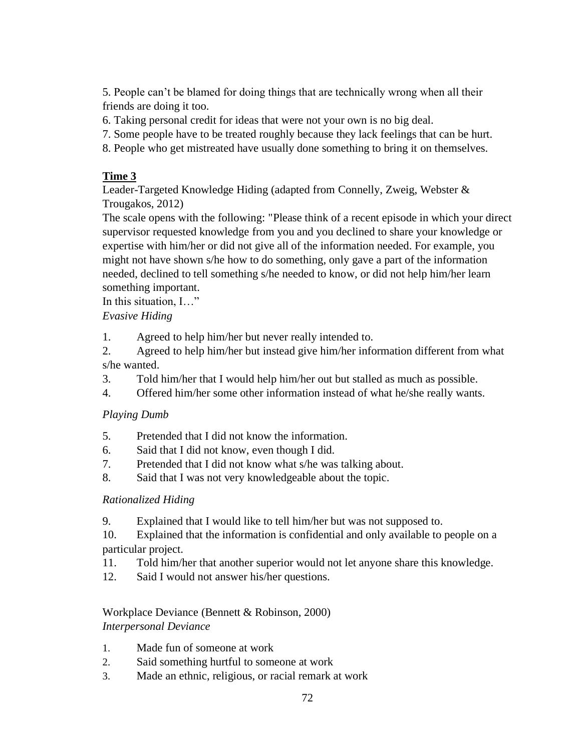5. People can't be blamed for doing things that are technically wrong when all their friends are doing it too.

- 6. Taking personal credit for ideas that were not your own is no big deal.
- 7. Some people have to be treated roughly because they lack feelings that can be hurt.
- 8. People who get mistreated have usually done something to bring it on themselves.

# **Time 3**

Leader-Targeted Knowledge Hiding (adapted from Connelly, Zweig, Webster & Trougakos, 2012)

The scale opens with the following: "Please think of a recent episode in which your direct supervisor requested knowledge from you and you declined to share your knowledge or expertise with him/her or did not give all of the information needed. For example, you might not have shown s/he how to do something, only gave a part of the information needed, declined to tell something s/he needed to know, or did not help him/her learn something important.

In this situation, I…"

# *Evasive Hiding*

1. Agreed to help him/her but never really intended to.

2. Agreed to help him/her but instead give him/her information different from what s/he wanted.

- 3. Told him/her that I would help him/her out but stalled as much as possible.
- 4. Offered him/her some other information instead of what he/she really wants.

# *Playing Dumb*

- 5. Pretended that I did not know the information.
- 6. Said that I did not know, even though I did.
- 7. Pretended that I did not know what s/he was talking about.
- 8. Said that I was not very knowledgeable about the topic.

# *Rationalized Hiding*

9. Explained that I would like to tell him/her but was not supposed to.

10. Explained that the information is confidential and only available to people on a particular project.

- 11. Told him/her that another superior would not let anyone share this knowledge.
- 12. Said I would not answer his/her questions.

# Workplace Deviance (Bennett & Robinson, 2000) *Interpersonal Deviance*

- 1. Made fun of someone at work
- 2. Said something hurtful to someone at work
- 3. Made an ethnic, religious, or racial remark at work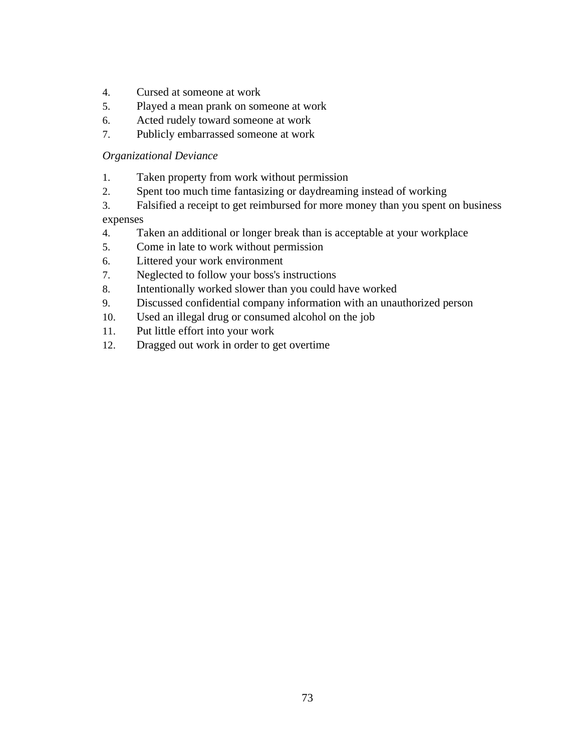- 4. Cursed at someone at work
- 5. Played a mean prank on someone at work
- 6. Acted rudely toward someone at work
- 7. Publicly embarrassed someone at work

### *Organizational Deviance*

- 1. Taken property from work without permission
- 2. Spent too much time fantasizing or daydreaming instead of working

3. Falsified a receipt to get reimbursed for more money than you spent on business expenses

- 4. Taken an additional or longer break than is acceptable at your workplace
- 5. Come in late to work without permission
- 6. Littered your work environment
- 7. Neglected to follow your boss's instructions
- 8. Intentionally worked slower than you could have worked
- 9. Discussed confidential company information with an unauthorized person
- 10. Used an illegal drug or consumed alcohol on the job
- 11. Put little effort into your work
- 12. Dragged out work in order to get overtime